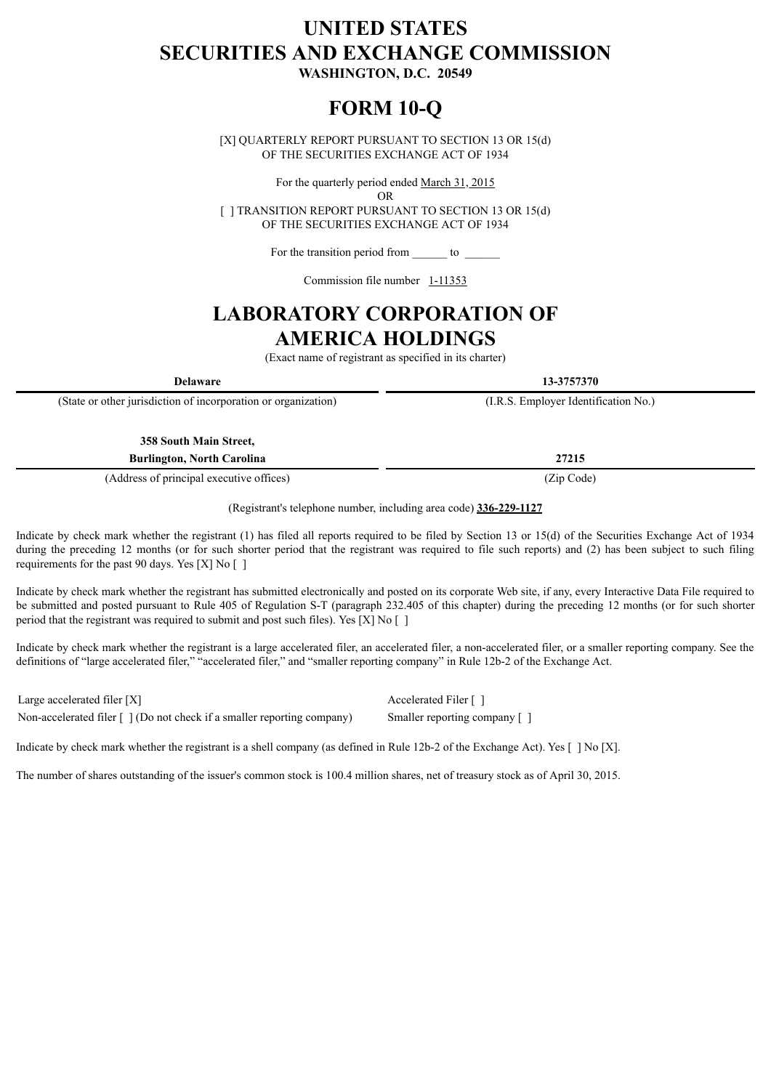# **UNITED STATES SECURITIES AND EXCHANGE COMMISSION WASHINGTON, D.C. 20549**

# **FORM 10-Q**

[X] QUARTERLY REPORT PURSUANT TO SECTION 13 OR 15(d) OF THE SECURITIES EXCHANGE ACT OF 1934

For the quarterly period ended March 31, 2015

OR

[ ] TRANSITION REPORT PURSUANT TO SECTION 13 OR 15(d) OF THE SECURITIES EXCHANGE ACT OF 1934

For the transition period from to

Commission file number 1-11353

# **LABORATORY CORPORATION OF AMERICA HOLDINGS**

(Exact name of registrant as specified in its charter)

**Delaware 13-3757370**

(State or other jurisdiction of incorporation or organization) (I.R.S. Employer Identification No.)

**358 South Main Street,**

**Burlington, North Carolina 27215**

(Address of principal executive offices) (Zip Code)

(Registrant's telephone number, including area code) **336-229-1127**

Indicate by check mark whether the registrant (1) has filed all reports required to be filed by Section 13 or 15(d) of the Securities Exchange Act of 1934 during the preceding 12 months (or for such shorter period that the registrant was required to file such reports) and (2) has been subject to such filing requirements for the past 90 days. Yes  $[X]$  No  $[ \ ]$ 

Indicate by check mark whether the registrant has submitted electronically and posted on its corporate Web site, if any, every Interactive Data File required to be submitted and posted pursuant to Rule 405 of Regulation S-T (paragraph 232.405 of this chapter) during the preceding 12 months (or for such shorter period that the registrant was required to submit and post such files). Yes [X] No [ ]

Indicate by check mark whether the registrant is a large accelerated filer, an accelerated filer, a non-accelerated filer, or a smaller reporting company. See the definitions of "large accelerated filer," "accelerated filer," and "smaller reporting company" in Rule 12b-2 of the Exchange Act.

Large accelerated filer [X] Accelerated Filer [ ] Non-accelerated filer  $\lceil \cdot \rceil$  (Do not check if a smaller reporting company) Smaller reporting company  $\lceil \cdot \rceil$ 

Indicate by check mark whether the registrant is a shell company (as defined in Rule 12b-2 of the Exchange Act). Yes [ ] No [X].

<span id="page-0-0"></span>The number of shares outstanding of the issuer's common stock is 100.4 million shares, net of treasury stock as of April 30, 2015.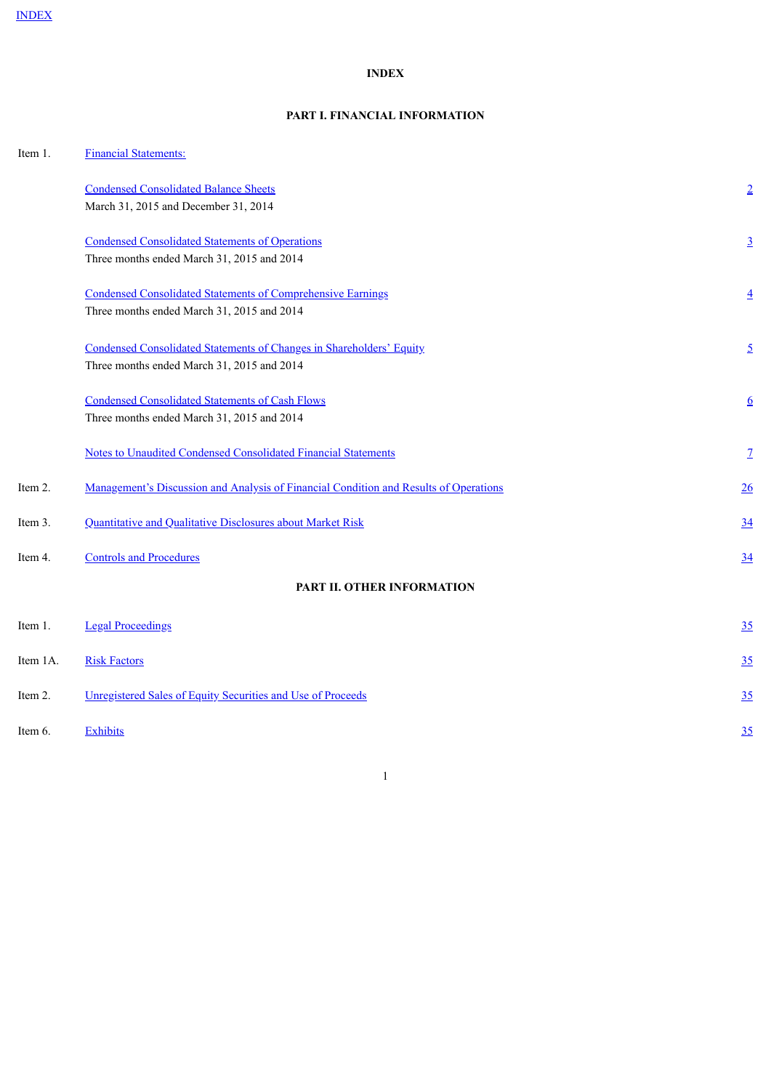# **INDEX**

# **PART I. FINANCIAL INFORMATION**

<span id="page-1-0"></span>

| Item 1.  | <b>Financial Statements:</b>                                                          |                 |
|----------|---------------------------------------------------------------------------------------|-----------------|
|          | <b>Condensed Consolidated Balance Sheets</b>                                          | $\overline{2}$  |
|          | March 31, 2015 and December 31, 2014                                                  |                 |
|          | <b>Condensed Consolidated Statements of Operations</b>                                | $\overline{3}$  |
|          | Three months ended March 31, 2015 and 2014                                            |                 |
|          | <b>Condensed Consolidated Statements of Comprehensive Earnings</b>                    | $\overline{4}$  |
|          | Three months ended March 31, 2015 and 2014                                            |                 |
|          | <b>Condensed Consolidated Statements of Changes in Shareholders' Equity</b>           | $\overline{5}$  |
|          | Three months ended March 31, 2015 and 2014                                            |                 |
|          | <b>Condensed Consolidated Statements of Cash Flows</b>                                | $6\overline{6}$ |
|          | Three months ended March 31, 2015 and 2014                                            |                 |
|          | <b>Notes to Unaudited Condensed Consolidated Financial Statements</b>                 | $\overline{1}$  |
| Item 2.  | Management's Discussion and Analysis of Financial Condition and Results of Operations | 26              |
| Item 3.  | Quantitative and Qualitative Disclosures about Market Risk                            | $\frac{34}{5}$  |
| Item 4.  | <b>Controls and Procedures</b>                                                        | 34              |
|          | PART II. OTHER INFORMATION                                                            |                 |
| Item 1.  | <b>Legal Proceedings</b>                                                              | 35              |
| Item 1A. | <b>Risk Factors</b>                                                                   | <u>35</u>       |
| Item 2.  | Unregistered Sales of Equity Securities and Use of Proceeds                           | 35              |
| Item 6.  | <b>Exhibits</b>                                                                       | 35              |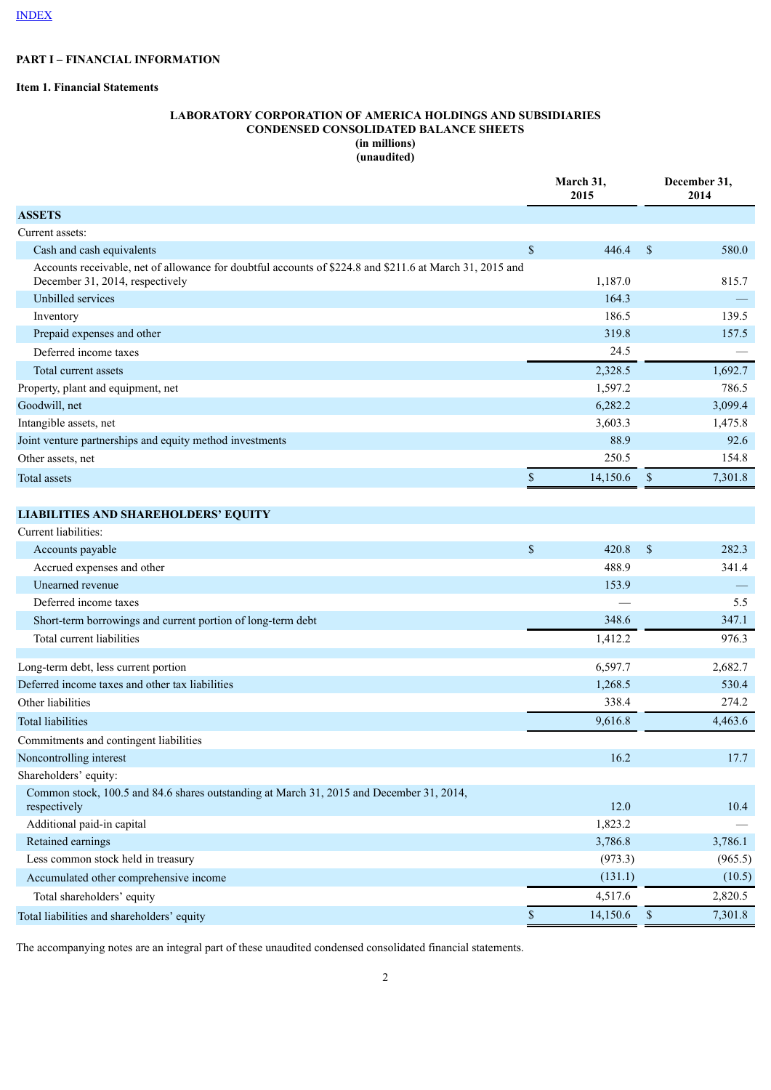## **PART I – FINANCIAL INFORMATION**

## <span id="page-2-0"></span>**Item 1. Financial Statements**

#### **LABORATORY CORPORATION OF AMERICA HOLDINGS AND SUBSIDIARIES CONDENSED CONSOLIDATED BALANCE SHEETS (in millions) (unaudited)**

| <b>ASSETS</b><br>Current assets:<br>\$<br>446.4<br>\$<br>Cash and cash equivalents<br>580.0<br>Accounts receivable, net of allowance for doubtful accounts of \$224.8 and \$211.6 at March 31, 2015 and<br>December 31, 2014, respectively<br>1,187.0<br>815.7<br>Unbilled services<br>164.3<br>Inventory<br>186.5<br>139.5<br>319.8<br>Prepaid expenses and other<br>157.5<br>Deferred income taxes<br>24.5<br>Total current assets<br>2,328.5<br>1,692.7<br>786.5<br>Property, plant and equipment, net<br>1,597.2<br>Goodwill, net<br>6,282.2<br>3,099.4 |  | March 31,<br>2015 | December 31,<br>2014 |         |  |
|-------------------------------------------------------------------------------------------------------------------------------------------------------------------------------------------------------------------------------------------------------------------------------------------------------------------------------------------------------------------------------------------------------------------------------------------------------------------------------------------------------------------------------------------------------------|--|-------------------|----------------------|---------|--|
|                                                                                                                                                                                                                                                                                                                                                                                                                                                                                                                                                             |  |                   |                      |         |  |
|                                                                                                                                                                                                                                                                                                                                                                                                                                                                                                                                                             |  |                   |                      |         |  |
|                                                                                                                                                                                                                                                                                                                                                                                                                                                                                                                                                             |  |                   |                      |         |  |
|                                                                                                                                                                                                                                                                                                                                                                                                                                                                                                                                                             |  |                   |                      |         |  |
|                                                                                                                                                                                                                                                                                                                                                                                                                                                                                                                                                             |  |                   |                      |         |  |
|                                                                                                                                                                                                                                                                                                                                                                                                                                                                                                                                                             |  |                   |                      |         |  |
|                                                                                                                                                                                                                                                                                                                                                                                                                                                                                                                                                             |  |                   |                      |         |  |
|                                                                                                                                                                                                                                                                                                                                                                                                                                                                                                                                                             |  |                   |                      |         |  |
|                                                                                                                                                                                                                                                                                                                                                                                                                                                                                                                                                             |  |                   |                      |         |  |
|                                                                                                                                                                                                                                                                                                                                                                                                                                                                                                                                                             |  |                   |                      |         |  |
|                                                                                                                                                                                                                                                                                                                                                                                                                                                                                                                                                             |  |                   |                      |         |  |
| Intangible assets, net<br>3,603.3<br>1,475.8                                                                                                                                                                                                                                                                                                                                                                                                                                                                                                                |  |                   |                      |         |  |
| Joint venture partnerships and equity method investments<br>88.9<br>92.6                                                                                                                                                                                                                                                                                                                                                                                                                                                                                    |  |                   |                      |         |  |
| 250.5<br>154.8<br>Other assets, net                                                                                                                                                                                                                                                                                                                                                                                                                                                                                                                         |  |                   |                      |         |  |
| \$<br>$\mathcal{S}$<br>7,301.8<br>14,150.6<br>Total assets                                                                                                                                                                                                                                                                                                                                                                                                                                                                                                  |  |                   |                      |         |  |
|                                                                                                                                                                                                                                                                                                                                                                                                                                                                                                                                                             |  |                   |                      |         |  |
| <b>LIABILITIES AND SHAREHOLDERS' EQUITY</b>                                                                                                                                                                                                                                                                                                                                                                                                                                                                                                                 |  |                   |                      |         |  |
| Current liabilities:                                                                                                                                                                                                                                                                                                                                                                                                                                                                                                                                        |  |                   |                      |         |  |
| $\boldsymbol{\mathsf{S}}$<br>$\mathcal{S}$<br>Accounts payable<br>420.8<br>282.3                                                                                                                                                                                                                                                                                                                                                                                                                                                                            |  |                   |                      |         |  |
| Accrued expenses and other<br>488.9<br>341.4                                                                                                                                                                                                                                                                                                                                                                                                                                                                                                                |  |                   |                      |         |  |
| Unearned revenue<br>153.9                                                                                                                                                                                                                                                                                                                                                                                                                                                                                                                                   |  |                   |                      |         |  |
| Deferred income taxes<br>5.5                                                                                                                                                                                                                                                                                                                                                                                                                                                                                                                                |  |                   |                      |         |  |
| 348.6<br>347.1<br>Short-term borrowings and current portion of long-term debt                                                                                                                                                                                                                                                                                                                                                                                                                                                                               |  |                   |                      |         |  |
| Total current liabilities<br>1,412.2<br>976.3                                                                                                                                                                                                                                                                                                                                                                                                                                                                                                               |  |                   |                      |         |  |
| Long-term debt, less current portion<br>6,597.7<br>2,682.7                                                                                                                                                                                                                                                                                                                                                                                                                                                                                                  |  |                   |                      |         |  |
| Deferred income taxes and other tax liabilities<br>1,268.5<br>530.4                                                                                                                                                                                                                                                                                                                                                                                                                                                                                         |  |                   |                      |         |  |
| 338.4<br>274.2<br>Other liabilities                                                                                                                                                                                                                                                                                                                                                                                                                                                                                                                         |  |                   |                      |         |  |
| 9,616.8<br>4,463.6<br><b>Total liabilities</b>                                                                                                                                                                                                                                                                                                                                                                                                                                                                                                              |  |                   |                      |         |  |
| Commitments and contingent liabilities                                                                                                                                                                                                                                                                                                                                                                                                                                                                                                                      |  |                   |                      |         |  |
| Noncontrolling interest<br>16.2<br>17.7                                                                                                                                                                                                                                                                                                                                                                                                                                                                                                                     |  |                   |                      |         |  |
| Shareholders' equity:                                                                                                                                                                                                                                                                                                                                                                                                                                                                                                                                       |  |                   |                      |         |  |
| Common stock, 100.5 and 84.6 shares outstanding at March 31, 2015 and December 31, 2014,<br>12.0<br>respectively<br>10.4                                                                                                                                                                                                                                                                                                                                                                                                                                    |  |                   |                      |         |  |
| Additional paid-in capital<br>1,823.2                                                                                                                                                                                                                                                                                                                                                                                                                                                                                                                       |  |                   |                      |         |  |
| Retained earnings<br>3,786.8<br>3,786.1                                                                                                                                                                                                                                                                                                                                                                                                                                                                                                                     |  |                   |                      |         |  |
| Less common stock held in treasury<br>(973.3)                                                                                                                                                                                                                                                                                                                                                                                                                                                                                                               |  |                   |                      | (965.5) |  |
| Accumulated other comprehensive income<br>(131.1)                                                                                                                                                                                                                                                                                                                                                                                                                                                                                                           |  |                   |                      | (10.5)  |  |
| 4,517.6<br>Total shareholders' equity                                                                                                                                                                                                                                                                                                                                                                                                                                                                                                                       |  |                   |                      | 2,820.5 |  |
| $\mathbb{S}$<br>Total liabilities and shareholders' equity<br>14,150.6<br>$\mathcal{S}$<br>7,301.8                                                                                                                                                                                                                                                                                                                                                                                                                                                          |  |                   |                      |         |  |

<span id="page-2-1"></span>The accompanying notes are an integral part of these unaudited condensed consolidated financial statements.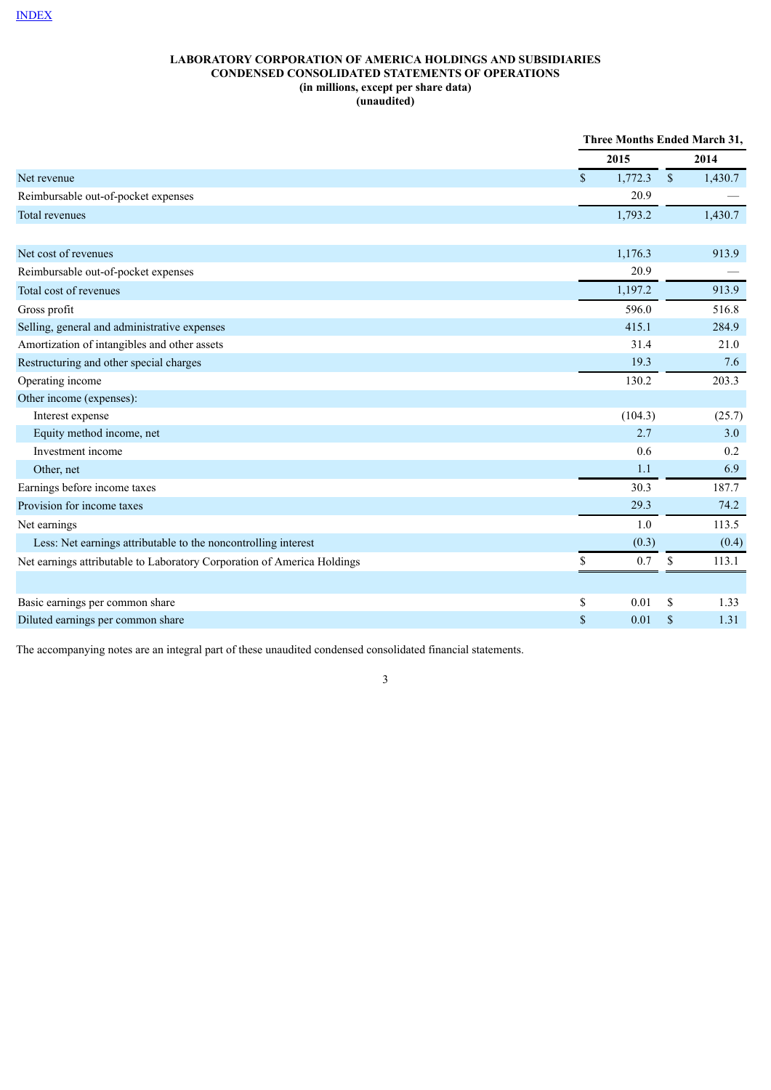### **LABORATORY CORPORATION OF AMERICA HOLDINGS AND SUBSIDIARIES CONDENSED CONSOLIDATED STATEMENTS OF OPERATIONS (in millions, except per share data) (unaudited)**

|                                                                         |                         | Three Months Ended March 31, |         |  |  |  |
|-------------------------------------------------------------------------|-------------------------|------------------------------|---------|--|--|--|
|                                                                         | 2015                    |                              | 2014    |  |  |  |
| Net revenue                                                             | $\mathbb{S}$<br>1,772.3 | $\mathcal{S}$                | 1,430.7 |  |  |  |
| Reimbursable out-of-pocket expenses                                     | 20.9                    |                              |         |  |  |  |
| <b>Total revenues</b>                                                   | 1,793.2                 |                              | 1,430.7 |  |  |  |
| Net cost of revenues                                                    | 1,176.3                 |                              | 913.9   |  |  |  |
| Reimbursable out-of-pocket expenses                                     | 20.9                    |                              |         |  |  |  |
| Total cost of revenues                                                  | 1,197.2                 |                              | 913.9   |  |  |  |
| Gross profit                                                            | 596.0                   |                              | 516.8   |  |  |  |
| Selling, general and administrative expenses                            | 415.1                   |                              | 284.9   |  |  |  |
| Amortization of intangibles and other assets                            | 31.4                    |                              | 21.0    |  |  |  |
| Restructuring and other special charges                                 | 19.3                    |                              | 7.6     |  |  |  |
| Operating income                                                        | 130.2                   |                              | 203.3   |  |  |  |
| Other income (expenses):                                                |                         |                              |         |  |  |  |
| Interest expense                                                        | (104.3)                 |                              | (25.7)  |  |  |  |
| Equity method income, net                                               | 2.7                     |                              | 3.0     |  |  |  |
| Investment income                                                       | 0.6                     |                              | 0.2     |  |  |  |
| Other, net                                                              | 1.1                     |                              | 6.9     |  |  |  |
| Earnings before income taxes                                            | 30.3                    |                              | 187.7   |  |  |  |
| Provision for income taxes                                              | 29.3                    |                              | 74.2    |  |  |  |
| Net earnings                                                            | 1.0                     |                              | 113.5   |  |  |  |
| Less: Net earnings attributable to the noncontrolling interest          | (0.3)                   |                              | (0.4)   |  |  |  |
| Net earnings attributable to Laboratory Corporation of America Holdings | \$<br>0.7               | \$                           | 113.1   |  |  |  |
| Basic earnings per common share                                         | \$<br>0.01              | \$                           | 1.33    |  |  |  |
| Diluted earnings per common share                                       | \$<br>0.01              | \$                           | 1.31    |  |  |  |
|                                                                         |                         |                              |         |  |  |  |

<span id="page-3-0"></span>The accompanying notes are an integral part of these unaudited condensed consolidated financial statements.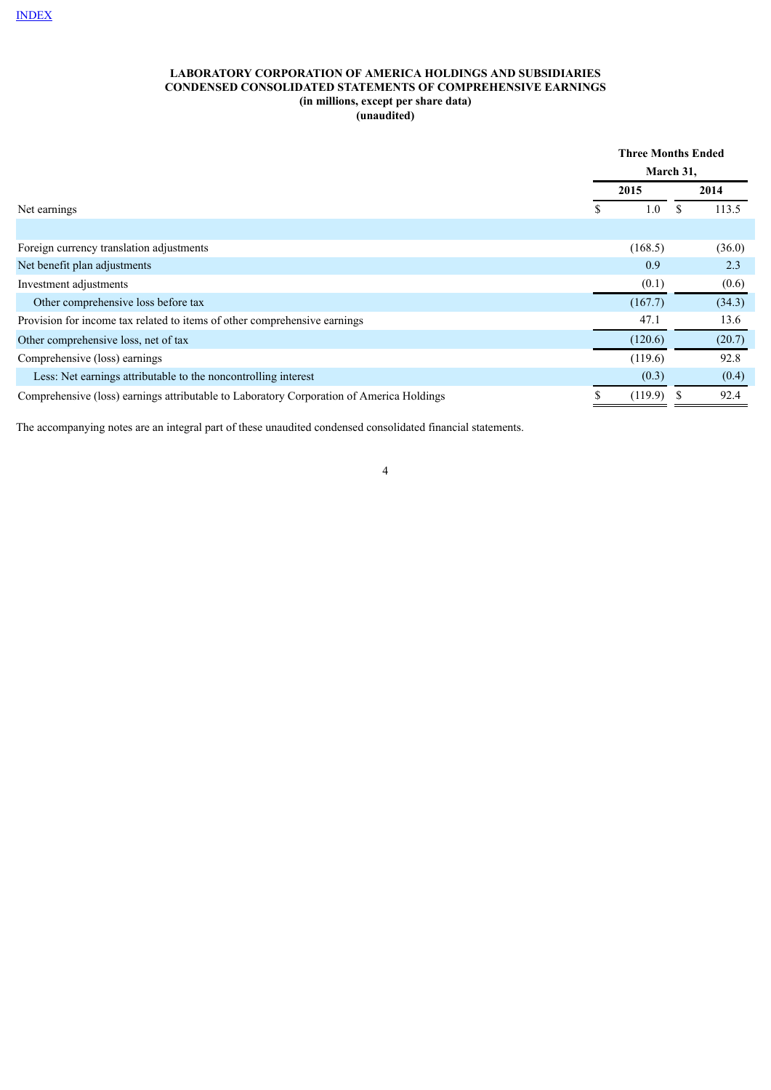#### **LABORATORY CORPORATION OF AMERICA HOLDINGS AND SUBSIDIARIES CONDENSED CONSOLIDATED STATEMENTS OF COMPREHENSIVE EARNINGS (in millions, except per share data) (unaudited)**

|                                                                                          |   | <b>Three Months Ended</b><br>March 31, |     |        |  |
|------------------------------------------------------------------------------------------|---|----------------------------------------|-----|--------|--|
|                                                                                          |   | 2015                                   |     | 2014   |  |
| Net earnings                                                                             | Ж | 1.0                                    | \$. | 113.5  |  |
|                                                                                          |   |                                        |     |        |  |
| Foreign currency translation adjustments                                                 |   | (168.5)                                |     | (36.0) |  |
| Net benefit plan adjustments                                                             |   | 0.9                                    |     | 2.3    |  |
| Investment adjustments                                                                   |   | (0.1)                                  |     | (0.6)  |  |
| Other comprehensive loss before tax                                                      |   | (167.7)                                |     | (34.3) |  |
| Provision for income tax related to items of other comprehensive earnings                |   | 47.1                                   |     | 13.6   |  |
| Other comprehensive loss, net of tax                                                     |   | (120.6)                                |     | (20.7) |  |
| Comprehensive (loss) earnings                                                            |   | (119.6)                                |     | 92.8   |  |
| Less: Net earnings attributable to the noncontrolling interest                           |   | (0.3)                                  |     | (0.4)  |  |
| Comprehensive (loss) earnings attributable to Laboratory Corporation of America Holdings |   | $(119.9)$ \$                           |     | 92.4   |  |

<span id="page-4-0"></span>The accompanying notes are an integral part of these unaudited condensed consolidated financial statements.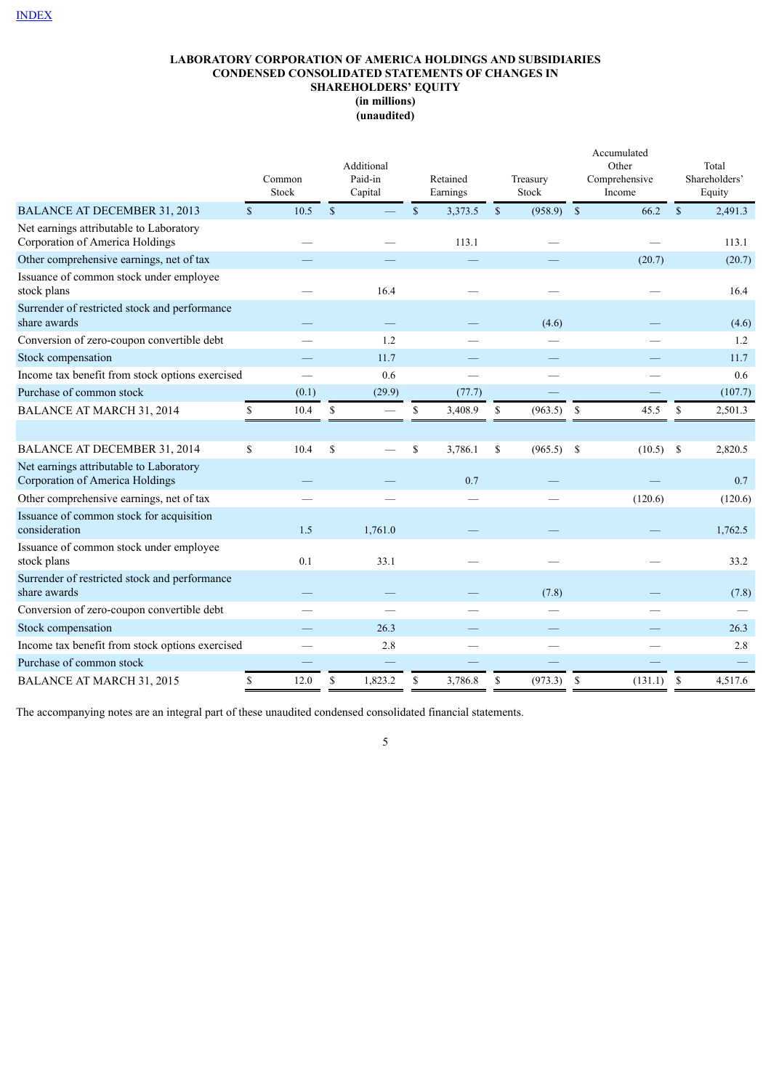### **LABORATORY CORPORATION OF AMERICA HOLDINGS AND SUBSIDIARIES CONDENSED CONSOLIDATED STATEMENTS OF CHANGES IN SHAREHOLDERS' EQUITY (in millions) (unaudited)**

|                                                                            |             | Common<br>Stock |              | Additional<br>Paid-in<br>Capital |              | Retained<br>Earnings | Treasury<br>Stock |              |              |         |               | Accumulated<br>Other<br>Comprehensive<br>Income |  | Total<br>Shareholders'<br>Equity |
|----------------------------------------------------------------------------|-------------|-----------------|--------------|----------------------------------|--------------|----------------------|-------------------|--------------|--------------|---------|---------------|-------------------------------------------------|--|----------------------------------|
| <b>BALANCE AT DECEMBER 31, 2013</b>                                        | $\mathbf S$ | 10.5            | $\mathbf S$  |                                  | $\mathbb{S}$ | 3,373.5              | $\mathbb{S}$      | $(958.9)$ \$ |              | 66.2    | $\mathbb{S}$  | 2,491.3                                         |  |                                  |
| Net earnings attributable to Laboratory<br>Corporation of America Holdings |             |                 |              |                                  |              | 113.1                |                   |              |              |         |               | 113.1                                           |  |                                  |
| Other comprehensive earnings, net of tax                                   |             |                 |              |                                  |              |                      |                   |              |              | (20.7)  |               | (20.7)                                          |  |                                  |
| Issuance of common stock under employee<br>stock plans                     |             |                 |              | 16.4                             |              |                      |                   |              |              |         |               | 16.4                                            |  |                                  |
| Surrender of restricted stock and performance<br>share awards              |             |                 |              |                                  |              |                      |                   | (4.6)        |              |         |               | (4.6)                                           |  |                                  |
| Conversion of zero-coupon convertible debt                                 |             |                 |              | 1.2                              |              |                      |                   |              |              |         |               | 1.2                                             |  |                                  |
| Stock compensation                                                         |             |                 |              | 11.7                             |              |                      |                   |              |              |         |               | 11.7                                            |  |                                  |
| Income tax benefit from stock options exercised                            |             |                 |              | 0.6                              |              |                      |                   |              |              |         |               | 0.6                                             |  |                                  |
| Purchase of common stock                                                   |             | (0.1)           |              | (29.9)                           |              | (77.7)               |                   |              |              |         |               | (107.7)                                         |  |                                  |
| BALANCE AT MARCH 31, 2014                                                  | \$          | 10.4            | \$           | $\overline{\phantom{0}}$         | \$           | 3,408.9              | \$                | (963.5)      | \$           | 45.5    | \$            | 2,501.3                                         |  |                                  |
|                                                                            |             |                 |              |                                  |              |                      |                   |              |              |         |               |                                                 |  |                                  |
| BALANCE AT DECEMBER 31, 2014                                               | $\mathbf S$ | 10.4            | \$           |                                  | \$           | 3,786.1              | \$                | (965.5)      | $\mathbf s$  | (10.5)  | $\mathcal{S}$ | 2,820.5                                         |  |                                  |
| Net earnings attributable to Laboratory<br>Corporation of America Holdings |             |                 |              |                                  |              | 0.7                  |                   |              |              |         |               | 0.7                                             |  |                                  |
| Other comprehensive earnings, net of tax                                   |             |                 |              |                                  |              |                      |                   |              |              | (120.6) |               | (120.6)                                         |  |                                  |
| Issuance of common stock for acquisition<br>consideration                  |             | 1.5             |              | 1,761.0                          |              |                      |                   |              |              |         |               | 1,762.5                                         |  |                                  |
| Issuance of common stock under employee<br>stock plans                     |             | 0.1             |              | 33.1                             |              |                      |                   |              |              |         |               | 33.2                                            |  |                                  |
| Surrender of restricted stock and performance<br>share awards              |             |                 |              |                                  |              |                      |                   | (7.8)        |              |         |               | (7.8)                                           |  |                                  |
| Conversion of zero-coupon convertible debt                                 |             |                 |              |                                  |              |                      |                   |              |              |         |               |                                                 |  |                                  |
| Stock compensation                                                         |             |                 |              | 26.3                             |              |                      |                   |              |              |         |               | 26.3                                            |  |                                  |
| Income tax benefit from stock options exercised                            |             |                 |              | 2.8                              |              |                      |                   |              |              |         |               | 2.8                                             |  |                                  |
| Purchase of common stock                                                   |             |                 |              |                                  |              |                      |                   |              |              |         |               |                                                 |  |                                  |
| <b>BALANCE AT MARCH 31, 2015</b>                                           | \$          | 12.0            | $\mathbb{S}$ | 1,823.2                          | \$           | 3,786.8              | \$                | (973.3)      | <sup>S</sup> | (131.1) | \$            | 4,517.6                                         |  |                                  |

<span id="page-5-0"></span>The accompanying notes are an integral part of these unaudited condensed consolidated financial statements.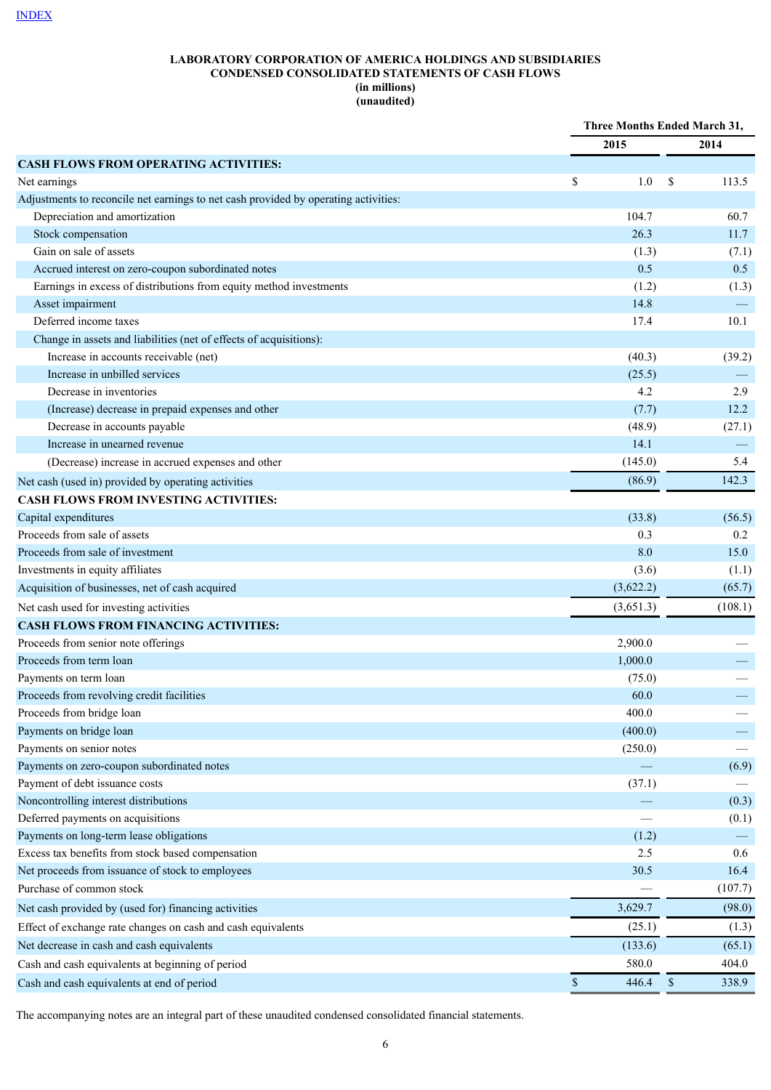#### **LABORATORY CORPORATION OF AMERICA HOLDINGS AND SUBSIDIARIES CONDENSED CONSOLIDATED STATEMENTS OF CASH FLOWS (in millions) (unaudited)**

|                                                                                     |                       | <b>Three Months Ended March 31,</b> |
|-------------------------------------------------------------------------------------|-----------------------|-------------------------------------|
|                                                                                     | 2015                  | 2014                                |
| <b>CASH FLOWS FROM OPERATING ACTIVITIES:</b>                                        |                       |                                     |
| Net earnings                                                                        | \$<br>1.0             | \$<br>113.5                         |
| Adjustments to reconcile net earnings to net cash provided by operating activities: |                       |                                     |
| Depreciation and amortization                                                       | 104.7                 | 60.7                                |
| Stock compensation                                                                  | 26.3                  | 11.7                                |
| Gain on sale of assets                                                              | (1.3)                 | (7.1)                               |
| Accrued interest on zero-coupon subordinated notes                                  | 0.5                   | 0.5                                 |
| Earnings in excess of distributions from equity method investments                  | (1.2)                 | (1.3)                               |
| Asset impairment                                                                    | 14.8                  |                                     |
| Deferred income taxes                                                               | 17.4                  | 10.1                                |
| Change in assets and liabilities (net of effects of acquisitions):                  |                       |                                     |
| Increase in accounts receivable (net)                                               | (40.3)                | (39.2)                              |
| Increase in unbilled services                                                       | (25.5)                |                                     |
| Decrease in inventories                                                             | 4.2                   | 2.9                                 |
| (Increase) decrease in prepaid expenses and other                                   | (7.7)                 | 12.2                                |
| Decrease in accounts payable                                                        | (48.9)                | (27.1)                              |
| Increase in unearned revenue                                                        | 14.1                  |                                     |
| (Decrease) increase in accrued expenses and other                                   | (145.0)               | 5.4                                 |
| Net cash (used in) provided by operating activities                                 | (86.9)                | 142.3                               |
| CASH FLOWS FROM INVESTING ACTIVITIES:                                               |                       |                                     |
| Capital expenditures                                                                | (33.8)                | (56.5)                              |
| Proceeds from sale of assets                                                        | 0.3                   | 0.2                                 |
| Proceeds from sale of investment                                                    | 8.0                   | 15.0                                |
| Investments in equity affiliates                                                    | (3.6)                 | (1.1)                               |
| Acquisition of businesses, net of cash acquired                                     | (3,622.2)             | (65.7)                              |
| Net cash used for investing activities                                              | (3,651.3)             | (108.1)                             |
| <b>CASH FLOWS FROM FINANCING ACTIVITIES:</b>                                        |                       |                                     |
| Proceeds from senior note offerings                                                 | 2,900.0               |                                     |
| Proceeds from term loan                                                             | 1,000.0               |                                     |
| Payments on term loan                                                               | (75.0)                |                                     |
| Proceeds from revolving credit facilities                                           | 60.0                  |                                     |
| Proceeds from bridge loan                                                           | 400.0                 |                                     |
| Payments on bridge loan                                                             | (400.0)               |                                     |
| Payments on senior notes                                                            | (250.0)               |                                     |
| Payments on zero-coupon subordinated notes                                          |                       | (6.9)                               |
| Payment of debt issuance costs                                                      | (37.1)                |                                     |
| Noncontrolling interest distributions                                               |                       | (0.3)                               |
| Deferred payments on acquisitions                                                   |                       | (0.1)                               |
| Payments on long-term lease obligations                                             | (1.2)                 |                                     |
| Excess tax benefits from stock based compensation                                   | 2.5                   | 0.6                                 |
| Net proceeds from issuance of stock to employees                                    | 30.5                  | 16.4                                |
| Purchase of common stock                                                            |                       | (107.7)                             |
| Net cash provided by (used for) financing activities                                | 3,629.7               | (98.0)                              |
| Effect of exchange rate changes on cash and cash equivalents                        | (25.1)                | (1.3)                               |
| Net decrease in cash and cash equivalents                                           | (133.6)               | (65.1)                              |
| Cash and cash equivalents at beginning of period                                    | 580.0                 | 404.0                               |
|                                                                                     |                       |                                     |
| Cash and cash equivalents at end of period                                          | $\mathbb{S}$<br>446.4 | $\$$<br>338.9                       |

<span id="page-6-0"></span>The accompanying notes are an integral part of these unaudited condensed consolidated financial statements.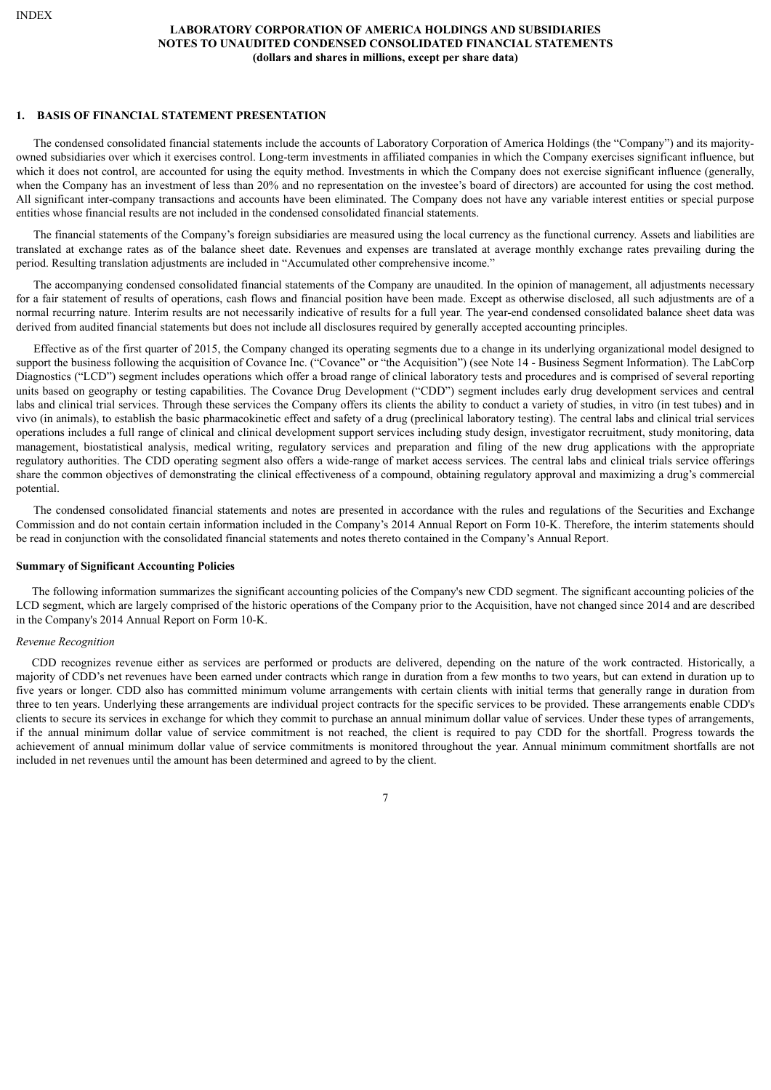#### **1. BASIS OF FINANCIAL STATEMENT PRESENTATION**

The condensed consolidated financial statements include the accounts of Laboratory Corporation of America Holdings (the "Company") and its majorityowned subsidiaries over which it exercises control. Long-term investments in affiliated companies in which the Company exercises significant influence, but which it does not control, are accounted for using the equity method. Investments in which the Company does not exercise significant influence (generally, when the Company has an investment of less than 20% and no representation on the investee's board of directors) are accounted for using the cost method. All significant inter-company transactions and accounts have been eliminated. The Company does not have any variable interest entities or special purpose entities whose financial results are not included in the condensed consolidated financial statements.

The financial statements of the Company's foreign subsidiaries are measured using the local currency as the functional currency. Assets and liabilities are translated at exchange rates as of the balance sheet date. Revenues and expenses are translated at average monthly exchange rates prevailing during the period. Resulting translation adjustments are included in "Accumulated other comprehensive income."

The accompanying condensed consolidated financial statements of the Company are unaudited. In the opinion of management, all adjustments necessary for a fair statement of results of operations, cash flows and financial position have been made. Except as otherwise disclosed, all such adjustments are of a normal recurring nature. Interim results are not necessarily indicative of results for a full year. The year-end condensed consolidated balance sheet data was derived from audited financial statements but does not include all disclosures required by generally accepted accounting principles.

Effective as of the first quarter of 2015, the Company changed its operating segments due to a change in its underlying organizational model designed to support the business following the acquisition of Covance Inc. ("Covance" or "the Acquisition") (see Note 14 - Business Segment Information). The LabCorp Diagnostics ("LCD") segment includes operations which offer a broad range of clinical laboratory tests and procedures and is comprised of several reporting units based on geography or testing capabilities. The Covance Drug Development ("CDD") segment includes early drug development services and central labs and clinical trial services. Through these services the Company offers its clients the ability to conduct a variety of studies, in vitro (in test tubes) and in vivo (in animals), to establish the basic pharmacokinetic effect and safety of a drug (preclinical laboratory testing). The central labs and clinical trial services operations includes a full range of clinical and clinical development support services including study design, investigator recruitment, study monitoring, data management, biostatistical analysis, medical writing, regulatory services and preparation and filing of the new drug applications with the appropriate regulatory authorities. The CDD operating segment also offers a wide-range of market access services. The central labs and clinical trials service offerings share the common objectives of demonstrating the clinical effectiveness of a compound, obtaining regulatory approval and maximizing a drug's commercial potential.

The condensed consolidated financial statements and notes are presented in accordance with the rules and regulations of the Securities and Exchange Commission and do not contain certain information included in the Company's 2014 Annual Report on Form 10-K. Therefore, the interim statements should be read in conjunction with the consolidated financial statements and notes thereto contained in the Company's Annual Report.

#### **Summary of Significant Accounting Policies**

The following information summarizes the significant accounting policies of the Company's new CDD segment. The significant accounting policies of the LCD segment, which are largely comprised of the historic operations of the Company prior to the Acquisition, have not changed since 2014 and are described in the Company's 2014 Annual Report on Form 10-K.

#### *Revenue Recognition*

CDD recognizes revenue either as services are performed or products are delivered, depending on the nature of the work contracted. Historically, a majority of CDD's net revenues have been earned under contracts which range in duration from a few months to two years, but can extend in duration up to five years or longer. CDD also has committed minimum volume arrangements with certain clients with initial terms that generally range in duration from three to ten years. Underlying these arrangements are individual project contracts for the specific services to be provided. These arrangements enable CDD's clients to secure its services in exchange for which they commit to purchase an annual minimum dollar value of services. Under these types of arrangements, if the annual minimum dollar value of service commitment is not reached, the client is required to pay CDD for the shortfall. Progress towards the achievement of annual minimum dollar value of service commitments is monitored throughout the year. Annual minimum commitment shortfalls are not included in net revenues until the amount has been determined and agreed to by the client.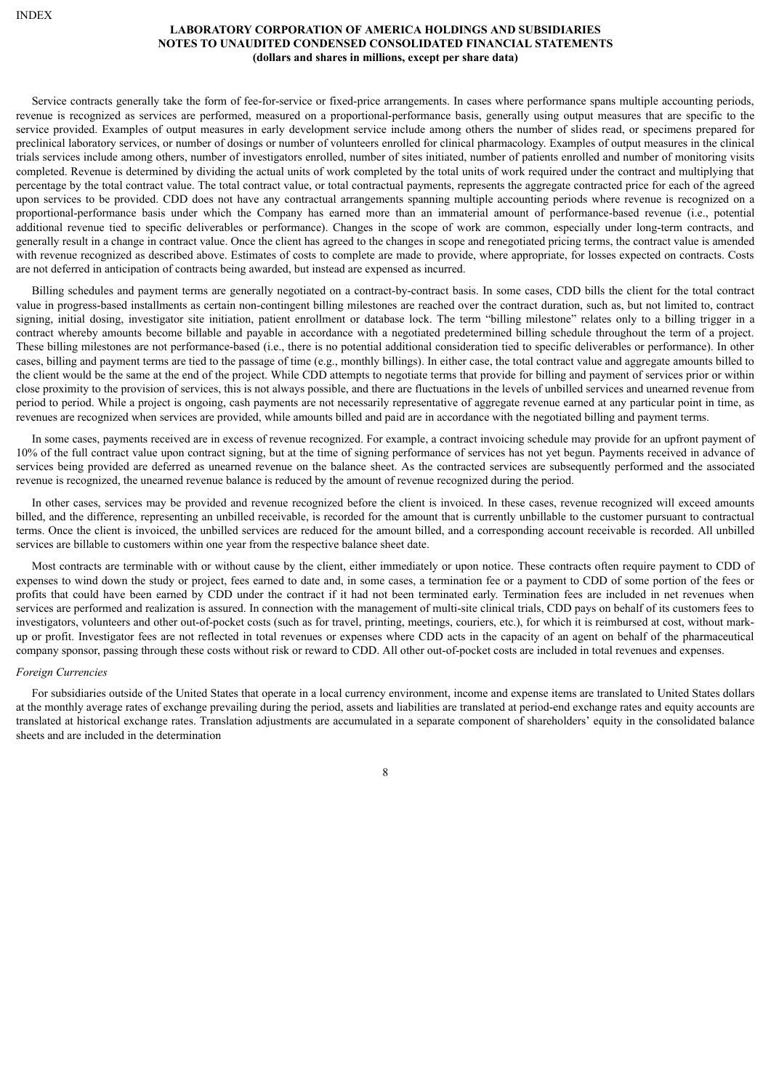Service contracts generally take the form of fee-for-service or fixed-price arrangements. In cases where performance spans multiple accounting periods, revenue is recognized as services are performed, measured on a proportional-performance basis, generally using output measures that are specific to the service provided. Examples of output measures in early development service include among others the number of slides read, or specimens prepared for preclinical laboratory services, or number of dosings or number of volunteers enrolled for clinical pharmacology. Examples of output measures in the clinical trials services include among others, number of investigators enrolled, number of sites initiated, number of patients enrolled and number of monitoring visits completed. Revenue is determined by dividing the actual units of work completed by the total units of work required under the contract and multiplying that percentage by the total contract value. The total contract value, or total contractual payments, represents the aggregate contracted price for each of the agreed upon services to be provided. CDD does not have any contractual arrangements spanning multiple accounting periods where revenue is recognized on a proportional-performance basis under which the Company has earned more than an immaterial amount of performance-based revenue (i.e., potential additional revenue tied to specific deliverables or performance). Changes in the scope of work are common, especially under long-term contracts, and generally result in a change in contract value. Once the client has agreed to the changes in scope and renegotiated pricing terms, the contract value is amended with revenue recognized as described above. Estimates of costs to complete are made to provide, where appropriate, for losses expected on contracts. Costs are not deferred in anticipation of contracts being awarded, but instead are expensed as incurred.

Billing schedules and payment terms are generally negotiated on a contract-by-contract basis. In some cases, CDD bills the client for the total contract value in progress-based installments as certain non-contingent billing milestones are reached over the contract duration, such as, but not limited to, contract signing, initial dosing, investigator site initiation, patient enrollment or database lock. The term "billing milestone" relates only to a billing trigger in a contract whereby amounts become billable and payable in accordance with a negotiated predetermined billing schedule throughout the term of a project. These billing milestones are not performance-based (i.e., there is no potential additional consideration tied to specific deliverables or performance). In other cases, billing and payment terms are tied to the passage of time (e.g., monthly billings). In either case, the total contract value and aggregate amounts billed to the client would be the same at the end of the project. While CDD attempts to negotiate terms that provide for billing and payment of services prior or within close proximity to the provision of services, this is not always possible, and there are fluctuations in the levels of unbilled services and unearned revenue from period to period. While a project is ongoing, cash payments are not necessarily representative of aggregate revenue earned at any particular point in time, as revenues are recognized when services are provided, while amounts billed and paid are in accordance with the negotiated billing and payment terms.

In some cases, payments received are in excess of revenue recognized. For example, a contract invoicing schedule may provide for an upfront payment of 10% of the full contract value upon contract signing, but at the time of signing performance of services has not yet begun. Payments received in advance of services being provided are deferred as unearned revenue on the balance sheet. As the contracted services are subsequently performed and the associated revenue is recognized, the unearned revenue balance is reduced by the amount of revenue recognized during the period.

In other cases, services may be provided and revenue recognized before the client is invoiced. In these cases, revenue recognized will exceed amounts billed, and the difference, representing an unbilled receivable, is recorded for the amount that is currently unbillable to the customer pursuant to contractual terms. Once the client is invoiced, the unbilled services are reduced for the amount billed, and a corresponding account receivable is recorded. All unbilled services are billable to customers within one year from the respective balance sheet date.

Most contracts are terminable with or without cause by the client, either immediately or upon notice. These contracts often require payment to CDD of expenses to wind down the study or project, fees earned to date and, in some cases, a termination fee or a payment to CDD of some portion of the fees or profits that could have been earned by CDD under the contract if it had not been terminated early. Termination fees are included in net revenues when services are performed and realization is assured. In connection with the management of multi-site clinical trials, CDD pays on behalf of its customers fees to investigators, volunteers and other out-of-pocket costs (such as for travel, printing, meetings, couriers, etc.), for which it is reimbursed at cost, without markup or profit. Investigator fees are not reflected in total revenues or expenses where CDD acts in the capacity of an agent on behalf of the pharmaceutical company sponsor, passing through these costs without risk or reward to CDD. All other out-of-pocket costs are included in total revenues and expenses.

#### *Foreign Currencies*

For subsidiaries outside of the United States that operate in a local currency environment, income and expense items are translated to United States dollars at the monthly average rates of exchange prevailing during the period, assets and liabilities are translated at period-end exchange rates and equity accounts are translated at historical exchange rates. Translation adjustments are accumulated in a separate component of shareholders' equity in the consolidated balance sheets and are included in the determination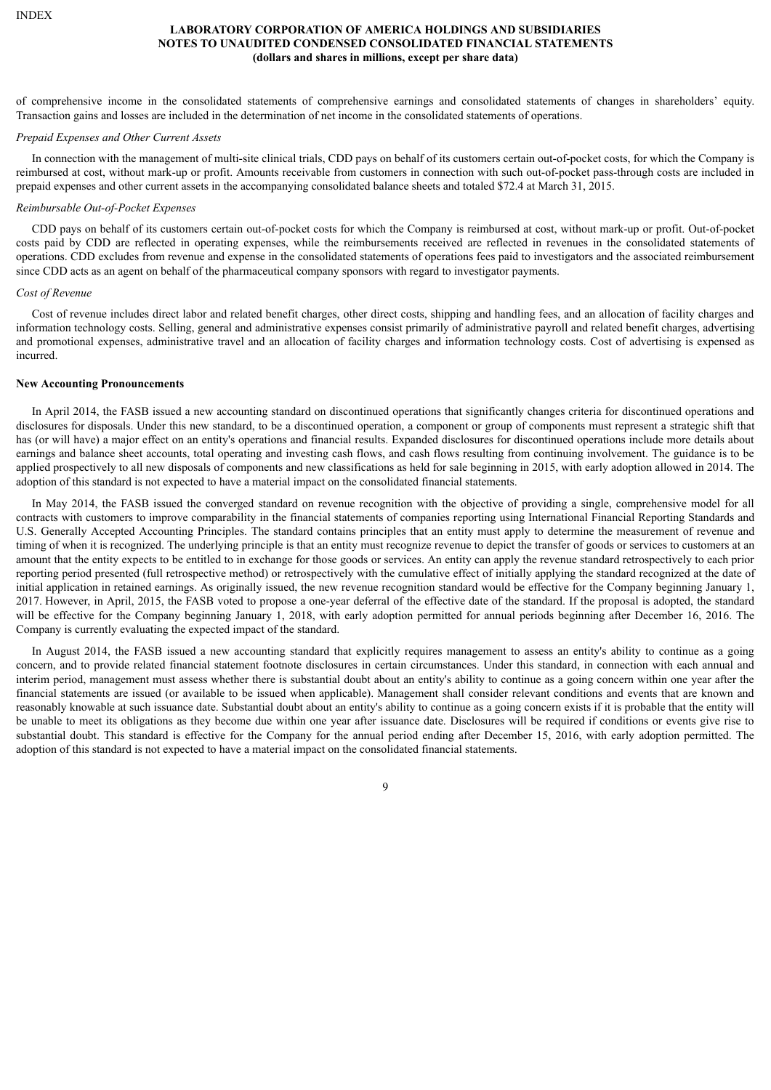of comprehensive income in the consolidated statements of comprehensive earnings and consolidated statements of changes in shareholders' equity. Transaction gains and losses are included in the determination of net income in the consolidated statements of operations.

#### *Prepaid Expenses and Other Current Assets*

In connection with the management of multi-site clinical trials, CDD pays on behalf of its customers certain out-of-pocket costs, for which the Company is reimbursed at cost, without mark-up or profit. Amounts receivable from customers in connection with such out-of-pocket pass-through costs are included in prepaid expenses and other current assets in the accompanying consolidated balance sheets and totaled \$72.4 at March 31, 2015.

#### *Reimbursable Out-of-Pocket Expenses*

CDD pays on behalf of its customers certain out-of-pocket costs for which the Company is reimbursed at cost, without mark-up or profit. Out-of-pocket costs paid by CDD are reflected in operating expenses, while the reimbursements received are reflected in revenues in the consolidated statements of operations. CDD excludes from revenue and expense in the consolidated statements of operations fees paid to investigators and the associated reimbursement since CDD acts as an agent on behalf of the pharmaceutical company sponsors with regard to investigator payments.

#### *Cost of Revenue*

Cost of revenue includes direct labor and related benefit charges, other direct costs, shipping and handling fees, and an allocation of facility charges and information technology costs. Selling, general and administrative expenses consist primarily of administrative payroll and related benefit charges, advertising and promotional expenses, administrative travel and an allocation of facility charges and information technology costs. Cost of advertising is expensed as incurred.

#### **New Accounting Pronouncements**

In April 2014, the FASB issued a new accounting standard on discontinued operations that significantly changes criteria for discontinued operations and disclosures for disposals. Under this new standard, to be a discontinued operation, a component or group of components must represent a strategic shift that has (or will have) a major effect on an entity's operations and financial results. Expanded disclosures for discontinued operations include more details about earnings and balance sheet accounts, total operating and investing cash flows, and cash flows resulting from continuing involvement. The guidance is to be applied prospectively to all new disposals of components and new classifications as held for sale beginning in 2015, with early adoption allowed in 2014. The adoption of this standard is not expected to have a material impact on the consolidated financial statements.

In May 2014, the FASB issued the converged standard on revenue recognition with the objective of providing a single, comprehensive model for all contracts with customers to improve comparability in the financial statements of companies reporting using International Financial Reporting Standards and U.S. Generally Accepted Accounting Principles. The standard contains principles that an entity must apply to determine the measurement of revenue and timing of when it is recognized. The underlying principle is that an entity must recognize revenue to depict the transfer of goods or services to customers at an amount that the entity expects to be entitled to in exchange for those goods or services. An entity can apply the revenue standard retrospectively to each prior reporting period presented (full retrospective method) or retrospectively with the cumulative effect of initially applying the standard recognized at the date of initial application in retained earnings. As originally issued, the new revenue recognition standard would be effective for the Company beginning January 1, 2017. However, in April, 2015, the FASB voted to propose a one-year deferral of the effective date of the standard. If the proposal is adopted, the standard will be effective for the Company beginning January 1, 2018, with early adoption permitted for annual periods beginning after December 16, 2016. The Company is currently evaluating the expected impact of the standard.

In August 2014, the FASB issued a new accounting standard that explicitly requires management to assess an entity's ability to continue as a going concern, and to provide related financial statement footnote disclosures in certain circumstances. Under this standard, in connection with each annual and interim period, management must assess whether there is substantial doubt about an entity's ability to continue as a going concern within one year after the financial statements are issued (or available to be issued when applicable). Management shall consider relevant conditions and events that are known and reasonably knowable at such issuance date. Substantial doubt about an entity's ability to continue as a going concern exists if it is probable that the entity will be unable to meet its obligations as they become due within one year after issuance date. Disclosures will be required if conditions or events give rise to substantial doubt. This standard is effective for the Company for the annual period ending after December 15, 2016, with early adoption permitted. The adoption of this standard is not expected to have a material impact on the consolidated financial statements.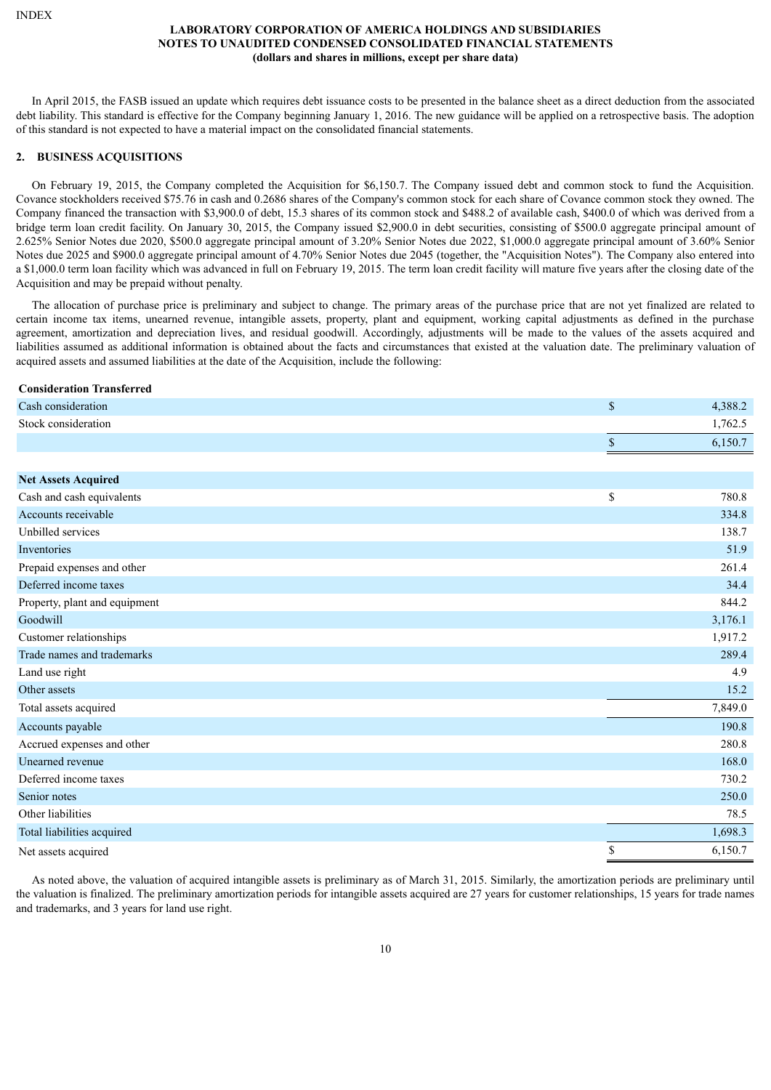In April 2015, the FASB issued an update which requires debt issuance costs to be presented in the balance sheet as a direct deduction from the associated debt liability. This standard is effective for the Company beginning January 1, 2016. The new guidance will be applied on a retrospective basis. The adoption of this standard is not expected to have a material impact on the consolidated financial statements.

#### **2. BUSINESS ACQUISITIONS**

On February 19, 2015, the Company completed the Acquisition for \$6,150.7. The Company issued debt and common stock to fund the Acquisition. Covance stockholders received \$75.76 in cash and 0.2686 shares of the Company's common stock for each share of Covance common stock they owned. The Company financed the transaction with \$3,900.0 of debt, 15.3 shares of its common stock and \$488.2 of available cash, \$400.0 of which was derived from a bridge term loan credit facility. On January 30, 2015, the Company issued \$2,900.0 in debt securities, consisting of \$500.0 aggregate principal amount of 2.625% Senior Notes due 2020, \$500.0 aggregate principal amount of 3.20% Senior Notes due 2022, \$1,000.0 aggregate principal amount of 3.60% Senior Notes due 2025 and \$900.0 aggregate principal amount of 4.70% Senior Notes due 2045 (together, the "Acquisition Notes"). The Company also entered into a \$1,000.0 term loan facility which was advanced in full on February 19, 2015. The term loan credit facility will mature five years after the closing date of the Acquisition and may be prepaid without penalty.

The allocation of purchase price is preliminary and subject to change. The primary areas of the purchase price that are not yet finalized are related to certain income tax items, unearned revenue, intangible assets, property, plant and equipment, working capital adjustments as defined in the purchase agreement, amortization and depreciation lives, and residual goodwill. Accordingly, adjustments will be made to the values of the assets acquired and liabilities assumed as additional information is obtained about the facts and circumstances that existed at the valuation date. The preliminary valuation of acquired assets and assumed liabilities at the date of the Acquisition, include the following:

#### **Consideration Transferred**

| CONSIGUE ALION TEAMSICLE CU   |              |         |
|-------------------------------|--------------|---------|
| Cash consideration            | \$           | 4,388.2 |
| Stock consideration           |              | 1,762.5 |
|                               | $\mathbb{S}$ | 6,150.7 |
|                               |              |         |
| <b>Net Assets Acquired</b>    |              |         |
| Cash and cash equivalents     | \$           | 780.8   |
| Accounts receivable           |              | 334.8   |
| Unbilled services             |              | 138.7   |
| Inventories                   |              | 51.9    |
| Prepaid expenses and other    |              | 261.4   |
| Deferred income taxes         |              | 34.4    |
| Property, plant and equipment |              | 844.2   |
| Goodwill                      |              | 3,176.1 |
| Customer relationships        |              | 1,917.2 |
| Trade names and trademarks    |              | 289.4   |
| Land use right                |              | 4.9     |
| Other assets                  |              | 15.2    |
| Total assets acquired         |              | 7,849.0 |
| Accounts payable              |              | 190.8   |
| Accrued expenses and other    |              | 280.8   |
| Unearned revenue              |              | 168.0   |
| Deferred income taxes         |              | 730.2   |
| Senior notes                  |              | 250.0   |
| Other liabilities             |              | 78.5    |
| Total liabilities acquired    |              | 1,698.3 |
| Net assets acquired           | \$           | 6,150.7 |

As noted above, the valuation of acquired intangible assets is preliminary as of March 31, 2015. Similarly, the amortization periods are preliminary until the valuation is finalized. The preliminary amortization periods for intangible assets acquired are 27 years for customer relationships, 15 years for trade names and trademarks, and 3 years for land use right.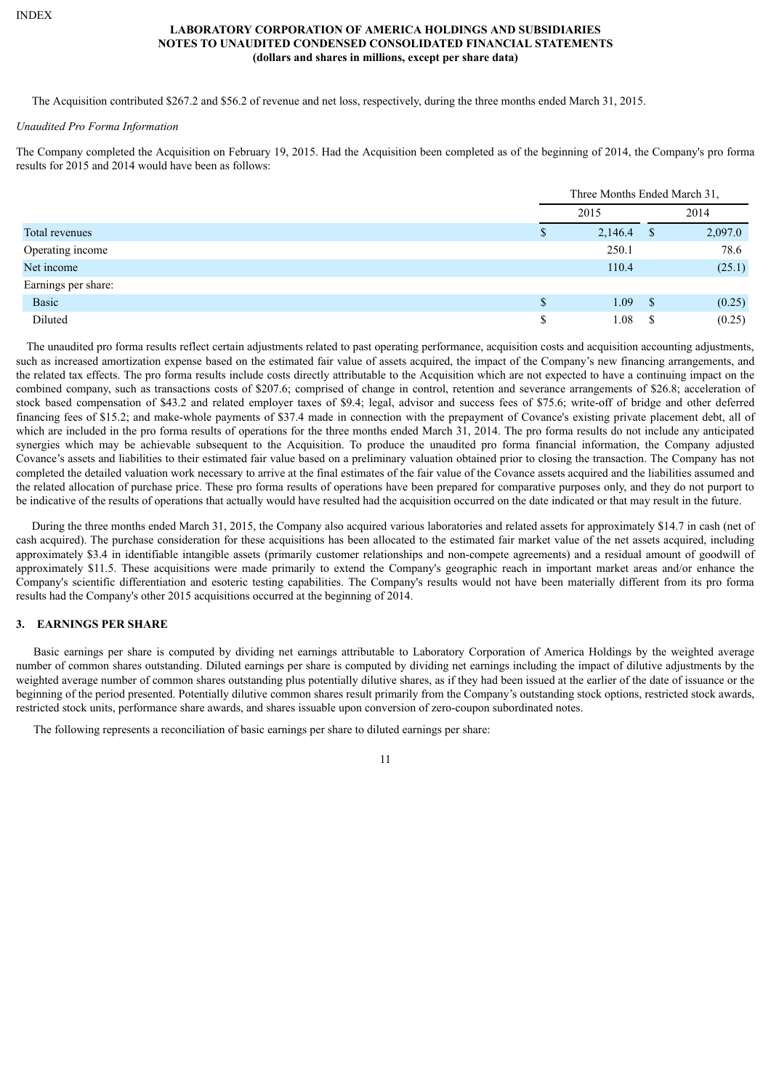The Acquisition contributed \$267.2 and \$56.2 of revenue and net loss, respectively, during the three months ended March 31, 2015.

#### *Unaudited Pro Forma Information*

The Company completed the Acquisition on February 19, 2015. Had the Acquisition been completed as of the beginning of 2014, the Company's pro forma results for 2015 and 2014 would have been as follows:

|                     |   | Three Months Ended March 31, |      |         |  |  |
|---------------------|---|------------------------------|------|---------|--|--|
|                     |   | 2015                         |      | 2014    |  |  |
| Total revenues      |   | 2,146.4                      | - \$ | 2,097.0 |  |  |
| Operating income    |   | 250.1                        |      | 78.6    |  |  |
| Net income          |   | 110.4                        |      | (25.1)  |  |  |
| Earnings per share: |   |                              |      |         |  |  |
| <b>Basic</b>        | S | 1.09                         | -S   | (0.25)  |  |  |
| Diluted             |   | 1.08                         |      | (0.25)  |  |  |

The unaudited pro forma results reflect certain adjustments related to past operating performance, acquisition costs and acquisition accounting adjustments, such as increased amortization expense based on the estimated fair value of assets acquired, the impact of the Company's new financing arrangements, and the related tax effects. The pro forma results include costs directly attributable to the Acquisition which are not expected to have a continuing impact on the combined company, such as transactions costs of \$207.6; comprised of change in control, retention and severance arrangements of \$26.8; acceleration of stock based compensation of \$43.2 and related employer taxes of \$9.4; legal, advisor and success fees of \$75.6; write-off of bridge and other deferred financing fees of \$15.2; and make-whole payments of \$37.4 made in connection with the prepayment of Covance's existing private placement debt, all of which are included in the pro forma results of operations for the three months ended March 31, 2014. The pro forma results do not include any anticipated synergies which may be achievable subsequent to the Acquisition. To produce the unaudited pro forma financial information, the Company adjusted Covance's assets and liabilities to their estimated fair value based on a preliminary valuation obtained prior to closing the transaction. The Company has not completed the detailed valuation work necessary to arrive at the final estimates of the fair value of the Covance assets acquired and the liabilities assumed and the related allocation of purchase price. These pro forma results of operations have been prepared for comparative purposes only, and they do not purport to be indicative of the results of operations that actually would have resulted had the acquisition occurred on the date indicated or that may result in the future.

During the three months ended March 31, 2015, the Company also acquired various laboratories and related assets for approximately \$14.7 in cash (net of cash acquired). The purchase consideration for these acquisitions has been allocated to the estimated fair market value of the net assets acquired, including approximately \$3.4 in identifiable intangible assets (primarily customer relationships and non-compete agreements) and a residual amount of goodwill of approximately \$11.5. These acquisitions were made primarily to extend the Company's geographic reach in important market areas and/or enhance the Company's scientific differentiation and esoteric testing capabilities. The Company's results would not have been materially different from its pro forma results had the Company's other 2015 acquisitions occurred at the beginning of 2014.

#### **3. EARNINGS PER SHARE**

Basic earnings per share is computed by dividing net earnings attributable to Laboratory Corporation of America Holdings by the weighted average number of common shares outstanding. Diluted earnings per share is computed by dividing net earnings including the impact of dilutive adjustments by the weighted average number of common shares outstanding plus potentially dilutive shares, as if they had been issued at the earlier of the date of issuance or the beginning of the period presented. Potentially dilutive common shares result primarily from the Company's outstanding stock options, restricted stock awards, restricted stock units, performance share awards, and shares issuable upon conversion of zero-coupon subordinated notes.

The following represents a reconciliation of basic earnings per share to diluted earnings per share: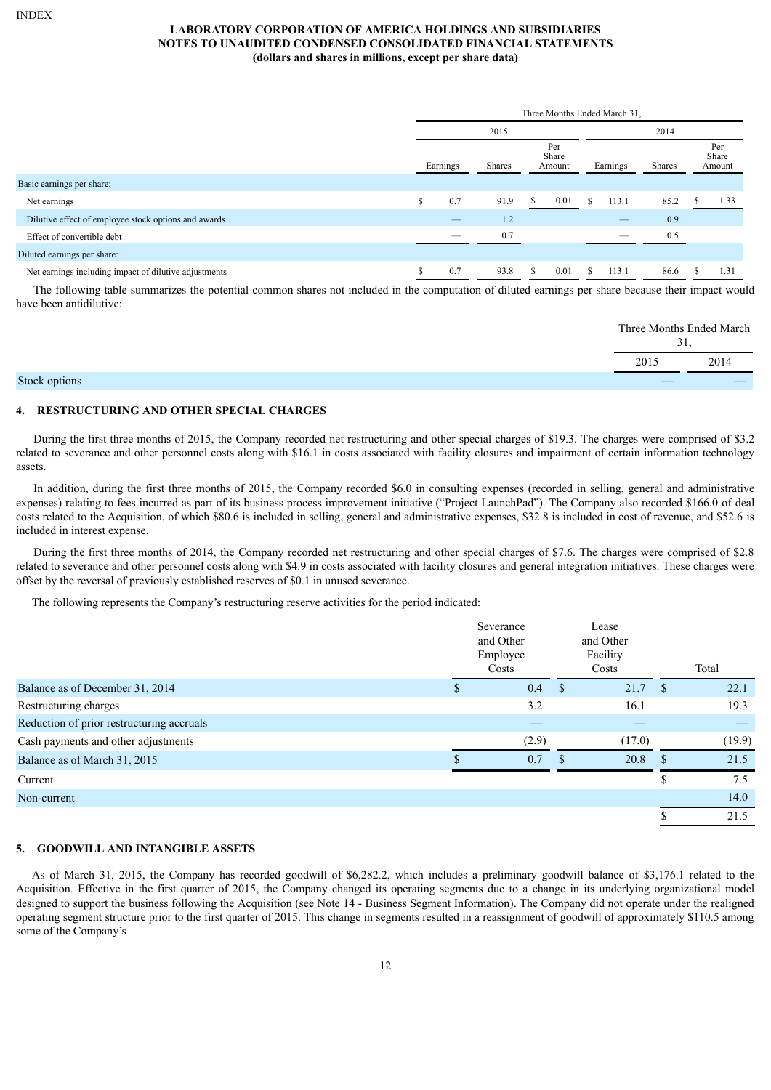|                                                       | Three Months Ended March 31, |          |        |    |                        |          |       |        |    |                        |
|-------------------------------------------------------|------------------------------|----------|--------|----|------------------------|----------|-------|--------|----|------------------------|
|                                                       | 2014<br>2015                 |          |        |    |                        |          |       |        |    |                        |
|                                                       |                              | Earnings | Shares |    | Per<br>Share<br>Amount | Earnings |       | Shares |    | Per<br>Share<br>Amount |
| Basic earnings per share:                             |                              |          |        |    |                        |          |       |        |    |                        |
| Net earnings                                          | ъ                            | 0.7      | 91.9   |    | 0.01                   | \$.      | 113.1 | 85.2   | J. | 1.33                   |
| Dilutive effect of employee stock options and awards  |                              |          | 1.2    |    |                        |          | $-$   | 0.9    |    |                        |
| Effect of convertible debt                            |                              |          | 0.7    |    |                        |          |       | 0.5    |    |                        |
| Diluted earnings per share:                           |                              |          |        |    |                        |          |       |        |    |                        |
| Net earnings including impact of dilutive adjustments |                              | 0.7      | 93.8   | S. | 0.01                   |          | 113.1 | 86.6   | -S | 1.31                   |

The following table summarizes the potential common shares not included in the computation of diluted earnings per share because their impact would have been antidilutive:

|               | ┙┸   | Three Months Ended March |
|---------------|------|--------------------------|
|               | 2015 | 2014                     |
| Stock options |      |                          |

#### **4. RESTRUCTURING AND OTHER SPECIAL CHARGES**

During the first three months of 2015, the Company recorded net restructuring and other special charges of \$19.3. The charges were comprised of \$3.2 related to severance and other personnel costs along with \$16.1 in costs associated with facility closures and impairment of certain information technology assets.

In addition, during the first three months of 2015, the Company recorded \$6.0 in consulting expenses (recorded in selling, general and administrative expenses) relating to fees incurred as part of its business process improvement initiative ("Project LaunchPad"). The Company also recorded \$166.0 of deal costs related to the Acquisition, of which \$80.6 is included in selling, general and administrative expenses, \$32.8 is included in cost of revenue, and \$52.6 is included in interest expense.

During the first three months of 2014, the Company recorded net restructuring and other special charges of \$7.6. The charges were comprised of \$2.8 related to severance and other personnel costs along with \$4.9 in costs associated with facility closures and general integration initiatives. These charges were offset by the reversal of previously established reserves of \$0.1 in unused severance.

The following represents the Company's restructuring reserve activities for the period indicated:

|                                           | Severance<br>and Other<br>Employee<br>Costs |              | Lease<br>and Other<br>Facility<br>Costs |    | Total  |
|-------------------------------------------|---------------------------------------------|--------------|-----------------------------------------|----|--------|
| Balance as of December 31, 2014           | 0.4                                         | $\mathbf{s}$ | 21.7                                    | -S | 22.1   |
| Restructuring charges                     | 3.2                                         |              | 16.1                                    |    | 19.3   |
| Reduction of prior restructuring accruals |                                             |              |                                         |    |        |
| Cash payments and other adjustments       | (2.9)                                       |              | (17.0)                                  |    | (19.9) |
| Balance as of March 31, 2015              | 0.7                                         | S            | 20.8                                    | -S | 21.5   |
| Current                                   |                                             |              |                                         |    | 7.5    |
| Non-current                               |                                             |              |                                         |    | 14.0   |
|                                           |                                             |              |                                         |    | 21.5   |

#### **5. GOODWILL AND INTANGIBLE ASSETS**

As of March 31, 2015, the Company has recorded goodwill of \$6,282.2, which includes a preliminary goodwill balance of \$3,176.1 related to the Acquisition. Effective in the first quarter of 2015, the Company changed its operating segments due to a change in its underlying organizational model designed to support the business following the Acquisition (see Note 14 - Business Segment Information). The Company did not operate under the realigned operating segment structure prior to the first quarter of 2015. This change in segments resulted in a reassignment of goodwill of approximately \$110.5 among some of the Company's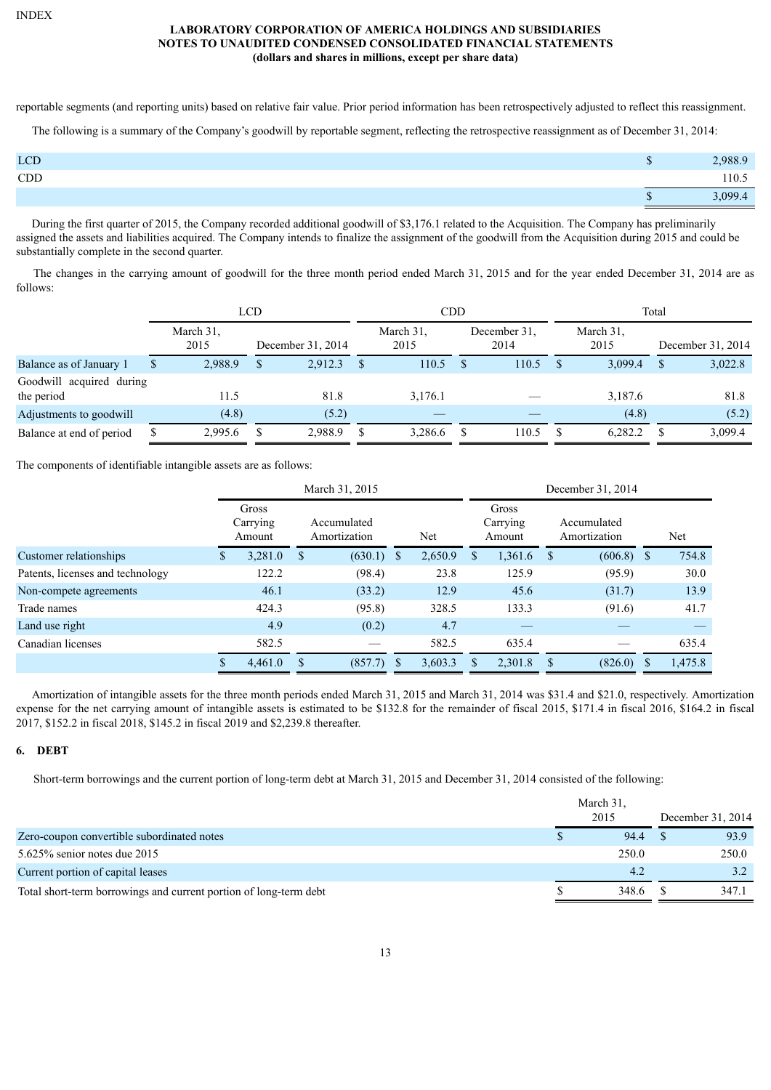reportable segments (and reporting units) based on relative fair value. Prior period information has been retrospectively adjusted to reflect this reassignment.

The following is a summary of the Company's goodwill by reportable segment, reflecting the retrospective reassignment as of December 31, 2014:

| <b>LCD</b> |                   | 2,988.9 |
|------------|-------------------|---------|
| CDD        |                   | 110.5   |
|            | ጦ<br>$\mathbf{D}$ | 3,099.4 |

During the first quarter of 2015, the Company recorded additional goodwill of \$3,176.1 related to the Acquisition. The Company has preliminarily assigned the assets and liabilities acquired. The Company intends to finalize the assignment of the goodwill from the Acquisition during 2015 and could be substantially complete in the second quarter.

The changes in the carrying amount of goodwill for the three month period ended March 31, 2015 and for the year ended December 31, 2014 are as follows:

|                                        | <b>LCD</b> |                   |  |                   | <b>CDD</b> |                   |    |                      | Total |                   |   |                   |
|----------------------------------------|------------|-------------------|--|-------------------|------------|-------------------|----|----------------------|-------|-------------------|---|-------------------|
|                                        |            | March 31.<br>2015 |  | December 31, 2014 |            | March 31.<br>2015 |    | December 31.<br>2014 |       | March 31.<br>2015 |   | December 31, 2014 |
| Balance as of January 1                | S          | 2.988.9           |  | 2,912.3           |            | 110.5             | S. | 110.5                |       | 3,099.4           | S | 3,022.8           |
| Goodwill acquired during<br>the period |            | 11.5              |  | 81.8              |            | 3,176.1           |    |                      |       | 3,187.6           |   | 81.8              |
| Adjustments to goodwill                |            | (4.8)             |  | (5.2)             |            |                   |    |                      |       | (4.8)             |   | (5.2)             |
| Balance at end of period               |            | 2,995.6           |  | 2,988.9           |            | 3,286.6           |    | 110.5                |       | 6,282.2           |   | 3,099.4           |

The components of identifiable intangible assets are as follows:

|                                  | March 31, 2015 |                             |   |                             |    |         | December 31, 2014 |                             |   |                             |  |         |  |
|----------------------------------|----------------|-----------------------------|---|-----------------------------|----|---------|-------------------|-----------------------------|---|-----------------------------|--|---------|--|
|                                  |                | Gross<br>Carrying<br>Amount |   | Accumulated<br>Amortization |    | Net     |                   | Gross<br>Carrying<br>Amount |   | Accumulated<br>Amortization |  | Net     |  |
| Customer relationships           | \$             | 3,281.0                     | S | (630.1)                     | S  | 2,650.9 | S                 | 1,361.6                     | S | $(606.8)$ \$                |  | 754.8   |  |
| Patents, licenses and technology |                | 122.2                       |   | (98.4)                      |    | 23.8    |                   | 125.9                       |   | (95.9)                      |  | 30.0    |  |
| Non-compete agreements           |                | 46.1                        |   | (33.2)                      |    | 12.9    |                   | 45.6                        |   | (31.7)                      |  | 13.9    |  |
| Trade names                      |                | 424.3                       |   | (95.8)                      |    | 328.5   |                   | 133.3                       |   | (91.6)                      |  | 41.7    |  |
| Land use right                   |                | 4.9                         |   | (0.2)                       |    | 4.7     |                   |                             |   |                             |  |         |  |
| Canadian licenses                |                | 582.5                       |   |                             |    | 582.5   |                   | 635.4                       |   |                             |  | 635.4   |  |
|                                  | \$             | 4,461.0                     |   | (857.7)                     | -S | 3,603.3 |                   | 2,301.8                     | S | $(826.0)$ \$                |  | 1,475.8 |  |

Amortization of intangible assets for the three month periods ended March 31, 2015 and March 31, 2014 was \$31.4 and \$21.0, respectively. Amortization expense for the net carrying amount of intangible assets is estimated to be \$132.8 for the remainder of fiscal 2015, \$171.4 in fiscal 2016, \$164.2 in fiscal 2017, \$152.2 in fiscal 2018, \$145.2 in fiscal 2019 and \$2,239.8 thereafter.

#### **6. DEBT**

Short-term borrowings and the current portion of long-term debt at March 31, 2015 and December 31, 2014 consisted of the following:

|                                                                   | March 31.<br>2015 | December 31, 2014 |
|-------------------------------------------------------------------|-------------------|-------------------|
| Zero-coupon convertible subordinated notes                        | 94.4              | 93.9              |
| $5.625\%$ senior notes due 2015                                   | 250.0             | 250.0             |
| Current portion of capital leases                                 | 4.2               |                   |
| Total short-term borrowings and current portion of long-term debt | 348.6             | 347.1             |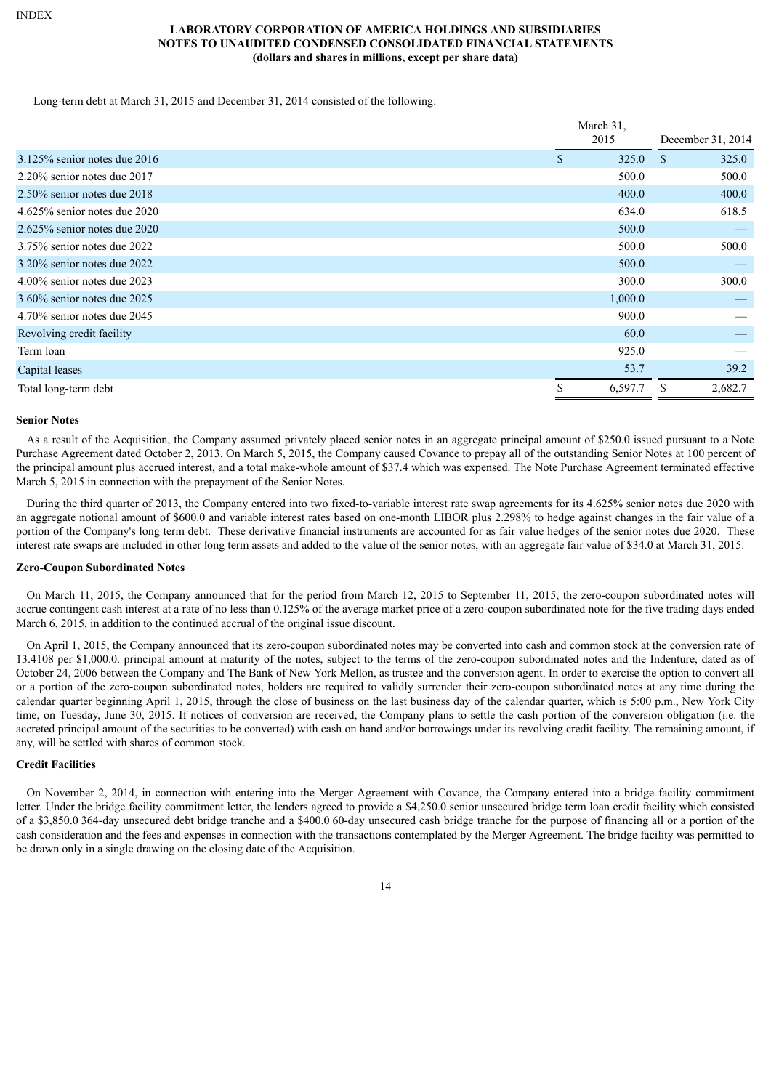Long-term debt at March 31, 2015 and December 31, 2014 consisted of the following:

|  | 2015    |               | December 31, 2014 |  |
|--|---------|---------------|-------------------|--|
|  | 325.0   | <sup>\$</sup> | 325.0             |  |
|  | 500.0   |               | 500.0             |  |
|  | 400.0   |               | 400.0             |  |
|  | 634.0   |               | 618.5             |  |
|  | 500.0   |               |                   |  |
|  | 500.0   |               | 500.0             |  |
|  | 500.0   |               |                   |  |
|  | 300.0   |               | 300.0             |  |
|  | 1,000.0 |               |                   |  |
|  | 900.0   |               |                   |  |
|  | 60.0    |               |                   |  |
|  | 925.0   |               |                   |  |
|  | 53.7    |               | 39.2              |  |
|  | 6,597.7 | S             | 2,682.7           |  |
|  |         | March 31.     |                   |  |

#### **Senior Notes**

As a result of the Acquisition, the Company assumed privately placed senior notes in an aggregate principal amount of \$250.0 issued pursuant to a Note Purchase Agreement dated October 2, 2013. On March 5, 2015, the Company caused Covance to prepay all of the outstanding Senior Notes at 100 percent of the principal amount plus accrued interest, and a total make-whole amount of \$37.4 which was expensed. The Note Purchase Agreement terminated effective March 5, 2015 in connection with the prepayment of the Senior Notes.

During the third quarter of 2013, the Company entered into two fixed-to-variable interest rate swap agreements for its 4.625% senior notes due 2020 with an aggregate notional amount of \$600.0 and variable interest rates based on one-month LIBOR plus 2.298% to hedge against changes in the fair value of a portion of the Company's long term debt. These derivative financial instruments are accounted for as fair value hedges of the senior notes due 2020. These interest rate swaps are included in other long term assets and added to the value of the senior notes, with an aggregate fair value of \$34.0 at March 31, 2015.

#### **Zero-Coupon Subordinated Notes**

On March 11, 2015, the Company announced that for the period from March 12, 2015 to September 11, 2015, the zero-coupon subordinated notes will accrue contingent cash interest at a rate of no less than 0.125% of the average market price of a zero-coupon subordinated note for the five trading days ended March 6, 2015, in addition to the continued accrual of the original issue discount.

On April 1, 2015, the Company announced that its zero-coupon subordinated notes may be converted into cash and common stock at the conversion rate of 13.4108 per \$1,000.0. principal amount at maturity of the notes, subject to the terms of the zero-coupon subordinated notes and the Indenture, dated as of October 24, 2006 between the Company and The Bank of New York Mellon, as trustee and the conversion agent. In order to exercise the option to convert all or a portion of the zero-coupon subordinated notes, holders are required to validly surrender their zero-coupon subordinated notes at any time during the calendar quarter beginning April 1, 2015, through the close of business on the last business day of the calendar quarter, which is 5:00 p.m., New York City time, on Tuesday, June 30, 2015. If notices of conversion are received, the Company plans to settle the cash portion of the conversion obligation (i.e. the accreted principal amount of the securities to be converted) with cash on hand and/or borrowings under its revolving credit facility. The remaining amount, if any, will be settled with shares of common stock.

#### **Credit Facilities**

On November 2, 2014, in connection with entering into the Merger Agreement with Covance, the Company entered into a bridge facility commitment letter. Under the bridge facility commitment letter, the lenders agreed to provide a \$4,250.0 senior unsecured bridge term loan credit facility which consisted of a \$3,850.0 364-day unsecured debt bridge tranche and a \$400.0 60-day unsecured cash bridge tranche for the purpose of financing all or a portion of the cash consideration and the fees and expenses in connection with the transactions contemplated by the Merger Agreement. The bridge facility was permitted to be drawn only in a single drawing on the closing date of the Acquisition.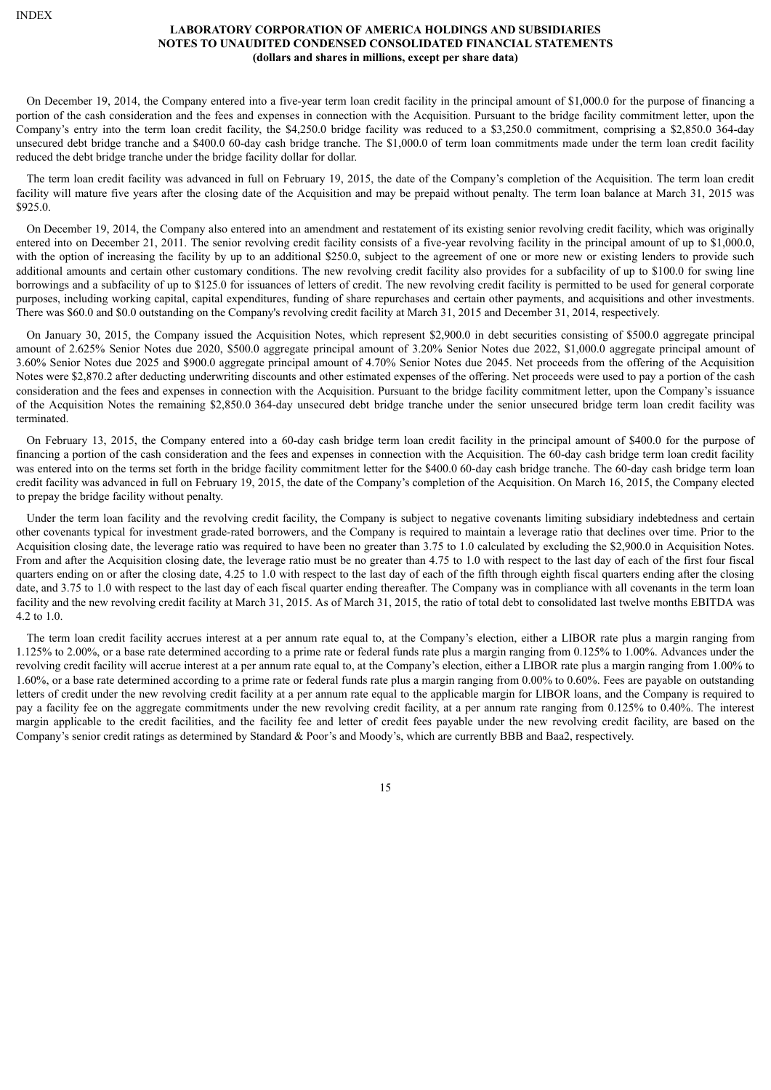INDEX

#### **LABORATORY CORPORATION OF AMERICA HOLDINGS AND SUBSIDIARIES NOTES TO UNAUDITED CONDENSED CONSOLIDATED FINANCIAL STATEMENTS (dollars and shares in millions, except per share data)**

On December 19, 2014, the Company entered into a five-year term loan credit facility in the principal amount of \$1,000.0 for the purpose of financing a portion of the cash consideration and the fees and expenses in connection with the Acquisition. Pursuant to the bridge facility commitment letter, upon the Company's entry into the term loan credit facility, the \$4,250.0 bridge facility was reduced to a \$3,250.0 commitment, comprising a \$2,850.0 364-day unsecured debt bridge tranche and a \$400.0 60-day cash bridge tranche. The \$1,000.0 of term loan commitments made under the term loan credit facility reduced the debt bridge tranche under the bridge facility dollar for dollar.

The term loan credit facility was advanced in full on February 19, 2015, the date of the Company's completion of the Acquisition. The term loan credit facility will mature five years after the closing date of the Acquisition and may be prepaid without penalty. The term loan balance at March 31, 2015 was \$925.0.

On December 19, 2014, the Company also entered into an amendment and restatement of its existing senior revolving credit facility, which was originally entered into on December 21, 2011. The senior revolving credit facility consists of a five-year revolving facility in the principal amount of up to \$1,000.0, with the option of increasing the facility by up to an additional \$250.0, subject to the agreement of one or more new or existing lenders to provide such additional amounts and certain other customary conditions. The new revolving credit facility also provides for a subfacility of up to \$100.0 for swing line borrowings and a subfacility of up to \$125.0 for issuances of letters of credit. The new revolving credit facility is permitted to be used for general corporate purposes, including working capital, capital expenditures, funding of share repurchases and certain other payments, and acquisitions and other investments. There was \$60.0 and \$0.0 outstanding on the Company's revolving credit facility at March 31, 2015 and December 31, 2014, respectively.

On January 30, 2015, the Company issued the Acquisition Notes, which represent \$2,900.0 in debt securities consisting of \$500.0 aggregate principal amount of 2.625% Senior Notes due 2020, \$500.0 aggregate principal amount of 3.20% Senior Notes due 2022, \$1,000.0 aggregate principal amount of 3.60% Senior Notes due 2025 and \$900.0 aggregate principal amount of 4.70% Senior Notes due 2045. Net proceeds from the offering of the Acquisition Notes were \$2,870.2 after deducting underwriting discounts and other estimated expenses of the offering. Net proceeds were used to pay a portion of the cash consideration and the fees and expenses in connection with the Acquisition. Pursuant to the bridge facility commitment letter, upon the Company's issuance of the Acquisition Notes the remaining \$2,850.0 364-day unsecured debt bridge tranche under the senior unsecured bridge term loan credit facility was terminated.

On February 13, 2015, the Company entered into a 60-day cash bridge term loan credit facility in the principal amount of \$400.0 for the purpose of financing a portion of the cash consideration and the fees and expenses in connection with the Acquisition. The 60-day cash bridge term loan credit facility was entered into on the terms set forth in the bridge facility commitment letter for the \$400.0 60-day cash bridge tranche. The 60-day cash bridge term loan credit facility was advanced in full on February 19, 2015, the date of the Company's completion of the Acquisition. On March 16, 2015, the Company elected to prepay the bridge facility without penalty.

Under the term loan facility and the revolving credit facility, the Company is subject to negative covenants limiting subsidiary indebtedness and certain other covenants typical for investment grade-rated borrowers, and the Company is required to maintain a leverage ratio that declines over time. Prior to the Acquisition closing date, the leverage ratio was required to have been no greater than 3.75 to 1.0 calculated by excluding the \$2,900.0 in Acquisition Notes. From and after the Acquisition closing date, the leverage ratio must be no greater than 4.75 to 1.0 with respect to the last day of each of the first four fiscal quarters ending on or after the closing date, 4.25 to 1.0 with respect to the last day of each of the fifth through eighth fiscal quarters ending after the closing date, and 3.75 to 1.0 with respect to the last day of each fiscal quarter ending thereafter. The Company was in compliance with all covenants in the term loan facility and the new revolving credit facility at March 31, 2015. As of March 31, 2015, the ratio of total debt to consolidated last twelve months EBITDA was 4.2 to 1.0.

The term loan credit facility accrues interest at a per annum rate equal to, at the Company's election, either a LIBOR rate plus a margin ranging from 1.125% to 2.00%, or a base rate determined according to a prime rate or federal funds rate plus a margin ranging from 0.125% to 1.00%. Advances under the revolving credit facility will accrue interest at a per annum rate equal to, at the Company's election, either a LIBOR rate plus a margin ranging from 1.00% to 1.60%, or a base rate determined according to a prime rate or federal funds rate plus a margin ranging from 0.00% to 0.60%. Fees are payable on outstanding letters of credit under the new revolving credit facility at a per annum rate equal to the applicable margin for LIBOR loans, and the Company is required to pay a facility fee on the aggregate commitments under the new revolving credit facility, at a per annum rate ranging from 0.125% to 0.40%. The interest margin applicable to the credit facilities, and the facility fee and letter of credit fees payable under the new revolving credit facility, are based on the Company's senior credit ratings as determined by Standard & Poor's and Moody's, which are currently BBB and Baa2, respectively.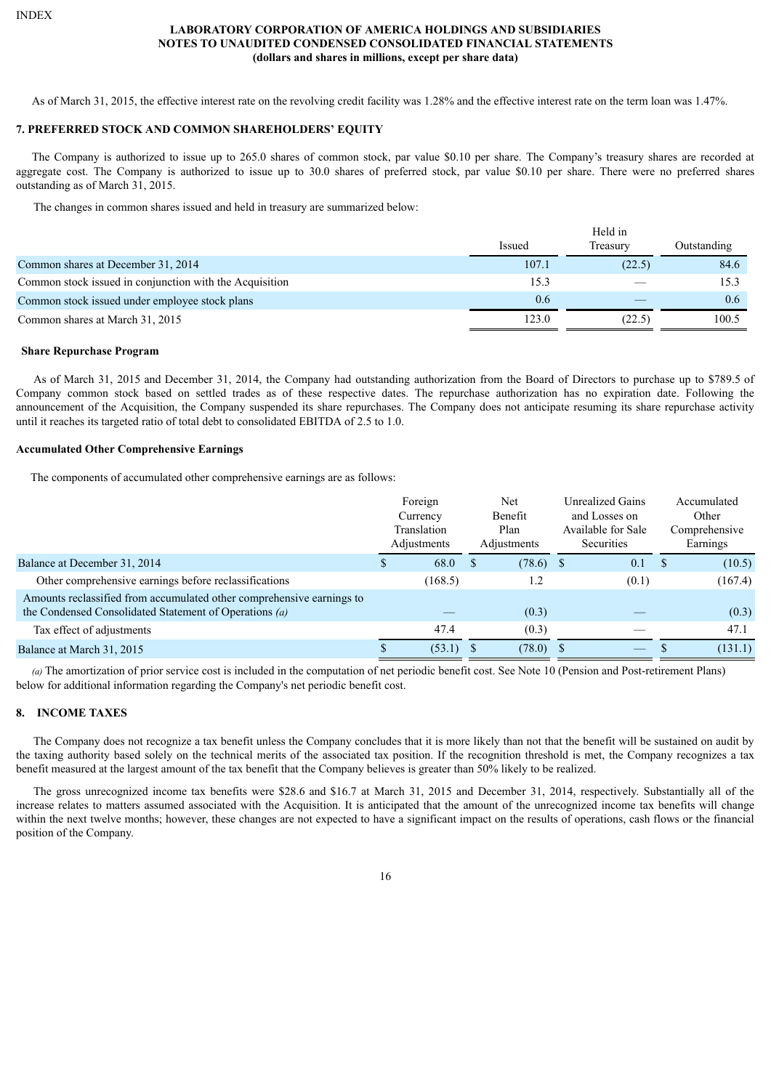As of March 31, 2015, the effective interest rate on the revolving credit facility was 1.28% and the effective interest rate on the term loan was 1.47%.

### **7. PREFERRED STOCK AND COMMON SHAREHOLDERS' EQUITY**

The Company is authorized to issue up to 265.0 shares of common stock, par value \$0.10 per share. The Company's treasury shares are recorded at aggregate cost. The Company is authorized to issue up to 30.0 shares of preferred stock, par value \$0.10 per share. There were no preferred shares outstanding as of March 31, 2015.

The changes in common shares issued and held in treasury are summarized below:

|                                                         | Issued | Treasurv | Outstanding |  |
|---------------------------------------------------------|--------|----------|-------------|--|
| Common shares at December 31, 2014                      | 107.1  | (22.5)   | 84.6        |  |
| Common stock issued in conjunction with the Acquisition | 15.3   |          | 15.3        |  |
| Common stock issued under employee stock plans          | 0.6    |          | 0.6         |  |
| Common shares at March 31, 2015                         | 123.0  | (22.5)   | 100.5       |  |

#### **Share Repurchase Program**

As of March 31, 2015 and December 31, 2014, the Company had outstanding authorization from the Board of Directors to purchase up to \$789.5 of Company common stock based on settled trades as of these respective dates. The repurchase authorization has no expiration date. Following the announcement of the Acquisition, the Company suspended its share repurchases. The Company does not anticipate resuming its share repurchase activity until it reaches its targeted ratio of total debt to consolidated EBITDA of 2.5 to 1.0.

#### **Accumulated Other Comprehensive Earnings**

The components of accumulated other comprehensive earnings are as follows:

|                                                                                                                                 |  | Foreign<br>Currency<br>Translation<br>Adjustments |   | Net<br>Benefit<br>Plan<br>Adjustments |      | <b>Unrealized Gains</b><br>and Losses on<br>Available for Sale<br><b>Securities</b> |          | Accumulated<br>Other<br>Comprehensive<br>Earnings |  |
|---------------------------------------------------------------------------------------------------------------------------------|--|---------------------------------------------------|---|---------------------------------------|------|-------------------------------------------------------------------------------------|----------|---------------------------------------------------|--|
| Balance at December 31, 2014                                                                                                    |  | 68.0                                              | S | (78.6)                                | - \$ | 0.1                                                                                 | <b>S</b> | (10.5)                                            |  |
| Other comprehensive earnings before reclassifications                                                                           |  | (168.5)                                           |   | 1.2                                   |      | (0.1)                                                                               |          | (167.4)                                           |  |
| Amounts reclassified from accumulated other comprehensive earnings to<br>the Condensed Consolidated Statement of Operations (a) |  |                                                   |   | (0.3)                                 |      |                                                                                     |          | (0.3)                                             |  |
| Tax effect of adjustments                                                                                                       |  | 47.4                                              |   | (0.3)                                 |      |                                                                                     |          | 47.1                                              |  |
| Balance at March 31, 2015                                                                                                       |  | (53.1)                                            |   | (78.0)                                |      |                                                                                     |          | (131.1)                                           |  |

*(a)* The amortization of prior service cost is included in the computation of net periodic benefit cost. See Note 10 (Pension and Post-retirement Plans) below for additional information regarding the Company's net periodic benefit cost.

#### **8. INCOME TAXES**

The Company does not recognize a tax benefit unless the Company concludes that it is more likely than not that the benefit will be sustained on audit by the taxing authority based solely on the technical merits of the associated tax position. If the recognition threshold is met, the Company recognizes a tax benefit measured at the largest amount of the tax benefit that the Company believes is greater than 50% likely to be realized.

The gross unrecognized income tax benefits were \$28.6 and \$16.7 at March 31, 2015 and December 31, 2014, respectively. Substantially all of the increase relates to matters assumed associated with the Acquisition. It is anticipated that the amount of the unrecognized income tax benefits will change within the next twelve months; however, these changes are not expected to have a significant impact on the results of operations, cash flows or the financial position of the Company.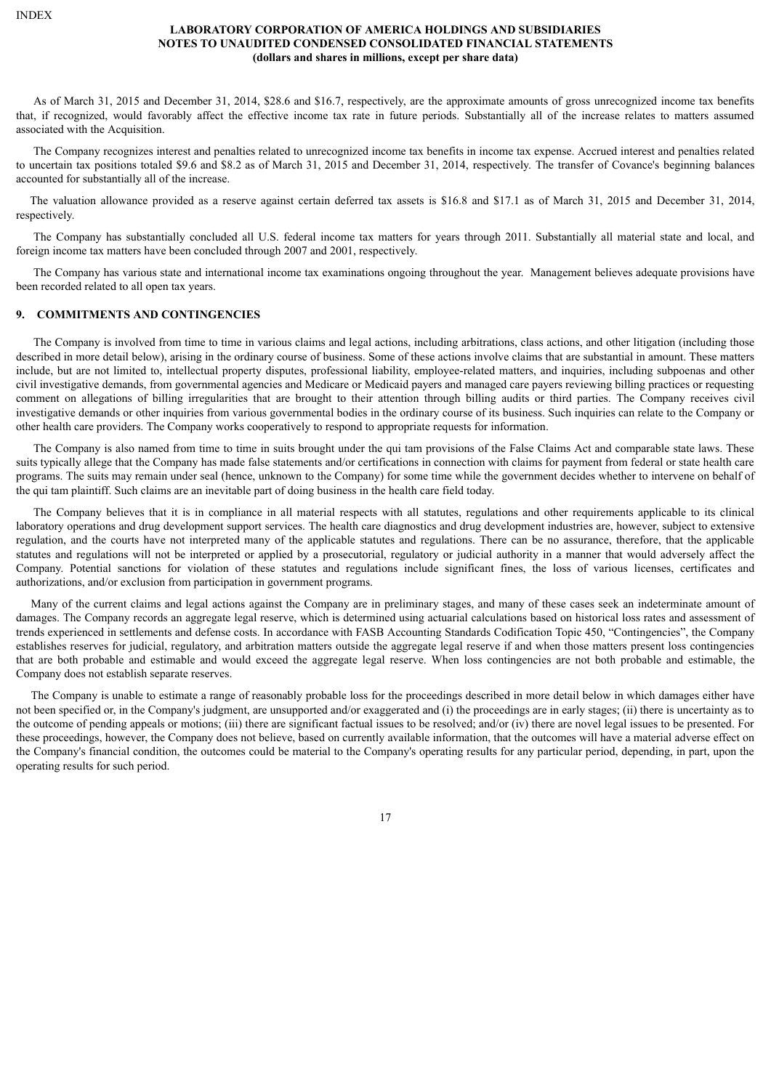As of March 31, 2015 and December 31, 2014, \$28.6 and \$16.7, respectively, are the approximate amounts of gross unrecognized income tax benefits that, if recognized, would favorably affect the effective income tax rate in future periods. Substantially all of the increase relates to matters assumed associated with the Acquisition.

The Company recognizes interest and penalties related to unrecognized income tax benefits in income tax expense. Accrued interest and penalties related to uncertain tax positions totaled \$9.6 and \$8.2 as of March 31, 2015 and December 31, 2014, respectively. The transfer of Covance's beginning balances accounted for substantially all of the increase.

The valuation allowance provided as a reserve against certain deferred tax assets is \$16.8 and \$17.1 as of March 31, 2015 and December 31, 2014, respectively.

The Company has substantially concluded all U.S. federal income tax matters for years through 2011. Substantially all material state and local, and foreign income tax matters have been concluded through 2007 and 2001, respectively.

The Company has various state and international income tax examinations ongoing throughout the year. Management believes adequate provisions have been recorded related to all open tax years.

#### **9. COMMITMENTS AND CONTINGENCIES**

The Company is involved from time to time in various claims and legal actions, including arbitrations, class actions, and other litigation (including those described in more detail below), arising in the ordinary course of business. Some of these actions involve claims that are substantial in amount. These matters include, but are not limited to, intellectual property disputes, professional liability, employee-related matters, and inquiries, including subpoenas and other civil investigative demands, from governmental agencies and Medicare or Medicaid payers and managed care payers reviewing billing practices or requesting comment on allegations of billing irregularities that are brought to their attention through billing audits or third parties. The Company receives civil investigative demands or other inquiries from various governmental bodies in the ordinary course of its business. Such inquiries can relate to the Company or other health care providers. The Company works cooperatively to respond to appropriate requests for information.

The Company is also named from time to time in suits brought under the qui tam provisions of the False Claims Act and comparable state laws. These suits typically allege that the Company has made false statements and/or certifications in connection with claims for payment from federal or state health care programs. The suits may remain under seal (hence, unknown to the Company) for some time while the government decides whether to intervene on behalf of the qui tam plaintiff. Such claims are an inevitable part of doing business in the health care field today.

The Company believes that it is in compliance in all material respects with all statutes, regulations and other requirements applicable to its clinical laboratory operations and drug development support services. The health care diagnostics and drug development industries are, however, subject to extensive regulation, and the courts have not interpreted many of the applicable statutes and regulations. There can be no assurance, therefore, that the applicable statutes and regulations will not be interpreted or applied by a prosecutorial, regulatory or judicial authority in a manner that would adversely affect the Company. Potential sanctions for violation of these statutes and regulations include significant fines, the loss of various licenses, certificates and authorizations, and/or exclusion from participation in government programs.

Many of the current claims and legal actions against the Company are in preliminary stages, and many of these cases seek an indeterminate amount of damages. The Company records an aggregate legal reserve, which is determined using actuarial calculations based on historical loss rates and assessment of trends experienced in settlements and defense costs. In accordance with FASB Accounting Standards Codification Topic 450, "Contingencies", the Company establishes reserves for judicial, regulatory, and arbitration matters outside the aggregate legal reserve if and when those matters present loss contingencies that are both probable and estimable and would exceed the aggregate legal reserve. When loss contingencies are not both probable and estimable, the Company does not establish separate reserves.

The Company is unable to estimate a range of reasonably probable loss for the proceedings described in more detail below in which damages either have not been specified or, in the Company's judgment, are unsupported and/or exaggerated and (i) the proceedings are in early stages; (ii) there is uncertainty as to the outcome of pending appeals or motions; (iii) there are significant factual issues to be resolved; and/or (iv) there are novel legal issues to be presented. For these proceedings, however, the Company does not believe, based on currently available information, that the outcomes will have a material adverse effect on the Company's financial condition, the outcomes could be material to the Company's operating results for any particular period, depending, in part, upon the operating results for such period.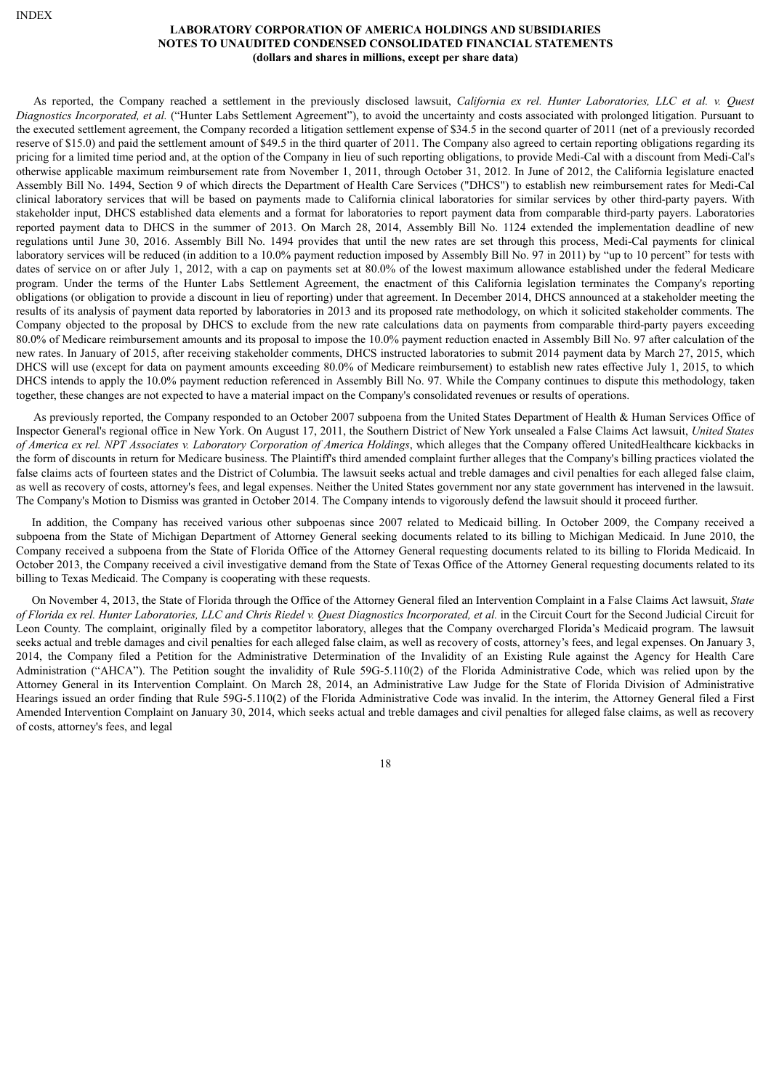As reported, the Company reached a settlement in the previously disclosed lawsuit, *California ex rel. Hunter Laboratories, LLC et al. v. Quest Diagnostics Incorporated, et al.* ("Hunter Labs Settlement Agreement"), to avoid the uncertainty and costs associated with prolonged litigation. Pursuant to the executed settlement agreement, the Company recorded a litigation settlement expense of \$34.5 in the second quarter of 2011 (net of a previously recorded reserve of \$15.0) and paid the settlement amount of \$49.5 in the third quarter of 2011. The Company also agreed to certain reporting obligations regarding its pricing for a limited time period and, at the option of the Company in lieu of such reporting obligations, to provide Medi-Cal with a discount from Medi-Cal's otherwise applicable maximum reimbursement rate from November 1, 2011, through October 31, 2012. In June of 2012, the California legislature enacted Assembly Bill No. 1494, Section 9 of which directs the Department of Health Care Services ("DHCS") to establish new reimbursement rates for Medi-Cal clinical laboratory services that will be based on payments made to California clinical laboratories for similar services by other third-party payers. With stakeholder input, DHCS established data elements and a format for laboratories to report payment data from comparable third-party payers. Laboratories reported payment data to DHCS in the summer of 2013. On March 28, 2014, Assembly Bill No. 1124 extended the implementation deadline of new regulations until June 30, 2016. Assembly Bill No. 1494 provides that until the new rates are set through this process, Medi-Cal payments for clinical laboratory services will be reduced (in addition to a 10.0% payment reduction imposed by Assembly Bill No. 97 in 2011) by "up to 10 percent" for tests with dates of service on or after July 1, 2012, with a cap on payments set at 80.0% of the lowest maximum allowance established under the federal Medicare program. Under the terms of the Hunter Labs Settlement Agreement, the enactment of this California legislation terminates the Company's reporting obligations (or obligation to provide a discount in lieu of reporting) under that agreement. In December 2014, DHCS announced at a stakeholder meeting the results of its analysis of payment data reported by laboratories in 2013 and its proposed rate methodology, on which it solicited stakeholder comments. The Company objected to the proposal by DHCS to exclude from the new rate calculations data on payments from comparable third-party payers exceeding 80.0% of Medicare reimbursement amounts and its proposal to impose the 10.0% payment reduction enacted in Assembly Bill No. 97 after calculation of the new rates. In January of 2015, after receiving stakeholder comments, DHCS instructed laboratories to submit 2014 payment data by March 27, 2015, which DHCS will use (except for data on payment amounts exceeding 80.0% of Medicare reimbursement) to establish new rates effective July 1, 2015, to which DHCS intends to apply the 10.0% payment reduction referenced in Assembly Bill No. 97. While the Company continues to dispute this methodology, taken together, these changes are not expected to have a material impact on the Company's consolidated revenues or results of operations.

As previously reported, the Company responded to an October 2007 subpoena from the United States Department of Health & Human Services Office of Inspector General's regional office in New York. On August 17, 2011, the Southern District of New York unsealed a False Claims Act lawsuit, *United States* of America ex rel. NPT Associates v. Laboratory Corporation of America Holdings, which alleges that the Company offered UnitedHealthcare kickbacks in the form of discounts in return for Medicare business. The Plaintiff's third amended complaint further alleges that the Company's billing practices violated the false claims acts of fourteen states and the District of Columbia. The lawsuit seeks actual and treble damages and civil penalties for each alleged false claim, as well as recovery of costs, attorney's fees, and legal expenses. Neither the United States government nor any state government has intervened in the lawsuit. The Company's Motion to Dismiss was granted in October 2014. The Company intends to vigorously defend the lawsuit should it proceed further.

In addition, the Company has received various other subpoenas since 2007 related to Medicaid billing. In October 2009, the Company received a subpoena from the State of Michigan Department of Attorney General seeking documents related to its billing to Michigan Medicaid. In June 2010, the Company received a subpoena from the State of Florida Office of the Attorney General requesting documents related to its billing to Florida Medicaid. In October 2013, the Company received a civil investigative demand from the State of Texas Office of the Attorney General requesting documents related to its billing to Texas Medicaid. The Company is cooperating with these requests.

On November 4, 2013, the State of Florida through the Office of the Attorney General filed an Intervention Complaint in a False Claims Act lawsuit, *State* of Florida ex rel. Hunter Laboratories, LLC and Chris Riedel v. Quest Diagnostics Incorporated, et al. in the Circuit Court for the Second Judicial Circuit for Leon County. The complaint, originally filed by a competitor laboratory, alleges that the Company overcharged Florida's Medicaid program. The lawsuit seeks actual and treble damages and civil penalties for each alleged false claim, as well as recovery of costs, attorney's fees, and legal expenses. On January 3, 2014, the Company filed a Petition for the Administrative Determination of the Invalidity of an Existing Rule against the Agency for Health Care Administration ("AHCA"). The Petition sought the invalidity of Rule 59G-5.110(2) of the Florida Administrative Code, which was relied upon by the Attorney General in its Intervention Complaint. On March 28, 2014, an Administrative Law Judge for the State of Florida Division of Administrative Hearings issued an order finding that Rule 59G-5.110(2) of the Florida Administrative Code was invalid. In the interim, the Attorney General filed a First Amended Intervention Complaint on January 30, 2014, which seeks actual and treble damages and civil penalties for alleged false claims, as well as recovery of costs, attorney's fees, and legal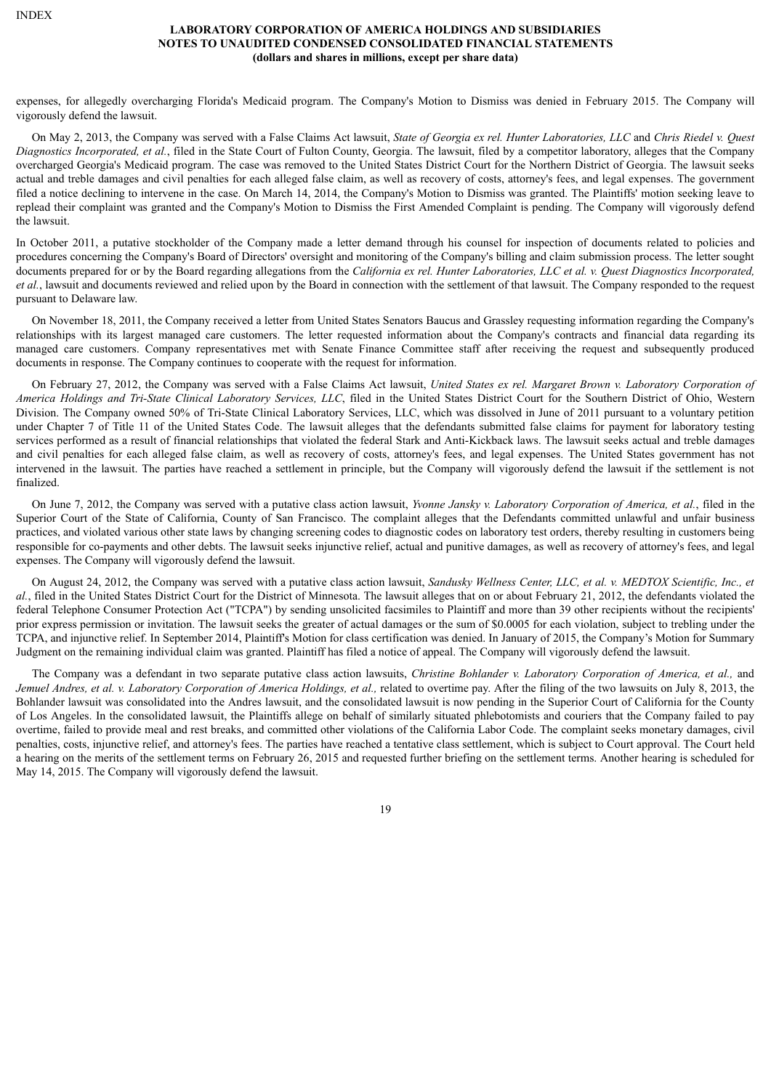expenses, for allegedly overcharging Florida's Medicaid program. The Company's Motion to Dismiss was denied in February 2015. The Company will vigorously defend the lawsuit.

On May 2, 2013, the Company was served with a False Claims Act lawsuit, State of Georgia ex rel. Hunter Laboratories, LLC and Chris Riedel v. Quest *Diagnostics Incorporated, et al.*, filed in the State Court of Fulton County, Georgia. The lawsuit, filed by a competitor laboratory, alleges that the Company overcharged Georgia's Medicaid program. The case was removed to the United States District Court for the Northern District of Georgia. The lawsuit seeks actual and treble damages and civil penalties for each alleged false claim, as well as recovery of costs, attorney's fees, and legal expenses. The government filed a notice declining to intervene in the case. On March 14, 2014, the Company's Motion to Dismiss was granted. The Plaintiffs' motion seeking leave to replead their complaint was granted and the Company's Motion to Dismiss the First Amended Complaint is pending. The Company will vigorously defend the lawsuit.

In October 2011, a putative stockholder of the Company made a letter demand through his counsel for inspection of documents related to policies and procedures concerning the Company's Board of Directors' oversight and monitoring of the Company's billing and claim submission process. The letter sought documents prepared for or by the Board regarding allegations from the California ex rel. Hunter Laboratories, LLC et al. v. Quest Diagnostics Incorporated, *et al.*, lawsuit and documents reviewed and relied upon by the Board in connection with the settlement of that lawsuit. The Company responded to the request pursuant to Delaware law.

On November 18, 2011, the Company received a letter from United States Senators Baucus and Grassley requesting information regarding the Company's relationships with its largest managed care customers. The letter requested information about the Company's contracts and financial data regarding its managed care customers. Company representatives met with Senate Finance Committee staff after receiving the request and subsequently produced documents in response. The Company continues to cooperate with the request for information.

On February 27, 2012, the Company was served with a False Claims Act lawsuit, *United States ex rel. Margaret Brown v. Laboratory Corporation of America Holdings and Tri-State Clinical Laboratory Services, LLC*, filed in the United States District Court for the Southern District of Ohio, Western Division. The Company owned 50% of Tri-State Clinical Laboratory Services, LLC, which was dissolved in June of 2011 pursuant to a voluntary petition under Chapter 7 of Title 11 of the United States Code. The lawsuit alleges that the defendants submitted false claims for payment for laboratory testing services performed as a result of financial relationships that violated the federal Stark and Anti-Kickback laws. The lawsuit seeks actual and treble damages and civil penalties for each alleged false claim, as well as recovery of costs, attorney's fees, and legal expenses. The United States government has not intervened in the lawsuit. The parties have reached a settlement in principle, but the Company will vigorously defend the lawsuit if the settlement is not finalized.

On June 7, 2012, the Company was served with a putative class action lawsuit, *Yvonne Jansky v. Laboratory Corporation of America, et al.*, filed in the Superior Court of the State of California, County of San Francisco. The complaint alleges that the Defendants committed unlawful and unfair business practices, and violated various other state laws by changing screening codes to diagnostic codes on laboratory test orders, thereby resulting in customers being responsible for co-payments and other debts. The lawsuit seeks injunctive relief, actual and punitive damages, as well as recovery of attorney's fees, and legal expenses. The Company will vigorously defend the lawsuit.

On August 24, 2012, the Company was served with a putative class action lawsuit, Sandusky Wellness Center, LLC, et al. v. MEDTOX Scientific, Inc., et *al.*, filed in the United States District Court for the District of Minnesota. The lawsuit alleges that on or about February 21, 2012, the defendants violated the federal Telephone Consumer Protection Act ("TCPA") by sending unsolicited facsimiles to Plaintiff and more than 39 other recipients without the recipients' prior express permission or invitation. The lawsuit seeks the greater of actual damages or the sum of \$0.0005 for each violation, subject to trebling under the TCPA, and injunctive relief. In September 2014, Plaintiff's Motion for class certification was denied. In January of 2015, the Company's Motion for Summary Judgment on the remaining individual claim was granted. Plaintiff has filed a notice of appeal. The Company will vigorously defend the lawsuit.

The Company was a defendant in two separate putative class action lawsuits, *Christine Bohlander v. Laboratory Corporation of America, et al.,* and Jemuel Andres, et al. v. Laboratory Corporation of America Holdings, et al., related to overtime pay. After the filing of the two lawsuits on July 8, 2013, the Bohlander lawsuit was consolidated into the Andres lawsuit, and the consolidated lawsuit is now pending in the Superior Court of California for the County of Los Angeles. In the consolidated lawsuit, the Plaintiffs allege on behalf of similarly situated phlebotomists and couriers that the Company failed to pay overtime, failed to provide meal and rest breaks, and committed other violations of the California Labor Code. The complaint seeks monetary damages, civil penalties, costs, injunctive relief, and attorney's fees. The parties have reached a tentative class settlement, which is subject to Court approval. The Court held a hearing on the merits of the settlement terms on February 26, 2015 and requested further briefing on the settlement terms. Another hearing is scheduled for May 14, 2015. The Company will vigorously defend the lawsuit.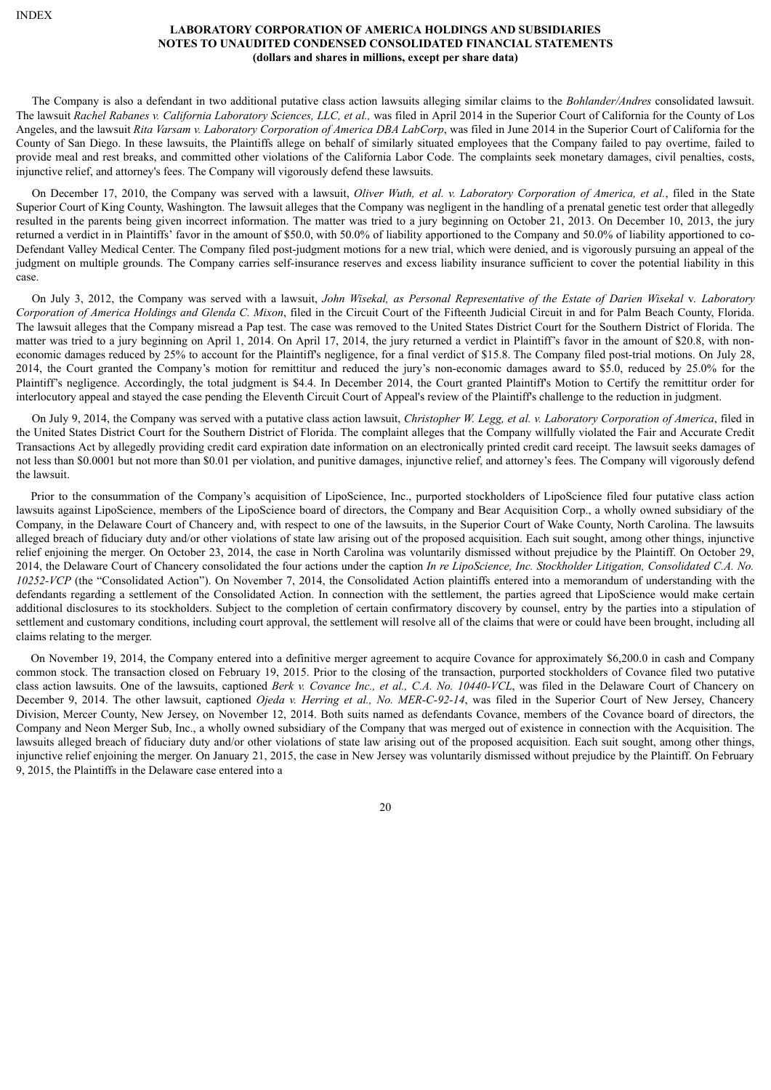INDEX

#### **LABORATORY CORPORATION OF AMERICA HOLDINGS AND SUBSIDIARIES NOTES TO UNAUDITED CONDENSED CONSOLIDATED FINANCIAL STATEMENTS (dollars and shares in millions, except per share data)**

The Company is also a defendant in two additional putative class action lawsuits alleging similar claims to the *Bohlander/Andres* consolidated lawsuit. The lawsuit *Rachel Rabanes v. California Laboratory Sciences, LLC, et al.,* was filed in April 2014 in the Superior Court of California for the County of Los Angeles, and the lawsuit *Rita Varsam v. Laboratory Corporation of America DBA LabCorp*, was filed in June 2014 in the Superior Court of California for the County of San Diego. In these lawsuits, the Plaintiffs allege on behalf of similarly situated employees that the Company failed to pay overtime, failed to provide meal and rest breaks, and committed other violations of the California Labor Code. The complaints seek monetary damages, civil penalties, costs, injunctive relief, and attorney's fees. The Company will vigorously defend these lawsuits.

On December 17, 2010, the Company was served with a lawsuit, *Oliver Wuth, et al. v. Laboratory Corporation of America, et al.*, filed in the State Superior Court of King County, Washington. The lawsuit alleges that the Company was negligent in the handling of a prenatal genetic test order that allegedly resulted in the parents being given incorrect information. The matter was tried to a jury beginning on October 21, 2013. On December 10, 2013, the jury returned a verdict in in Plaintiffs' favor in the amount of \$50.0, with 50.0% of liability apportioned to the Company and 50.0% of liability apportioned to co-Defendant Valley Medical Center. The Company filed post-judgment motions for a new trial, which were denied, and is vigorously pursuing an appeal of the judgment on multiple grounds. The Company carries self-insurance reserves and excess liability insurance sufficient to cover the potential liability in this case.

On July 3, 2012, the Company was served with a lawsuit, John Wisekal, as Personal Representative of the Estate of Darien Wisekal v. Laboratory *Corporation of America Holdings and Glenda C. Mixon*, filed in the Circuit Court of the Fifteenth Judicial Circuit in and for Palm Beach County, Florida. The lawsuit alleges that the Company misread a Pap test. The case was removed to the United States District Court for the Southern District of Florida. The matter was tried to a jury beginning on April 1, 2014. On April 17, 2014, the jury returned a verdict in Plaintiff's favor in the amount of \$20.8, with noneconomic damages reduced by 25% to account for the Plaintiff's negligence, for a final verdict of \$15.8. The Company filed post-trial motions. On July 28, 2014, the Court granted the Company's motion for remittitur and reduced the jury's non-economic damages award to \$5.0, reduced by 25.0% for the Plaintiff's negligence. Accordingly, the total judgment is \$4.4. In December 2014, the Court granted Plaintiff's Motion to Certify the remittitur order for interlocutory appeal and stayed the case pending the Eleventh Circuit Court of Appeal's review of the Plaintiff's challenge to the reduction in judgment.

On July 9, 2014, the Company was served with a putative class action lawsuit, *Christopher W. Legg, et al. v. Laboratory Corporation of America*, filed in the United States District Court for the Southern District of Florida. The complaint alleges that the Company willfully violated the Fair and Accurate Credit Transactions Act by allegedly providing credit card expiration date information on an electronically printed credit card receipt. The lawsuit seeks damages of not less than \$0.0001 but not more than \$0.01 per violation, and punitive damages, injunctive relief, and attorney's fees. The Company will vigorously defend the lawsuit.

Prior to the consummation of the Company's acquisition of LipoScience, Inc., purported stockholders of LipoScience filed four putative class action lawsuits against LipoScience, members of the LipoScience board of directors, the Company and Bear Acquisition Corp., a wholly owned subsidiary of the Company, in the Delaware Court of Chancery and, with respect to one of the lawsuits, in the Superior Court of Wake County, North Carolina. The lawsuits alleged breach of fiduciary duty and/or other violations of state law arising out of the proposed acquisition. Each suit sought, among other things, injunctive relief enjoining the merger. On October 23, 2014, the case in North Carolina was voluntarily dismissed without prejudice by the Plaintiff. On October 29, 2014, the Delaware Court of Chancery consolidated the four actions under the caption *In re LipoScience, Inc. Stockholder Litigation, Consolidated C.A. No. 10252-VCP* (the "Consolidated Action"). On November 7, 2014, the Consolidated Action plaintiffs entered into a memorandum of understanding with the defendants regarding a settlement of the Consolidated Action. In connection with the settlement, the parties agreed that LipoScience would make certain additional disclosures to its stockholders. Subject to the completion of certain confirmatory discovery by counsel, entry by the parties into a stipulation of settlement and customary conditions, including court approval, the settlement will resolve all of the claims that were or could have been brought, including all claims relating to the merger.

On November 19, 2014, the Company entered into a definitive merger agreement to acquire Covance for approximately \$6,200.0 in cash and Company common stock. The transaction closed on February 19, 2015. Prior to the closing of the transaction, purported stockholders of Covance filed two putative class action lawsuits. One of the lawsuits, captioned *Berk v. Covance Inc., et al., C.A. No. 10440-VCL*, was filed in the Delaware Court of Chancery on December 9, 2014. The other lawsuit, captioned *Ojeda v. Herring et al., No. MER-C-92-14*, was filed in the Superior Court of New Jersey, Chancery Division, Mercer County, New Jersey, on November 12, 2014. Both suits named as defendants Covance, members of the Covance board of directors, the Company and Neon Merger Sub, Inc., a wholly owned subsidiary of the Company that was merged out of existence in connection with the Acquisition. The lawsuits alleged breach of fiduciary duty and/or other violations of state law arising out of the proposed acquisition. Each suit sought, among other things, injunctive relief enjoining the merger. On January 21, 2015, the case in New Jersey was voluntarily dismissed without prejudice by the Plaintiff. On February 9, 2015, the Plaintiffs in the Delaware case entered into a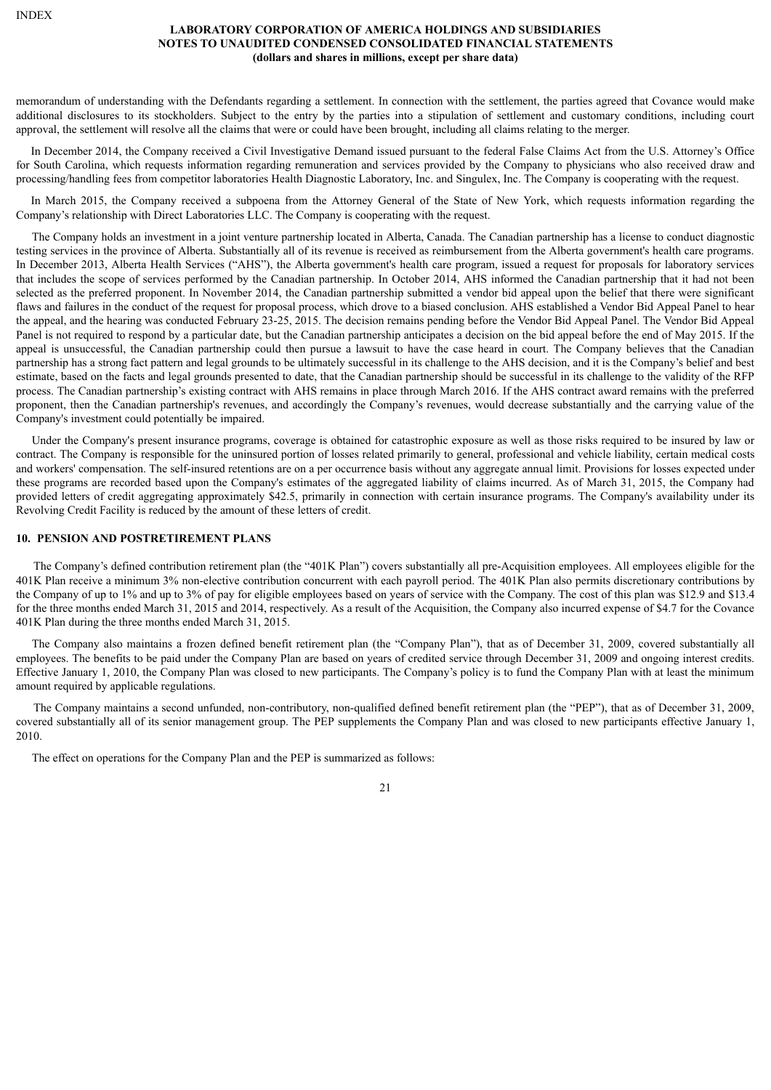memorandum of understanding with the Defendants regarding a settlement. In connection with the settlement, the parties agreed that Covance would make additional disclosures to its stockholders. Subject to the entry by the parties into a stipulation of settlement and customary conditions, including court approval, the settlement will resolve all the claims that were or could have been brought, including all claims relating to the merger.

In December 2014, the Company received a Civil Investigative Demand issued pursuant to the federal False Claims Act from the U.S. Attorney's Office for South Carolina, which requests information regarding remuneration and services provided by the Company to physicians who also received draw and processing/handling fees from competitor laboratories Health Diagnostic Laboratory, Inc. and Singulex, Inc. The Company is cooperating with the request.

In March 2015, the Company received a subpoena from the Attorney General of the State of New York, which requests information regarding the Company's relationship with Direct Laboratories LLC. The Company is cooperating with the request.

The Company holds an investment in a joint venture partnership located in Alberta, Canada. The Canadian partnership has a license to conduct diagnostic testing services in the province of Alberta. Substantially all of its revenue is received as reimbursement from the Alberta government's health care programs. In December 2013, Alberta Health Services ("AHS"), the Alberta government's health care program, issued a request for proposals for laboratory services that includes the scope of services performed by the Canadian partnership. In October 2014, AHS informed the Canadian partnership that it had not been selected as the preferred proponent. In November 2014, the Canadian partnership submitted a vendor bid appeal upon the belief that there were significant flaws and failures in the conduct of the request for proposal process, which drove to a biased conclusion. AHS established a Vendor Bid Appeal Panel to hear the appeal, and the hearing was conducted February 23-25, 2015. The decision remains pending before the Vendor Bid Appeal Panel. The Vendor Bid Appeal Panel is not required to respond by a particular date, but the Canadian partnership anticipates a decision on the bid appeal before the end of May 2015. If the appeal is unsuccessful, the Canadian partnership could then pursue a lawsuit to have the case heard in court. The Company believes that the Canadian partnership has a strong fact pattern and legal grounds to be ultimately successful in its challenge to the AHS decision, and it is the Company's belief and best estimate, based on the facts and legal grounds presented to date, that the Canadian partnership should be successful in its challenge to the validity of the RFP process. The Canadian partnership's existing contract with AHS remains in place through March 2016. If the AHS contract award remains with the preferred proponent, then the Canadian partnership's revenues, and accordingly the Company's revenues, would decrease substantially and the carrying value of the Company's investment could potentially be impaired.

Under the Company's present insurance programs, coverage is obtained for catastrophic exposure as well as those risks required to be insured by law or contract. The Company is responsible for the uninsured portion of losses related primarily to general, professional and vehicle liability, certain medical costs and workers' compensation. The self-insured retentions are on a per occurrence basis without any aggregate annual limit. Provisions for losses expected under these programs are recorded based upon the Company's estimates of the aggregated liability of claims incurred. As of March 31, 2015, the Company had provided letters of credit aggregating approximately \$42.5, primarily in connection with certain insurance programs. The Company's availability under its Revolving Credit Facility is reduced by the amount of these letters of credit.

#### **10. PENSION AND POSTRETIREMENT PLANS**

The Company's defined contribution retirement plan (the "401K Plan") covers substantially all pre-Acquisition employees. All employees eligible for the 401K Plan receive a minimum 3% non-elective contribution concurrent with each payroll period. The 401K Plan also permits discretionary contributions by the Company of up to 1% and up to 3% of pay for eligible employees based on years of service with the Company. The cost of this plan was \$12.9 and \$13.4 for the three months ended March 31, 2015 and 2014, respectively. As a result of the Acquisition, the Company also incurred expense of \$4.7 for the Covance 401K Plan during the three months ended March 31, 2015.

The Company also maintains a frozen defined benefit retirement plan (the "Company Plan"), that as of December 31, 2009, covered substantially all employees. The benefits to be paid under the Company Plan are based on years of credited service through December 31, 2009 and ongoing interest credits. Effective January 1, 2010, the Company Plan was closed to new participants. The Company's policy is to fund the Company Plan with at least the minimum amount required by applicable regulations.

The Company maintains a second unfunded, non-contributory, non-qualified defined benefit retirement plan (the "PEP"), that as of December 31, 2009, covered substantially all of its senior management group. The PEP supplements the Company Plan and was closed to new participants effective January 1, 2010.

The effect on operations for the Company Plan and the PEP is summarized as follows: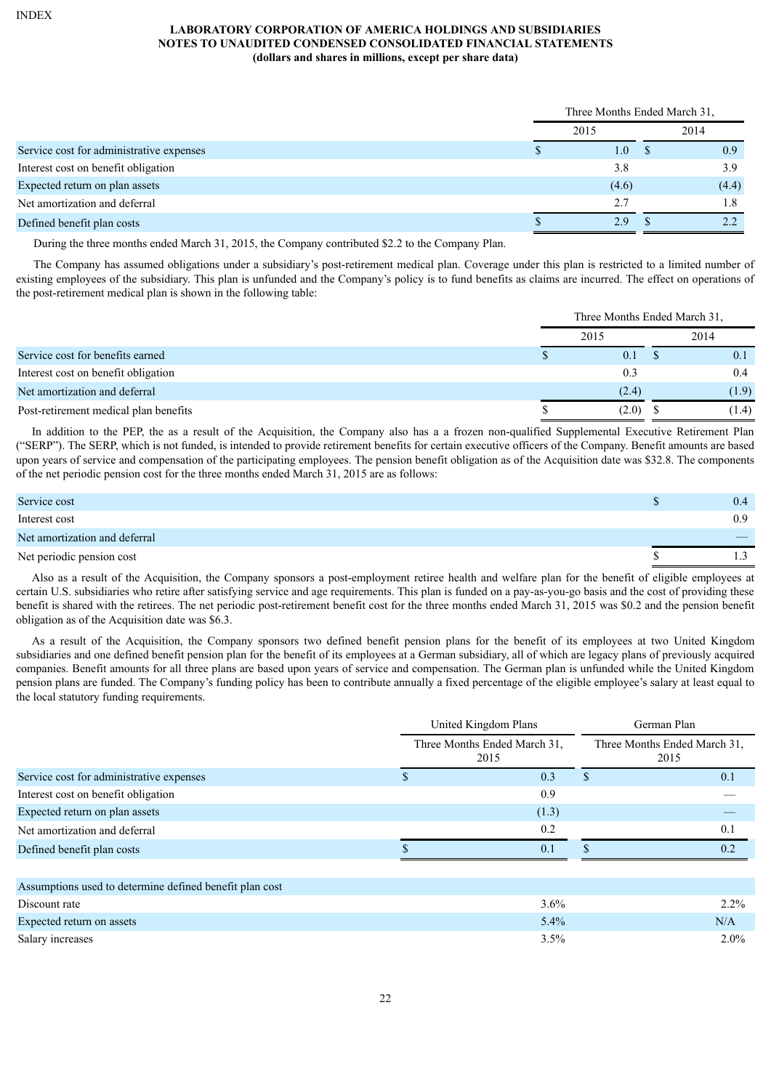|                                          | Three Months Ended March 31. |  |       |  |  |
|------------------------------------------|------------------------------|--|-------|--|--|
|                                          | 2015                         |  | 2014  |  |  |
| Service cost for administrative expenses | $1.0\,$                      |  | 0.9   |  |  |
| Interest cost on benefit obligation      | 3.8                          |  | 3.9   |  |  |
| Expected return on plan assets           | (4.6)                        |  | (4.4) |  |  |
| Net amortization and deferral            | 2.7                          |  | 1.8   |  |  |
| Defined benefit plan costs               | 2.9                          |  |       |  |  |

During the three months ended March 31, 2015, the Company contributed \$2.2 to the Company Plan.

The Company has assumed obligations under a subsidiary's post-retirement medical plan. Coverage under this plan is restricted to a limited number of existing employees of the subsidiary. This plan is unfunded and the Company's policy is to fund benefits as claims are incurred. The effect on operations of the post-retirement medical plan is shown in the following table:

|                                       | Three Months Ended March 31, |  |       |  |  |
|---------------------------------------|------------------------------|--|-------|--|--|
|                                       | 2015                         |  | 2014  |  |  |
| Service cost for benefits earned      | 0.1                          |  | 0.1   |  |  |
| Interest cost on benefit obligation   | 0.3                          |  | 0.4   |  |  |
| Net amortization and deferral         | (2.4)                        |  | (1.9) |  |  |
| Post-retirement medical plan benefits | (2.0)                        |  | (1.4) |  |  |

In addition to the PEP, the as a result of the Acquisition, the Company also has a a frozen non-qualified Supplemental Executive Retirement Plan ("SERP"). The SERP, which is not funded, is intended to provide retirement benefits for certain executive officers of the Company. Benefit amounts are based upon years of service and compensation of the participating employees. The pension benefit obligation as of the Acquisition date was \$32.8. The components of the net periodic pension cost for the three months ended March 31, 2015 are as follows:

| Service cost                  | 0.4 |
|-------------------------------|-----|
| Interest cost                 | 0.9 |
| Net amortization and deferral |     |
| Net periodic pension cost     |     |

Also as a result of the Acquisition, the Company sponsors a post-employment retiree health and welfare plan for the benefit of eligible employees at certain U.S. subsidiaries who retire after satisfying service and age requirements. This plan is funded on a pay-as-you-go basis and the cost of providing these benefit is shared with the retirees. The net periodic post-retirement benefit cost for the three months ended March 31, 2015 was \$0.2 and the pension benefit obligation as of the Acquisition date was \$6.3.

As a result of the Acquisition, the Company sponsors two defined benefit pension plans for the benefit of its employees at two United Kingdom subsidiaries and one defined benefit pension plan for the benefit of its employees at a German subsidiary, all of which are legacy plans of previously acquired companies. Benefit amounts for all three plans are based upon years of service and compensation. The German plan is unfunded while the United Kingdom pension plans are funded. The Company's funding policy has been to contribute annually a fixed percentage of the eligible employee's salary at least equal to the local statutory funding requirements.

|                                                         | United Kingdom Plans                 |                                      | German Plan |  |
|---------------------------------------------------------|--------------------------------------|--------------------------------------|-------------|--|
|                                                         | Three Months Ended March 31.<br>2015 | Three Months Ended March 31,<br>2015 |             |  |
| Service cost for administrative expenses                | 0.3                                  | \$                                   | 0.1         |  |
| Interest cost on benefit obligation                     | 0.9                                  |                                      |             |  |
| Expected return on plan assets                          | (1.3)                                |                                      |             |  |
| Net amortization and deferral                           | 0.2                                  |                                      | 0.1         |  |
| Defined benefit plan costs                              | 0.1                                  | \$.                                  | 0.2         |  |
| Assumptions used to determine defined benefit plan cost |                                      |                                      |             |  |
| Discount rate                                           | 3.6%                                 |                                      | $2.2\%$     |  |
| Expected return on assets                               | $5.4\%$                              |                                      | N/A         |  |
| Salary increases                                        | 3.5%                                 |                                      | $2.0\%$     |  |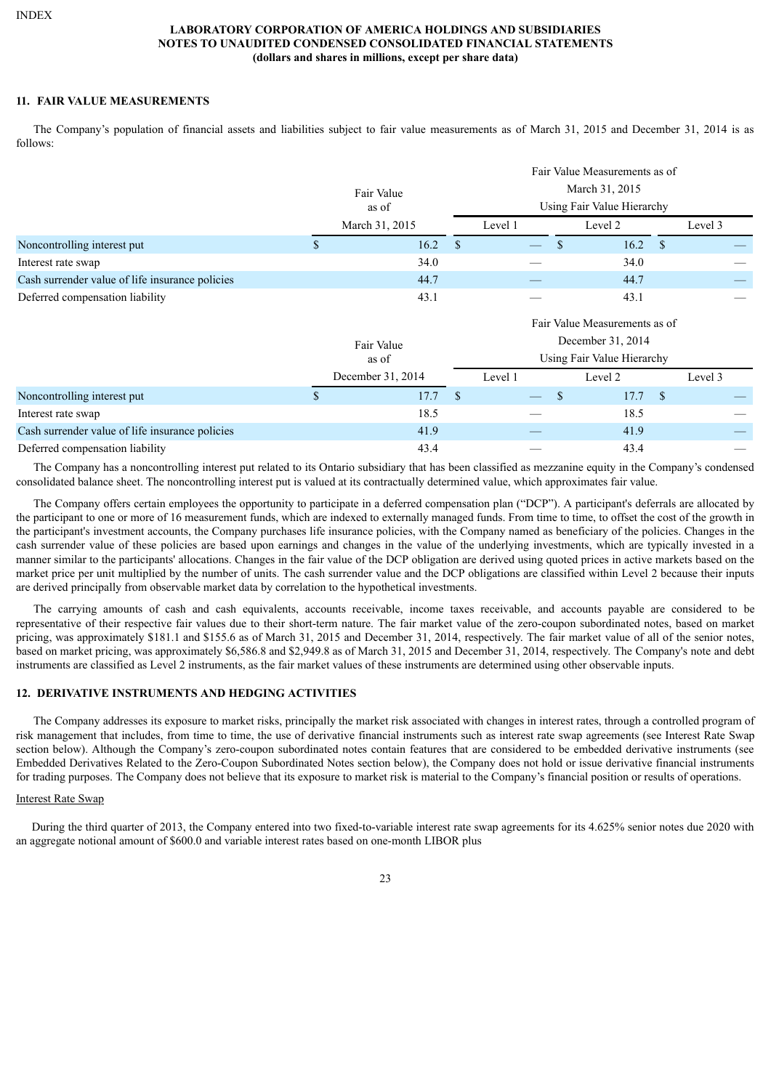#### **11. FAIR VALUE MEASUREMENTS**

The Company's population of financial assets and liabilities subject to fair value measurements as of March 31, 2015 and December 31, 2014 is as follows:

|                                                 |                   |                               |                            |               | Fair Value Measurements as of |                    |         |  |  |
|-------------------------------------------------|-------------------|-------------------------------|----------------------------|---------------|-------------------------------|--------------------|---------|--|--|
|                                                 | Fair Value        |                               | March 31, 2015             |               |                               |                    |         |  |  |
|                                                 | as of             |                               | Using Fair Value Hierarchy |               |                               |                    |         |  |  |
|                                                 | March 31, 2015    |                               | Level 1                    |               | Level 2                       |                    | Level 3 |  |  |
| Noncontrolling interest put                     | \$<br>16.2        | <sup>\$</sup>                 | $\overline{\phantom{m}}$   | <sup>\$</sup> | 16.2                          | $\mathbf{s}$       |         |  |  |
| Interest rate swap                              | 34.0              |                               |                            |               | 34.0                          |                    |         |  |  |
| Cash surrender value of life insurance policies | 44.7              |                               |                            |               | 44.7                          |                    |         |  |  |
| Deferred compensation liability                 | 43.1              |                               |                            |               | 43.1                          |                    |         |  |  |
|                                                 |                   | Fair Value Measurements as of |                            |               |                               |                    |         |  |  |
|                                                 | Fair Value        |                               | December 31, 2014          |               |                               |                    |         |  |  |
|                                                 | as of             |                               | Using Fair Value Hierarchy |               |                               |                    |         |  |  |
|                                                 | December 31, 2014 |                               | Level 1                    |               | Level 2                       |                    | Level 3 |  |  |
| Noncontrolling interest put                     | \$<br>17.7        | $^{\circ}$                    |                            | <sup>\$</sup> | 17.7                          | $\mathbf{\hat{s}}$ |         |  |  |
| Interest rate swap                              | 18.5              |                               |                            |               | 18.5                          |                    |         |  |  |
| Cash surrender value of life insurance policies | 41.9              |                               |                            |               | 41.9                          |                    |         |  |  |
| Deferred compensation liability                 | 43.4              |                               |                            |               | 43.4                          |                    |         |  |  |

The Company has a noncontrolling interest put related to its Ontario subsidiary that has been classified as mezzanine equity in the Company's condensed consolidated balance sheet. The noncontrolling interest put is valued at its contractually determined value, which approximates fair value.

The Company offers certain employees the opportunity to participate in a deferred compensation plan ("DCP"). A participant's deferrals are allocated by the participant to one or more of 16 measurement funds, which are indexed to externally managed funds. From time to time, to offset the cost of the growth in the participant's investment accounts, the Company purchases life insurance policies, with the Company named as beneficiary of the policies. Changes in the cash surrender value of these policies are based upon earnings and changes in the value of the underlying investments, which are typically invested in a manner similar to the participants' allocations. Changes in the fair value of the DCP obligation are derived using quoted prices in active markets based on the market price per unit multiplied by the number of units. The cash surrender value and the DCP obligations are classified within Level 2 because their inputs are derived principally from observable market data by correlation to the hypothetical investments.

The carrying amounts of cash and cash equivalents, accounts receivable, income taxes receivable, and accounts payable are considered to be representative of their respective fair values due to their short-term nature. The fair market value of the zero-coupon subordinated notes, based on market pricing, was approximately \$181.1 and \$155.6 as of March 31, 2015 and December 31, 2014, respectively. The fair market value of all of the senior notes, based on market pricing, was approximately \$6,586.8 and \$2,949.8 as of March 31, 2015 and December 31, 2014, respectively. The Company's note and debt instruments are classified as Level 2 instruments, as the fair market values of these instruments are determined using other observable inputs.

#### **12. DERIVATIVE INSTRUMENTS AND HEDGING ACTIVITIES**

The Company addresses its exposure to market risks, principally the market risk associated with changes in interest rates, through a controlled program of risk management that includes, from time to time, the use of derivative financial instruments such as interest rate swap agreements (see Interest Rate Swap section below). Although the Company's zero-coupon subordinated notes contain features that are considered to be embedded derivative instruments (see Embedded Derivatives Related to the Zero-Coupon Subordinated Notes section below), the Company does not hold or issue derivative financial instruments for trading purposes. The Company does not believe that its exposure to market risk is material to the Company's financial position or results of operations.

#### Interest Rate Swap

During the third quarter of 2013, the Company entered into two fixed-to-variable interest rate swap agreements for its 4.625% senior notes due 2020 with an aggregate notional amount of \$600.0 and variable interest rates based on one-month LIBOR plus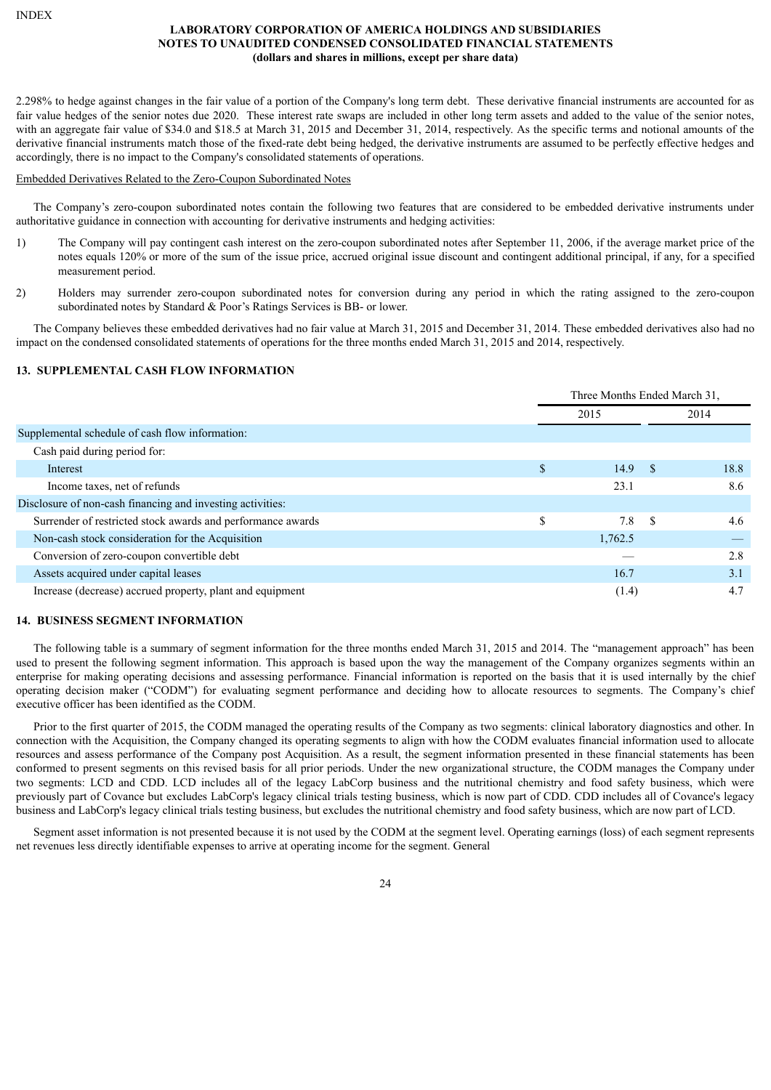2.298% to hedge against changes in the fair value of a portion of the Company's long term debt. These derivative financial instruments are accounted for as fair value hedges of the senior notes due 2020. These interest rate swaps are included in other long term assets and added to the value of the senior notes, with an aggregate fair value of \$34.0 and \$18.5 at March 31, 2015 and December 31, 2014, respectively. As the specific terms and notional amounts of the derivative financial instruments match those of the fixed-rate debt being hedged, the derivative instruments are assumed to be perfectly effective hedges and accordingly, there is no impact to the Company's consolidated statements of operations.

#### Embedded Derivatives Related to the Zero-Coupon Subordinated Notes

The Company's zero-coupon subordinated notes contain the following two features that are considered to be embedded derivative instruments under authoritative guidance in connection with accounting for derivative instruments and hedging activities:

- 1) The Company will pay contingent cash interest on the zero-coupon subordinated notes after September 11, 2006, if the average market price of the notes equals 120% or more of the sum of the issue price, accrued original issue discount and contingent additional principal, if any, for a specified measurement period.
- 2) Holders may surrender zero-coupon subordinated notes for conversion during any period in which the rating assigned to the zero-coupon subordinated notes by Standard & Poor's Ratings Services is BB- or lower.

The Company believes these embedded derivatives had no fair value at March 31, 2015 and December 31, 2014. These embedded derivatives also had no impact on the condensed consolidated statements of operations for the three months ended March 31, 2015 and 2014, respectively.

#### **13. SUPPLEMENTAL CASH FLOW INFORMATION**

|                                                             | Three Months Ended March 31. |      |      |  |
|-------------------------------------------------------------|------------------------------|------|------|--|
|                                                             | 2015                         |      |      |  |
| Supplemental schedule of cash flow information:             |                              |      |      |  |
| Cash paid during period for:                                |                              |      |      |  |
| Interest                                                    | \$<br>14.9                   | - \$ | 18.8 |  |
| Income taxes, net of refunds                                | 23.1                         |      | 8.6  |  |
| Disclosure of non-cash financing and investing activities:  |                              |      |      |  |
| Surrender of restricted stock awards and performance awards | \$<br>7.8                    | - \$ | 4.6  |  |
| Non-cash stock consideration for the Acquisition            | 1,762.5                      |      |      |  |
| Conversion of zero-coupon convertible debt                  |                              |      | 2.8  |  |
| Assets acquired under capital leases                        | 16.7                         |      | 3.1  |  |
| Increase (decrease) accrued property, plant and equipment   | (1.4)                        |      | 4.7  |  |

#### **14. BUSINESS SEGMENT INFORMATION**

The following table is a summary of segment information for the three months ended March 31, 2015 and 2014. The "management approach" has been used to present the following segment information. This approach is based upon the way the management of the Company organizes segments within an enterprise for making operating decisions and assessing performance. Financial information is reported on the basis that it is used internally by the chief operating decision maker ("CODM") for evaluating segment performance and deciding how to allocate resources to segments. The Company's chief executive officer has been identified as the CODM.

Prior to the first quarter of 2015, the CODM managed the operating results of the Company as two segments: clinical laboratory diagnostics and other. In connection with the Acquisition, the Company changed its operating segments to align with how the CODM evaluates financial information used to allocate resources and assess performance of the Company post Acquisition. As a result, the segment information presented in these financial statements has been conformed to present segments on this revised basis for all prior periods. Under the new organizational structure, the CODM manages the Company under two segments: LCD and CDD. LCD includes all of the legacy LabCorp business and the nutritional chemistry and food safety business, which were previously part of Covance but excludes LabCorp's legacy clinical trials testing business, which is now part of CDD. CDD includes all of Covance's legacy business and LabCorp's legacy clinical trials testing business, but excludes the nutritional chemistry and food safety business, which are now part of LCD.

Segment asset information is not presented because it is not used by the CODM at the segment level. Operating earnings (loss) of each segment represents net revenues less directly identifiable expenses to arrive at operating income for the segment. General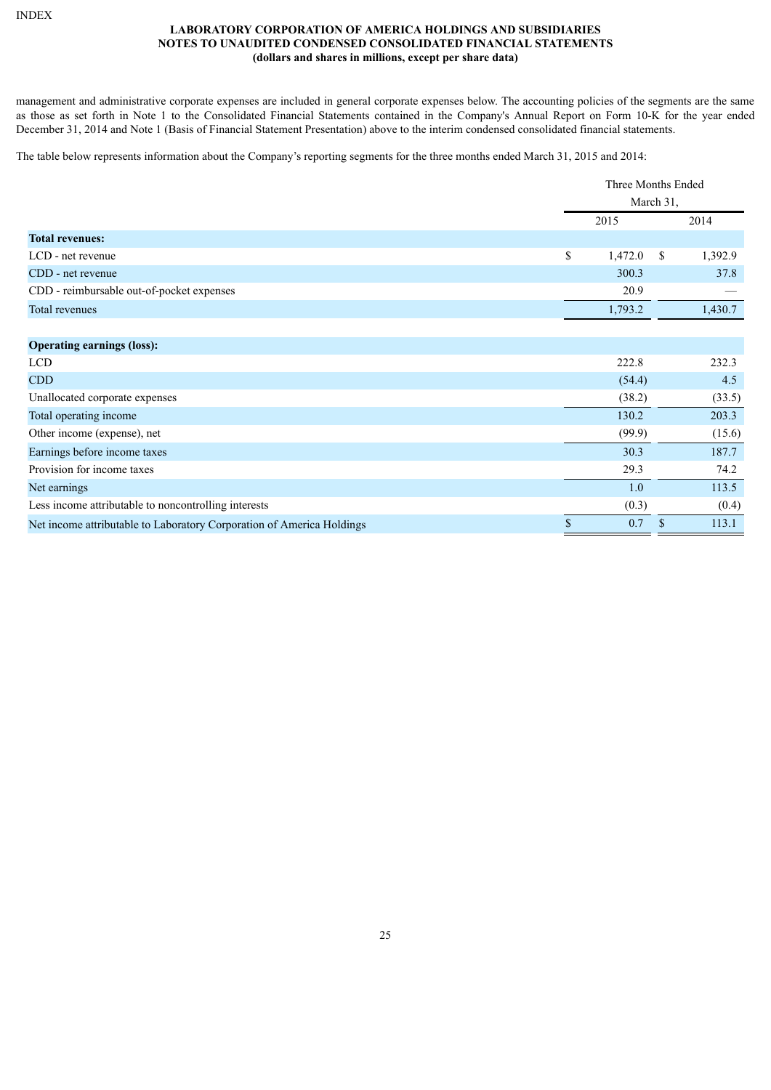management and administrative corporate expenses are included in general corporate expenses below. The accounting policies of the segments are the same as those as set forth in Note 1 to the Consolidated Financial Statements contained in the Company's Annual Report on Form 10-K for the year ended December 31, 2014 and Note 1 (Basis of Financial Statement Presentation) above to the interim condensed consolidated financial statements.

The table below represents information about the Company's reporting segments for the three months ended March 31, 2015 and 2014:

|                                           | Three Months Ended<br>March 31, |    |         |
|-------------------------------------------|---------------------------------|----|---------|
|                                           | 2015                            |    | 2014    |
| <b>Total revenues:</b>                    |                                 |    |         |
| LCD - net revenue                         | \$<br>1,472.0                   | \$ | 1,392.9 |
| CDD - net revenue                         | 300.3                           |    | 37.8    |
| CDD - reimbursable out-of-pocket expenses | 20.9                            |    |         |
| Total revenues                            | 1,793.2                         |    | 1,430.7 |
|                                           |                                 |    |         |
| <b>Operating earnings (loss):</b>         |                                 |    |         |
| <b>LCD</b>                                | 222.8                           |    | 232.3   |
| <b>CDD</b>                                | (54.4)                          |    | 4.5     |
| Unallocated corporate expenses            | (38.2)                          |    | (33.5)  |
| Total operating income                    | 130.2                           |    | 203.3   |
| Other income (expense), net               | (99.9)                          |    | (15.6)  |
| Earnings before income taxes              | 30.3                            |    | 187.7   |
|                                           |                                 |    |         |

<span id="page-25-0"></span>Provision for income taxes 29.3 29.3 29.3 29.3 29.3 29.3 2012 Net earnings 1.0 113.5 Less income attributable to noncontrolling interests (0.3) (0.4) Net income attributable to Laboratory Corporation of America Holdings  $\overline{\text{S}}$  0.7  $\overline{\text{S}}$  113.1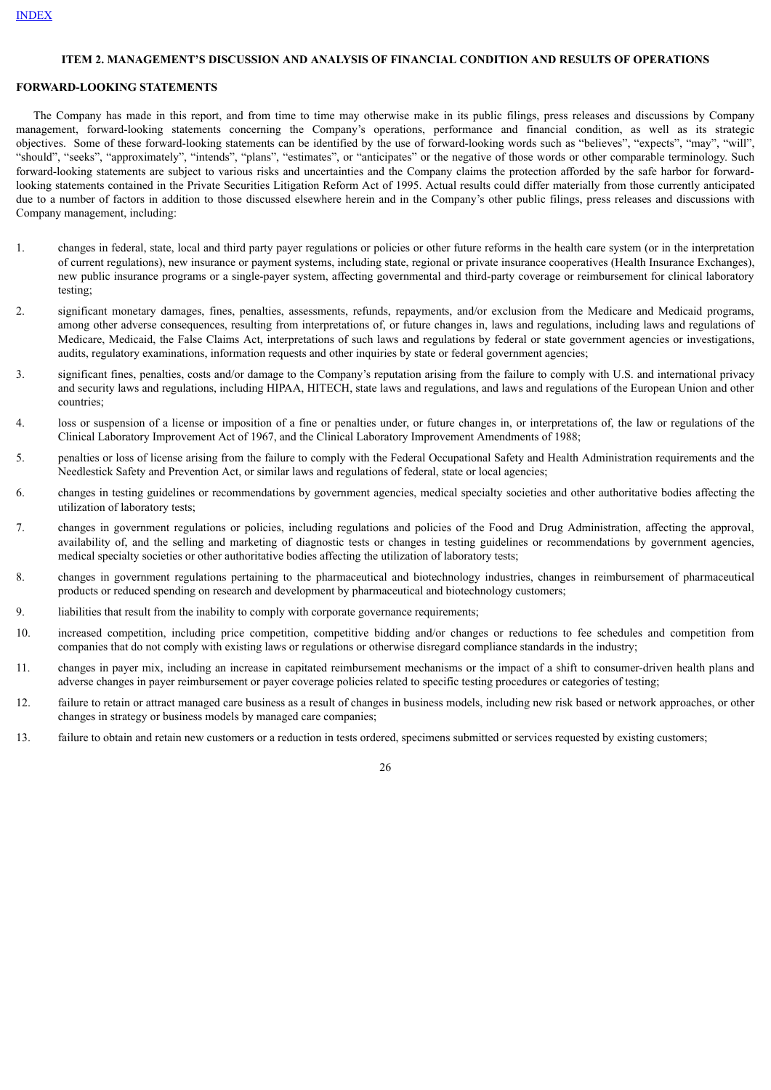#### **ITEM 2. MANAGEMENT'S DISCUSSION AND ANALYSIS OF FINANCIAL CONDITION AND RESULTS OF OPERATIONS**

#### **FORWARD-LOOKING STATEMENTS**

The Company has made in this report, and from time to time may otherwise make in its public filings, press releases and discussions by Company management, forward-looking statements concerning the Company's operations, performance and financial condition, as well as its strategic objectives. Some of these forward-looking statements can be identified by the use of forward-looking words such as "believes", "expects", "may", "will", "should", "seeks", "approximately", "intends", "plans", "estimates", or "anticipates" or the negative of those words or other comparable terminology. Such forward-looking statements are subject to various risks and uncertainties and the Company claims the protection afforded by the safe harbor for forwardlooking statements contained in the Private Securities Litigation Reform Act of 1995. Actual results could differ materially from those currently anticipated due to a number of factors in addition to those discussed elsewhere herein and in the Company's other public filings, press releases and discussions with Company management, including:

- 1. changes in federal, state, local and third party payer regulations or policies or other future reforms in the health care system (or in the interpretation of current regulations), new insurance or payment systems, including state, regional or private insurance cooperatives (Health Insurance Exchanges), new public insurance programs or a single-payer system, affecting governmental and third-party coverage or reimbursement for clinical laboratory testing;
- 2. significant monetary damages, fines, penalties, assessments, refunds, repayments, and/or exclusion from the Medicare and Medicaid programs, among other adverse consequences, resulting from interpretations of, or future changes in, laws and regulations, including laws and regulations of Medicare, Medicaid, the False Claims Act, interpretations of such laws and regulations by federal or state government agencies or investigations, audits, regulatory examinations, information requests and other inquiries by state or federal government agencies;
- 3. significant fines, penalties, costs and/or damage to the Company's reputation arising from the failure to comply with U.S. and international privacy and security laws and regulations, including HIPAA, HITECH, state laws and regulations, and laws and regulations of the European Union and other countries;
- 4. loss or suspension of a license or imposition of a fine or penalties under, or future changes in, or interpretations of, the law or regulations of the Clinical Laboratory Improvement Act of 1967, and the Clinical Laboratory Improvement Amendments of 1988;
- 5. penalties or loss of license arising from the failure to comply with the Federal Occupational Safety and Health Administration requirements and the Needlestick Safety and Prevention Act, or similar laws and regulations of federal, state or local agencies;
- 6. changes in testing guidelines or recommendations by government agencies, medical specialty societies and other authoritative bodies affecting the utilization of laboratory tests;
- 7. changes in government regulations or policies, including regulations and policies of the Food and Drug Administration, affecting the approval, availability of, and the selling and marketing of diagnostic tests or changes in testing guidelines or recommendations by government agencies, medical specialty societies or other authoritative bodies affecting the utilization of laboratory tests;
- 8. changes in government regulations pertaining to the pharmaceutical and biotechnology industries, changes in reimbursement of pharmaceutical products or reduced spending on research and development by pharmaceutical and biotechnology customers;
- 9. liabilities that result from the inability to comply with corporate governance requirements;
- 10. increased competition, including price competition, competitive bidding and/or changes or reductions to fee schedules and competition from companies that do not comply with existing laws or regulations or otherwise disregard compliance standards in the industry;
- 11. changes in payer mix, including an increase in capitated reimbursement mechanisms or the impact of a shift to consumer-driven health plans and adverse changes in payer reimbursement or payer coverage policies related to specific testing procedures or categories of testing;
- 12. failure to retain or attract managed care business as a result of changes in business models, including new risk based or network approaches, or other changes in strategy or business models by managed care companies;
- 13. failure to obtain and retain new customers or a reduction in tests ordered, specimens submitted or services requested by existing customers;

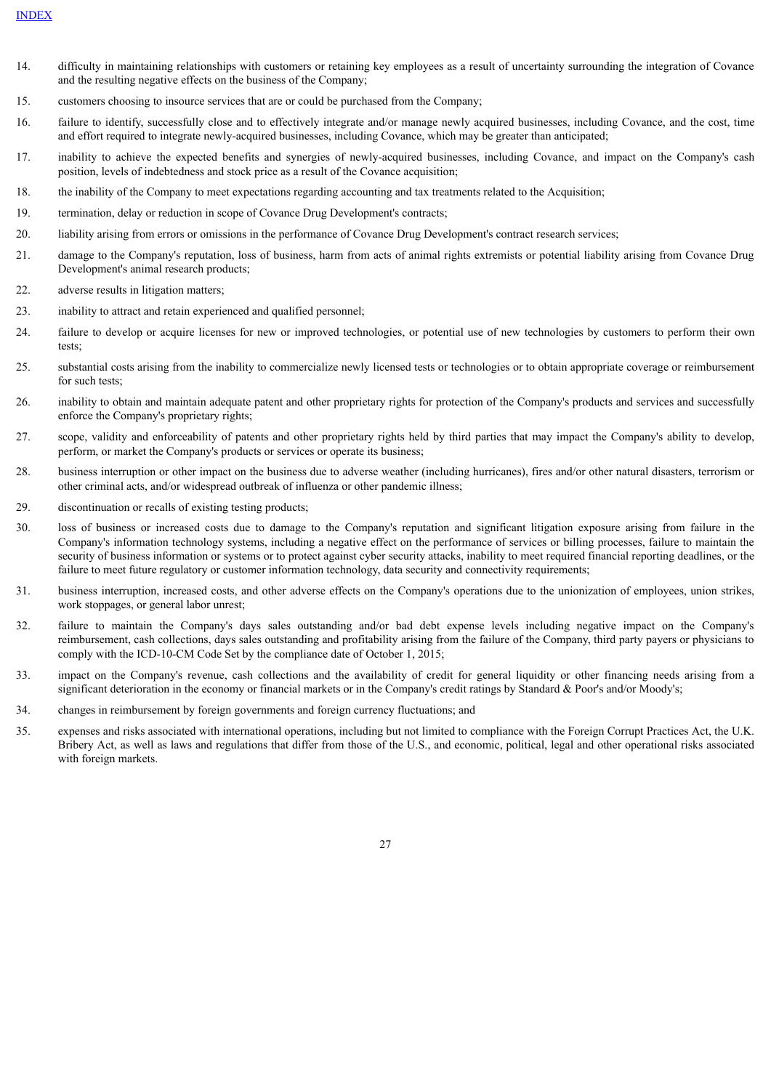- 14. difficulty in maintaining relationships with customers or retaining key employees as a result of uncertainty surrounding the integration of Covance and the resulting negative effects on the business of the Company;
- 15. customers choosing to insource services that are or could be purchased from the Company;
- 16. failure to identify, successfully close and to effectively integrate and/or manage newly acquired businesses, including Covance, and the cost, time and effort required to integrate newly-acquired businesses, including Covance, which may be greater than anticipated;
- 17. inability to achieve the expected benefits and synergies of newly-acquired businesses, including Covance, and impact on the Company's cash position, levels of indebtedness and stock price as a result of the Covance acquisition;
- 18. the inability of the Company to meet expectations regarding accounting and tax treatments related to the Acquisition;
- 19. termination, delay or reduction in scope of Covance Drug Development's contracts;
- 20. liability arising from errors or omissions in the performance of Covance Drug Development's contract research services;
- 21. damage to the Company's reputation, loss of business, harm from acts of animal rights extremists or potential liability arising from Covance Drug Development's animal research products;
- 22. adverse results in litigation matters;
- 23. inability to attract and retain experienced and qualified personnel;
- 24. failure to develop or acquire licenses for new or improved technologies, or potential use of new technologies by customers to perform their own tests;
- 25. substantial costs arising from the inability to commercialize newly licensed tests or technologies or to obtain appropriate coverage or reimbursement for such tests;
- 26. inability to obtain and maintain adequate patent and other proprietary rights for protection of the Company's products and services and successfully enforce the Company's proprietary rights;
- 27. scope, validity and enforceability of patents and other proprietary rights held by third parties that may impact the Company's ability to develop, perform, or market the Company's products or services or operate its business;
- 28. business interruption or other impact on the business due to adverse weather (including hurricanes), fires and/or other natural disasters, terrorism or other criminal acts, and/or widespread outbreak of influenza or other pandemic illness;
- 29. discontinuation or recalls of existing testing products;
- 30. loss of business or increased costs due to damage to the Company's reputation and significant litigation exposure arising from failure in the Company's information technology systems, including a negative effect on the performance of services or billing processes, failure to maintain the security of business information or systems or to protect against cyber security attacks, inability to meet required financial reporting deadlines, or the failure to meet future regulatory or customer information technology, data security and connectivity requirements;
- 31. business interruption, increased costs, and other adverse effects on the Company's operations due to the unionization of employees, union strikes, work stoppages, or general labor unrest;
- 32. failure to maintain the Company's days sales outstanding and/or bad debt expense levels including negative impact on the Company's reimbursement, cash collections, days sales outstanding and profitability arising from the failure of the Company, third party payers or physicians to comply with the ICD-10-CM Code Set by the compliance date of October 1, 2015;
- 33. impact on the Company's revenue, cash collections and the availability of credit for general liquidity or other financing needs arising from a significant deterioration in the economy or financial markets or in the Company's credit ratings by Standard & Poor's and/or Moody's;
- 34. changes in reimbursement by foreign governments and foreign currency fluctuations; and
- 35. expenses and risks associated with international operations, including but not limited to compliance with the Foreign Corrupt Practices Act, the U.K. Bribery Act, as well as laws and regulations that differ from those of the U.S., and economic, political, legal and other operational risks associated with foreign markets.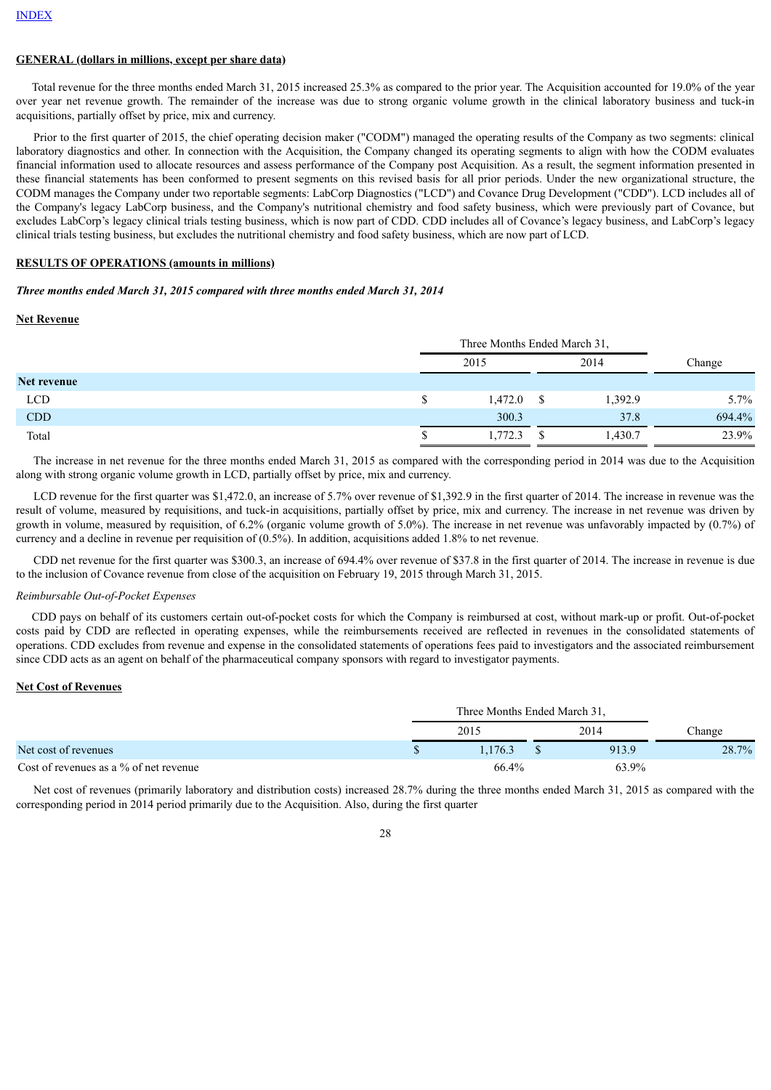#### **GENERAL (dollars in millions, except per share data)**

Total revenue for the three months ended March 31, 2015 increased 25.3% as compared to the prior year. The Acquisition accounted for 19.0% of the year over year net revenue growth. The remainder of the increase was due to strong organic volume growth in the clinical laboratory business and tuck-in acquisitions, partially offset by price, mix and currency.

Prior to the first quarter of 2015, the chief operating decision maker ("CODM") managed the operating results of the Company as two segments: clinical laboratory diagnostics and other. In connection with the Acquisition, the Company changed its operating segments to align with how the CODM evaluates financial information used to allocate resources and assess performance of the Company post Acquisition. As a result, the segment information presented in these financial statements has been conformed to present segments on this revised basis for all prior periods. Under the new organizational structure, the CODM manages the Company under two reportable segments: LabCorp Diagnostics ("LCD") and Covance Drug Development ("CDD"). LCD includes all of the Company's legacy LabCorp business, and the Company's nutritional chemistry and food safety business, which were previously part of Covance, but excludes LabCorp's legacy clinical trials testing business, which is now part of CDD. CDD includes all of Covance's legacy business, and LabCorp's legacy clinical trials testing business, but excludes the nutritional chemistry and food safety business, which are now part of LCD.

#### **RESULTS OF OPERATIONS (amounts in millions)**

#### *Three months ended March 31, 2015 compared with three months ended March 31, 2014*

#### **Net Revenue**

|                    |              | Three Months Ended March 31, |  |         |         |
|--------------------|--------------|------------------------------|--|---------|---------|
|                    | 2014<br>2015 |                              |  | Change  |         |
| <b>Net revenue</b> |              |                              |  |         |         |
| <b>LCD</b>         |              | 1,472.0                      |  | 1,392.9 | $5.7\%$ |
| <b>CDD</b>         |              | 300.3                        |  | 37.8    | 694.4%  |
| Total              |              | 1,772.3                      |  | 1,430.7 | 23.9%   |

The increase in net revenue for the three months ended March 31, 2015 as compared with the corresponding period in 2014 was due to the Acquisition along with strong organic volume growth in LCD, partially offset by price, mix and currency.

LCD revenue for the first quarter was \$1,472.0, an increase of 5.7% over revenue of \$1,392.9 in the first quarter of 2014. The increase in revenue was the result of volume, measured by requisitions, and tuck-in acquisitions, partially offset by price, mix and currency. The increase in net revenue was driven by growth in volume, measured by requisition, of 6.2% (organic volume growth of 5.0%). The increase in net revenue was unfavorably impacted by (0.7%) of currency and a decline in revenue per requisition of (0.5%). In addition, acquisitions added 1.8% to net revenue.

CDD net revenue for the first quarter was \$300.3, an increase of 694.4% over revenue of \$37.8 in the first quarter of 2014. The increase in revenue is due to the inclusion of Covance revenue from close of the acquisition on February 19, 2015 through March 31, 2015.

#### *Reimbursable Out-of-Pocket Expenses*

CDD pays on behalf of its customers certain out-of-pocket costs for which the Company is reimbursed at cost, without mark-up or profit. Out-of-pocket costs paid by CDD are reflected in operating expenses, while the reimbursements received are reflected in revenues in the consolidated statements of operations. CDD excludes from revenue and expense in the consolidated statements of operations fees paid to investigators and the associated reimbursement since CDD acts as an agent on behalf of the pharmaceutical company sponsors with regard to investigator payments.

#### **Net Cost of Revenues**

|                                           | Three Months Ended March 31. |  |       |               |  |
|-------------------------------------------|------------------------------|--|-------|---------------|--|
|                                           | 2015                         |  | 2014  | <b>Change</b> |  |
| Net cost of revenues                      | .176.3                       |  | 913.9 | 28.7%         |  |
| Cost of revenues as a $\%$ of net revenue | 66.4%                        |  | 63.9% |               |  |

Net cost of revenues (primarily laboratory and distribution costs) increased 28.7% during the three months ended March 31, 2015 as compared with the corresponding period in 2014 period primarily due to the Acquisition. Also, during the first quarter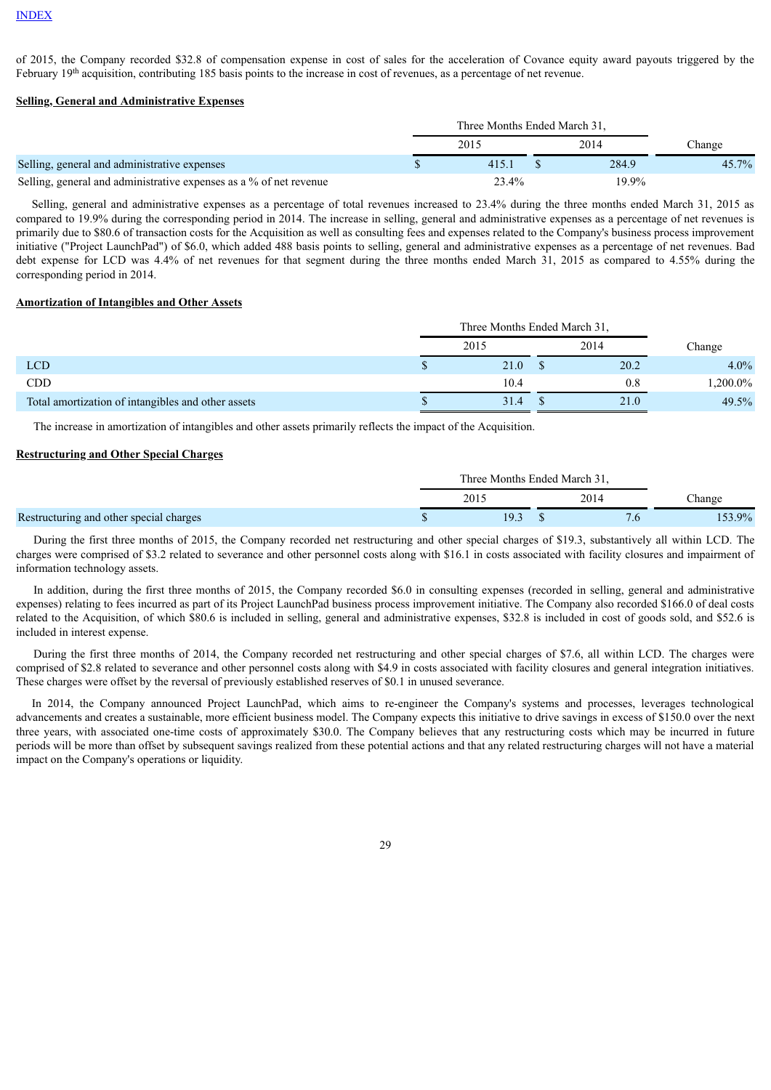of 2015, the Company recorded \$32.8 of compensation expense in cost of sales for the acceleration of Covance equity award payouts triggered by the February 19<sup>th</sup> acquisition, contributing 185 basis points to the increase in cost of revenues, as a percentage of net revenue.

#### **Selling, General and Administrative Expenses**

|                                                                    | Three Months Ended March 31. |          |  |       |          |
|--------------------------------------------------------------------|------------------------------|----------|--|-------|----------|
|                                                                    |                              | 2015     |  | 2014  | Change   |
| Selling, general and administrative expenses                       |                              | 415.1    |  | 284.9 | $45.7\%$ |
| Selling, general and administrative expenses as a % of net revenue |                              | $23.4\%$ |  | 19.9% |          |

Selling, general and administrative expenses as a percentage of total revenues increased to 23.4% during the three months ended March 31, 2015 as compared to 19.9% during the corresponding period in 2014. The increase in selling, general and administrative expenses as a percentage of net revenues is primarily due to \$80.6 of transaction costs for the Acquisition as well as consulting fees and expenses related to the Company's business process improvement initiative ("Project LaunchPad") of \$6.0, which added 488 basis points to selling, general and administrative expenses as a percentage of net revenues. Bad debt expense for LCD was 4.4% of net revenues for that segment during the three months ended March 31, 2015 as compared to 4.55% during the corresponding period in 2014.

#### **Amortization of Intangibles and Other Assets**

|                                                    | Three Months Ended March 31, |      |  |      |          |
|----------------------------------------------------|------------------------------|------|--|------|----------|
|                                                    |                              | 2015 |  | 2014 | Change   |
| <b>LCD</b>                                         |                              | 21.0 |  | 20.2 | $4.0\%$  |
| <b>CDD</b>                                         |                              | 10.4 |  | 0.8  | 1,200.0% |
| Total amortization of intangibles and other assets |                              | 31.4 |  | 21.0 | 49.5%    |

The increase in amortization of intangibles and other assets primarily reflects the impact of the Acquisition.

#### **Restructuring and Other Special Charges**

|                                         | Three Months Ended March 31. |  |      |               |
|-----------------------------------------|------------------------------|--|------|---------------|
|                                         | 2015                         |  | 201. | <b>Thange</b> |
| Restructuring and other special charges |                              |  |      | $153.9\%$     |

During the first three months of 2015, the Company recorded net restructuring and other special charges of \$19.3, substantively all within LCD. The charges were comprised of \$3.2 related to severance and other personnel costs along with \$16.1 in costs associated with facility closures and impairment of information technology assets.

In addition, during the first three months of 2015, the Company recorded \$6.0 in consulting expenses (recorded in selling, general and administrative expenses) relating to fees incurred as part of its Project LaunchPad business process improvement initiative. The Company also recorded \$166.0 of deal costs related to the Acquisition, of which \$80.6 is included in selling, general and administrative expenses, \$32.8 is included in cost of goods sold, and \$52.6 is included in interest expense.

During the first three months of 2014, the Company recorded net restructuring and other special charges of \$7.6, all within LCD. The charges were comprised of \$2.8 related to severance and other personnel costs along with \$4.9 in costs associated with facility closures and general integration initiatives. These charges were offset by the reversal of previously established reserves of \$0.1 in unused severance.

In 2014, the Company announced Project LaunchPad, which aims to re-engineer the Company's systems and processes, leverages technological advancements and creates a sustainable, more efficient business model. The Company expects this initiative to drive savings in excess of \$150.0 over the next three years, with associated one-time costs of approximately \$30.0. The Company believes that any restructuring costs which may be incurred in future periods will be more than offset by subsequent savings realized from these potential actions and that any related restructuring charges will not have a material impact on the Company's operations or liquidity.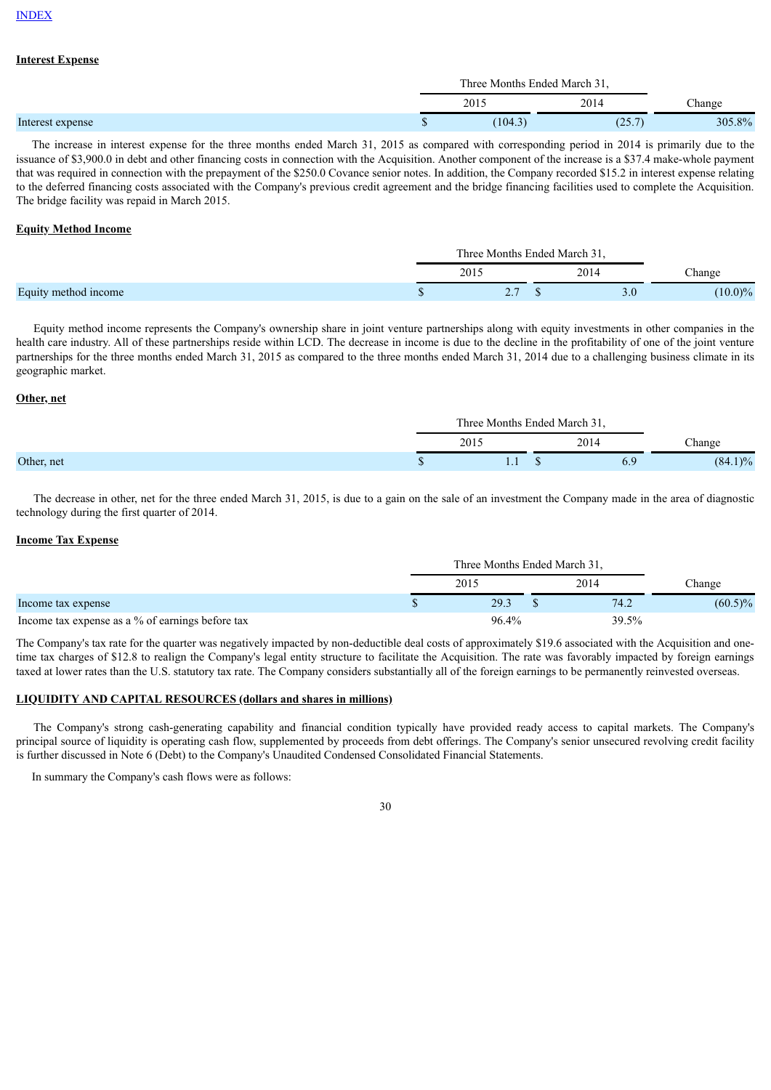#### **Interest Expense**

|  | Three Months Ended March 31. |          |               |  |
|--|------------------------------|----------|---------------|--|
|  | 2015                         | 2014     | <b>Thange</b> |  |
|  | (104.3)                      | ا . ب سه | 305.8%        |  |

The increase in interest expense for the three months ended March 31, 2015 as compared with corresponding period in 2014 is primarily due to the issuance of \$3,900.0 in debt and other financing costs in connection with the Acquisition. Another component of the increase is a \$37.4 make-whole payment that was required in connection with the prepayment of the \$250.0 Covance senior notes. In addition, the Company recorded \$15.2 in interest expense relating to the deferred financing costs associated with the Company's previous credit agreement and the bridge financing facilities used to complete the Acquisition. The bridge facility was repaid in March 2015.

#### **Equity Method Income**

|                      | Three Months Ended March 31. |  |      |            |
|----------------------|------------------------------|--|------|------------|
|                      | 2015                         |  | 2014 | hange.     |
| Equity method income | $\sim\cdot$                  |  | 3.0  | $(10.0)\%$ |

Equity method income represents the Company's ownership share in joint venture partnerships along with equity investments in other companies in the health care industry. All of these partnerships reside within LCD. The decrease in income is due to the decline in the profitability of one of the joint venture partnerships for the three months ended March 31, 2015 as compared to the three months ended March 31, 2014 due to a challenging business climate in its geographic market.

#### **Other, net**

|  | Three Months Ended March 31. |  |      |            |
|--|------------------------------|--|------|------------|
|  | 2015                         |  | 2014 | hange.     |
|  | $\cdots$                     |  | υ.:  | $(84.1)\%$ |

The decrease in other, net for the three ended March 31, 2015, is due to a gain on the sale of an investment the Company made in the area of diagnostic technology during the first quarter of 2014.

#### **Income Tax Expense**

|                                                  | Three Months Ended March 31, |       |  |       |            |
|--------------------------------------------------|------------------------------|-------|--|-------|------------|
|                                                  |                              | 2015  |  | 2014  | Change     |
| Income tax expense                               |                              | 29.3  |  | 74.2  | $(60.5)\%$ |
| Income tax expense as a % of earnings before tax |                              | 96.4% |  | 39.5% |            |

The Company's tax rate for the quarter was negatively impacted by non-deductible deal costs of approximately \$19.6 associated with the Acquisition and onetime tax charges of \$12.8 to realign the Company's legal entity structure to facilitate the Acquisition. The rate was favorably impacted by foreign earnings taxed at lower rates than the U.S. statutory tax rate. The Company considers substantially all of the foreign earnings to be permanently reinvested overseas.

#### **LIQUIDITY AND CAPITAL RESOURCES (dollars and shares in millions)**

The Company's strong cash-generating capability and financial condition typically have provided ready access to capital markets. The Company's principal source of liquidity is operating cash flow, supplemented by proceeds from debt offerings. The Company's senior unsecured revolving credit facility is further discussed in Note 6 (Debt) to the Company's Unaudited Condensed Consolidated Financial Statements.

In summary the Company's cash flows were as follows: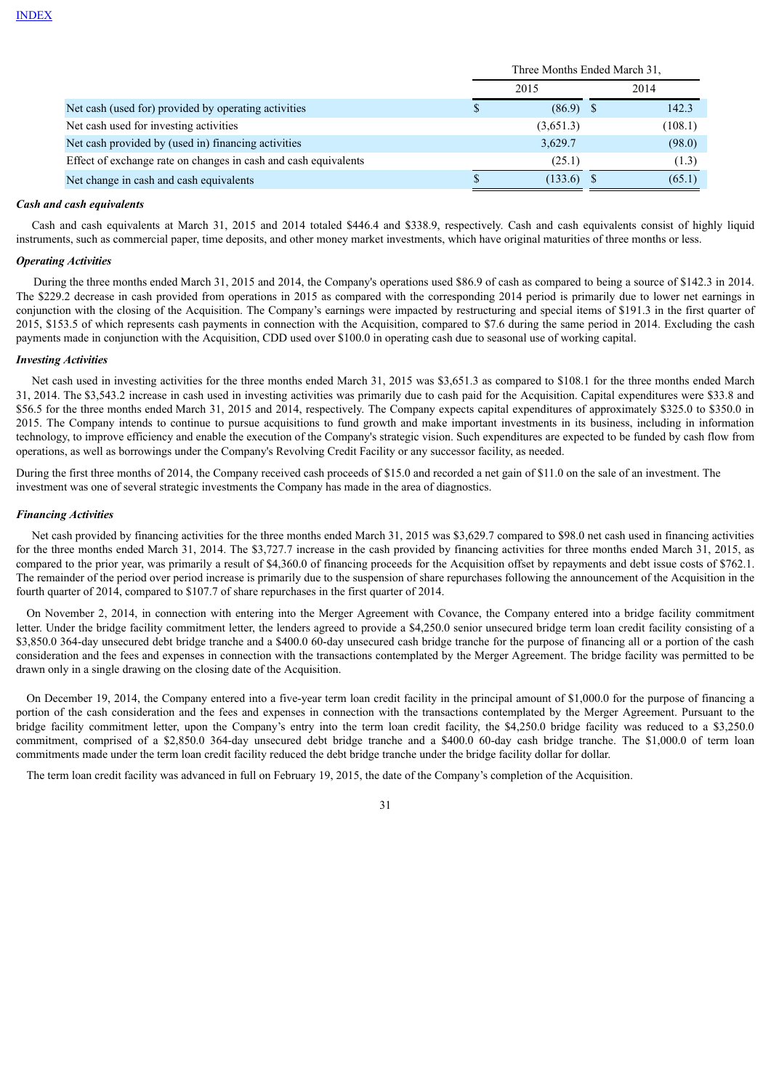|                                                                 |   | Three Months Ended March 31, |  |         |  |
|-----------------------------------------------------------------|---|------------------------------|--|---------|--|
|                                                                 |   | 2015                         |  | 2014    |  |
| Net cash (used for) provided by operating activities            | S | $(86.9)$ \$                  |  | 142.3   |  |
| Net cash used for investing activities                          |   | (3,651.3)                    |  | (108.1) |  |
| Net cash provided by (used in) financing activities             |   | 3,629.7                      |  | (98.0)  |  |
| Effect of exchange rate on changes in cash and cash equivalents |   | (25.1)                       |  | (1.3)   |  |
| Net change in cash and cash equivalents                         |   | $(133.6)$ \$                 |  | (65.1)  |  |

#### *Cash and cash equivalents*

Cash and cash equivalents at March 31, 2015 and 2014 totaled \$446.4 and \$338.9, respectively. Cash and cash equivalents consist of highly liquid instruments, such as commercial paper, time deposits, and other money market investments, which have original maturities of three months or less.

#### *Operating Activities*

During the three months ended March 31, 2015 and 2014, the Company's operations used \$86.9 of cash as compared to being a source of \$142.3 in 2014. The \$229.2 decrease in cash provided from operations in 2015 as compared with the corresponding 2014 period is primarily due to lower net earnings in conjunction with the closing of the Acquisition. The Company's earnings were impacted by restructuring and special items of \$191.3 in the first quarter of 2015, \$153.5 of which represents cash payments in connection with the Acquisition, compared to \$7.6 during the same period in 2014. Excluding the cash payments made in conjunction with the Acquisition, CDD used over \$100.0 in operating cash due to seasonal use of working capital.

#### *Investing Activities*

Net cash used in investing activities for the three months ended March 31, 2015 was \$3,651.3 as compared to \$108.1 for the three months ended March 31, 2014. The \$3,543.2 increase in cash used in investing activities was primarily due to cash paid for the Acquisition. Capital expenditures were \$33.8 and \$56.5 for the three months ended March 31, 2015 and 2014, respectively. The Company expects capital expenditures of approximately \$325.0 to \$350.0 in 2015. The Company intends to continue to pursue acquisitions to fund growth and make important investments in its business, including in information technology, to improve efficiency and enable the execution of the Company's strategic vision. Such expenditures are expected to be funded by cash flow from operations, as well as borrowings under the Company's Revolving Credit Facility or any successor facility, as needed.

During the first three months of 2014, the Company received cash proceeds of \$15.0 and recorded a net gain of \$11.0 on the sale of an investment. The investment was one of several strategic investments the Company has made in the area of diagnostics.

#### *Financing Activities*

Net cash provided by financing activities for the three months ended March 31, 2015 was \$3,629.7 compared to \$98.0 net cash used in financing activities for the three months ended March 31, 2014. The \$3,727.7 increase in the cash provided by financing activities for three months ended March 31, 2015, as compared to the prior year, was primarily a result of \$4,360.0 of financing proceeds for the Acquisition offset by repayments and debt issue costs of \$762.1. The remainder of the period over period increase is primarily due to the suspension of share repurchases following the announcement of the Acquisition in the fourth quarter of 2014, compared to \$107.7 of share repurchases in the first quarter of 2014.

On November 2, 2014, in connection with entering into the Merger Agreement with Covance, the Company entered into a bridge facility commitment letter. Under the bridge facility commitment letter, the lenders agreed to provide a \$4,250.0 senior unsecured bridge term loan credit facility consisting of a \$3,850.0 364-day unsecured debt bridge tranche and a \$400.0 60-day unsecured cash bridge tranche for the purpose of financing all or a portion of the cash consideration and the fees and expenses in connection with the transactions contemplated by the Merger Agreement. The bridge facility was permitted to be drawn only in a single drawing on the closing date of the Acquisition.

On December 19, 2014, the Company entered into a five-year term loan credit facility in the principal amount of \$1,000.0 for the purpose of financing a portion of the cash consideration and the fees and expenses in connection with the transactions contemplated by the Merger Agreement. Pursuant to the bridge facility commitment letter, upon the Company's entry into the term loan credit facility, the \$4,250.0 bridge facility was reduced to a \$3,250.0 commitment, comprised of a \$2,850.0 364-day unsecured debt bridge tranche and a \$400.0 60-day cash bridge tranche. The \$1,000.0 of term loan commitments made under the term loan credit facility reduced the debt bridge tranche under the bridge facility dollar for dollar.

The term loan credit facility was advanced in full on February 19, 2015, the date of the Company's completion of the Acquisition.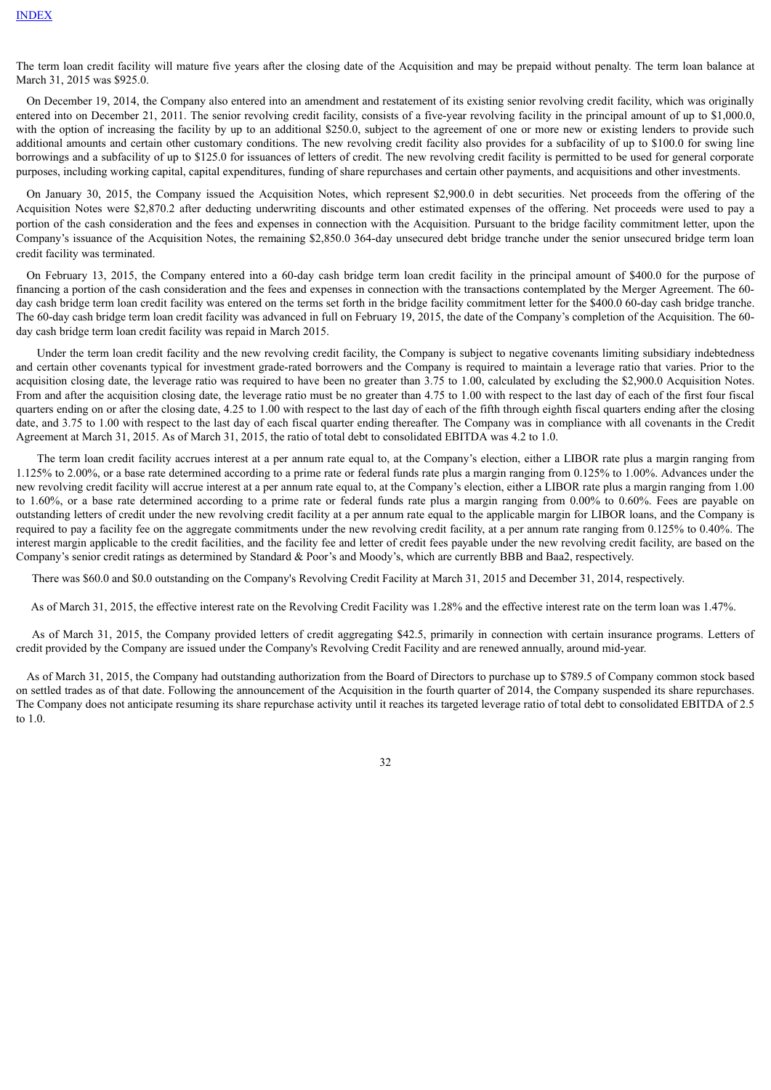The term loan credit facility will mature five years after the closing date of the Acquisition and may be prepaid without penalty. The term loan balance at March 31, 2015 was \$925.0.

On December 19, 2014, the Company also entered into an amendment and restatement of its existing senior revolving credit facility, which was originally entered into on December 21, 2011. The senior revolving credit facility, consists of a five-year revolving facility in the principal amount of up to \$1,000.0, with the option of increasing the facility by up to an additional \$250.0, subject to the agreement of one or more new or existing lenders to provide such additional amounts and certain other customary conditions. The new revolving credit facility also provides for a subfacility of up to \$100.0 for swing line borrowings and a subfacility of up to \$125.0 for issuances of letters of credit. The new revolving credit facility is permitted to be used for general corporate purposes, including working capital, capital expenditures, funding of share repurchases and certain other payments, and acquisitions and other investments.

On January 30, 2015, the Company issued the Acquisition Notes, which represent \$2,900.0 in debt securities. Net proceeds from the offering of the Acquisition Notes were \$2,870.2 after deducting underwriting discounts and other estimated expenses of the offering. Net proceeds were used to pay a portion of the cash consideration and the fees and expenses in connection with the Acquisition. Pursuant to the bridge facility commitment letter, upon the Company's issuance of the Acquisition Notes, the remaining \$2,850.0 364-day unsecured debt bridge tranche under the senior unsecured bridge term loan credit facility was terminated.

On February 13, 2015, the Company entered into a 60-day cash bridge term loan credit facility in the principal amount of \$400.0 for the purpose of financing a portion of the cash consideration and the fees and expenses in connection with the transactions contemplated by the Merger Agreement. The 60 day cash bridge term loan credit facility was entered on the terms set forth in the bridge facility commitment letter for the \$400.0 60-day cash bridge tranche. The 60-day cash bridge term loan credit facility was advanced in full on February 19, 2015, the date of the Company's completion of the Acquisition. The 60 day cash bridge term loan credit facility was repaid in March 2015.

Under the term loan credit facility and the new revolving credit facility, the Company is subject to negative covenants limiting subsidiary indebtedness and certain other covenants typical for investment grade-rated borrowers and the Company is required to maintain a leverage ratio that varies. Prior to the acquisition closing date, the leverage ratio was required to have been no greater than 3.75 to 1.00, calculated by excluding the \$2,900.0 Acquisition Notes. From and after the acquisition closing date, the leverage ratio must be no greater than 4.75 to 1.00 with respect to the last day of each of the first four fiscal quarters ending on or after the closing date, 4.25 to 1.00 with respect to the last day of each of the fifth through eighth fiscal quarters ending after the closing date, and 3.75 to 1.00 with respect to the last day of each fiscal quarter ending thereafter. The Company was in compliance with all covenants in the Credit Agreement at March 31, 2015. As of March 31, 2015, the ratio of total debt to consolidated EBITDA was 4.2 to 1.0.

The term loan credit facility accrues interest at a per annum rate equal to, at the Company's election, either a LIBOR rate plus a margin ranging from 1.125% to 2.00%, or a base rate determined according to a prime rate or federal funds rate plus a margin ranging from 0.125% to 1.00%. Advances under the new revolving credit facility will accrue interest at a per annum rate equal to, at the Company's election, either a LIBOR rate plus a margin ranging from 1.00 to 1.60%, or a base rate determined according to a prime rate or federal funds rate plus a margin ranging from 0.00% to 0.60%. Fees are payable on outstanding letters of credit under the new revolving credit facility at a per annum rate equal to the applicable margin for LIBOR loans, and the Company is required to pay a facility fee on the aggregate commitments under the new revolving credit facility, at a per annum rate ranging from 0.125% to 0.40%. The interest margin applicable to the credit facilities, and the facility fee and letter of credit fees payable under the new revolving credit facility, are based on the Company's senior credit ratings as determined by Standard & Poor's and Moody's, which are currently BBB and Baa2, respectively.

There was \$60.0 and \$0.0 outstanding on the Company's Revolving Credit Facility at March 31, 2015 and December 31, 2014, respectively.

As of March 31, 2015, the effective interest rate on the Revolving Credit Facility was 1.28% and the effective interest rate on the term loan was 1.47%.

As of March 31, 2015, the Company provided letters of credit aggregating \$42.5, primarily in connection with certain insurance programs. Letters of credit provided by the Company are issued under the Company's Revolving Credit Facility and are renewed annually, around mid-year.

As of March 31, 2015, the Company had outstanding authorization from the Board of Directors to purchase up to \$789.5 of Company common stock based on settled trades as of that date. Following the announcement of the Acquisition in the fourth quarter of 2014, the Company suspended its share repurchases. The Company does not anticipate resuming its share repurchase activity until it reaches its targeted leverage ratio of total debt to consolidated EBITDA of 2.5 to  $1.0$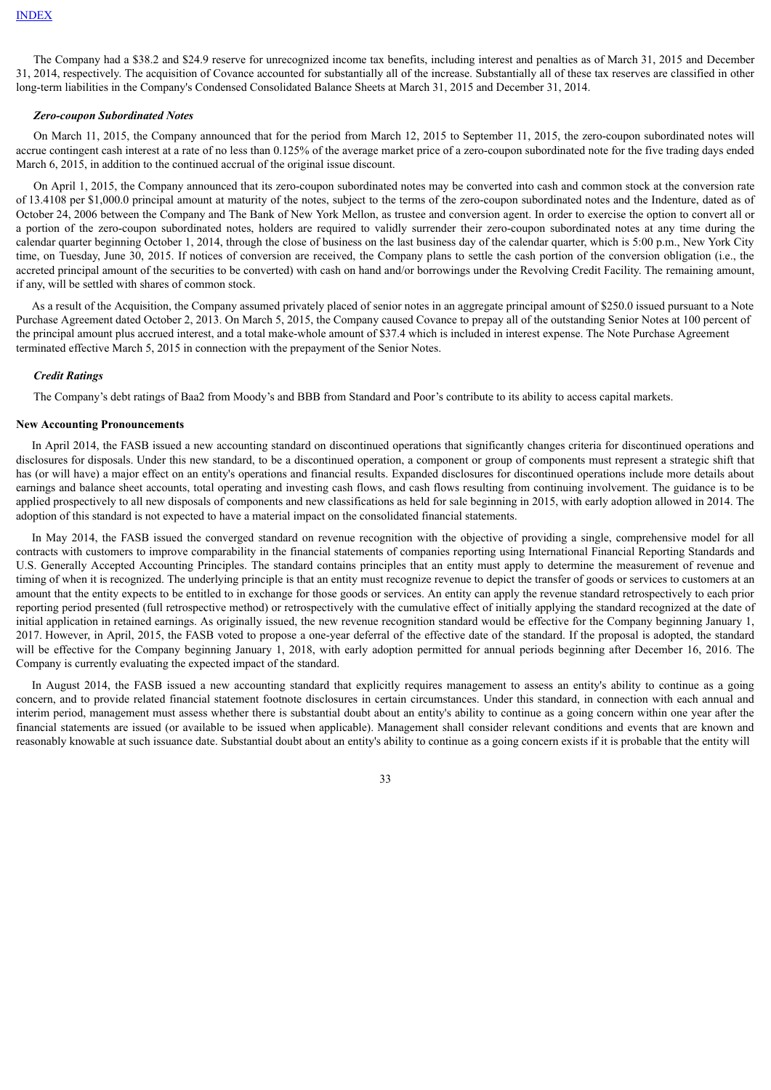The Company had a \$38.2 and \$24.9 reserve for unrecognized income tax benefits, including interest and penalties as of March 31, 2015 and December 31, 2014, respectively. The acquisition of Covance accounted for substantially all of the increase. Substantially all of these tax reserves are classified in other long-term liabilities in the Company's Condensed Consolidated Balance Sheets at March 31, 2015 and December 31, 2014.

#### *Zero-coupon Subordinated Notes*

On March 11, 2015, the Company announced that for the period from March 12, 2015 to September 11, 2015, the zero-coupon subordinated notes will accrue contingent cash interest at a rate of no less than 0.125% of the average market price of a zero-coupon subordinated note for the five trading days ended March 6, 2015, in addition to the continued accrual of the original issue discount.

On April 1, 2015, the Company announced that its zero-coupon subordinated notes may be converted into cash and common stock at the conversion rate of 13.4108 per \$1,000.0 principal amount at maturity of the notes, subject to the terms of the zero-coupon subordinated notes and the Indenture, dated as of October 24, 2006 between the Company and The Bank of New York Mellon, as trustee and conversion agent. In order to exercise the option to convert all or a portion of the zero-coupon subordinated notes, holders are required to validly surrender their zero-coupon subordinated notes at any time during the calendar quarter beginning October 1, 2014, through the close of business on the last business day of the calendar quarter, which is 5:00 p.m., New York City time, on Tuesday, June 30, 2015. If notices of conversion are received, the Company plans to settle the cash portion of the conversion obligation (i.e., the accreted principal amount of the securities to be converted) with cash on hand and/or borrowings under the Revolving Credit Facility. The remaining amount, if any, will be settled with shares of common stock.

As a result of the Acquisition, the Company assumed privately placed of senior notes in an aggregate principal amount of \$250.0 issued pursuant to a Note Purchase Agreement dated October 2, 2013. On March 5, 2015, the Company caused Covance to prepay all of the outstanding Senior Notes at 100 percent of the principal amount plus accrued interest, and a total make-whole amount of \$37.4 which is included in interest expense. The Note Purchase Agreement terminated effective March 5, 2015 in connection with the prepayment of the Senior Notes.

#### *Credit Ratings*

The Company's debt ratings of Baa2 from Moody's and BBB from Standard and Poor's contribute to its ability to access capital markets.

#### **New Accounting Pronouncements**

In April 2014, the FASB issued a new accounting standard on discontinued operations that significantly changes criteria for discontinued operations and disclosures for disposals. Under this new standard, to be a discontinued operation, a component or group of components must represent a strategic shift that has (or will have) a major effect on an entity's operations and financial results. Expanded disclosures for discontinued operations include more details about earnings and balance sheet accounts, total operating and investing cash flows, and cash flows resulting from continuing involvement. The guidance is to be applied prospectively to all new disposals of components and new classifications as held for sale beginning in 2015, with early adoption allowed in 2014. The adoption of this standard is not expected to have a material impact on the consolidated financial statements.

In May 2014, the FASB issued the converged standard on revenue recognition with the objective of providing a single, comprehensive model for all contracts with customers to improve comparability in the financial statements of companies reporting using International Financial Reporting Standards and U.S. Generally Accepted Accounting Principles. The standard contains principles that an entity must apply to determine the measurement of revenue and timing of when it is recognized. The underlying principle is that an entity must recognize revenue to depict the transfer of goods or services to customers at an amount that the entity expects to be entitled to in exchange for those goods or services. An entity can apply the revenue standard retrospectively to each prior reporting period presented (full retrospective method) or retrospectively with the cumulative effect of initially applying the standard recognized at the date of initial application in retained earnings. As originally issued, the new revenue recognition standard would be effective for the Company beginning January 1, 2017. However, in April, 2015, the FASB voted to propose a one-year deferral of the effective date of the standard. If the proposal is adopted, the standard will be effective for the Company beginning January 1, 2018, with early adoption permitted for annual periods beginning after December 16, 2016. The Company is currently evaluating the expected impact of the standard.

In August 2014, the FASB issued a new accounting standard that explicitly requires management to assess an entity's ability to continue as a going concern, and to provide related financial statement footnote disclosures in certain circumstances. Under this standard, in connection with each annual and interim period, management must assess whether there is substantial doubt about an entity's ability to continue as a going concern within one year after the financial statements are issued (or available to be issued when applicable). Management shall consider relevant conditions and events that are known and reasonably knowable at such issuance date. Substantial doubt about an entity's ability to continue as a going concern exists if it is probable that the entity will

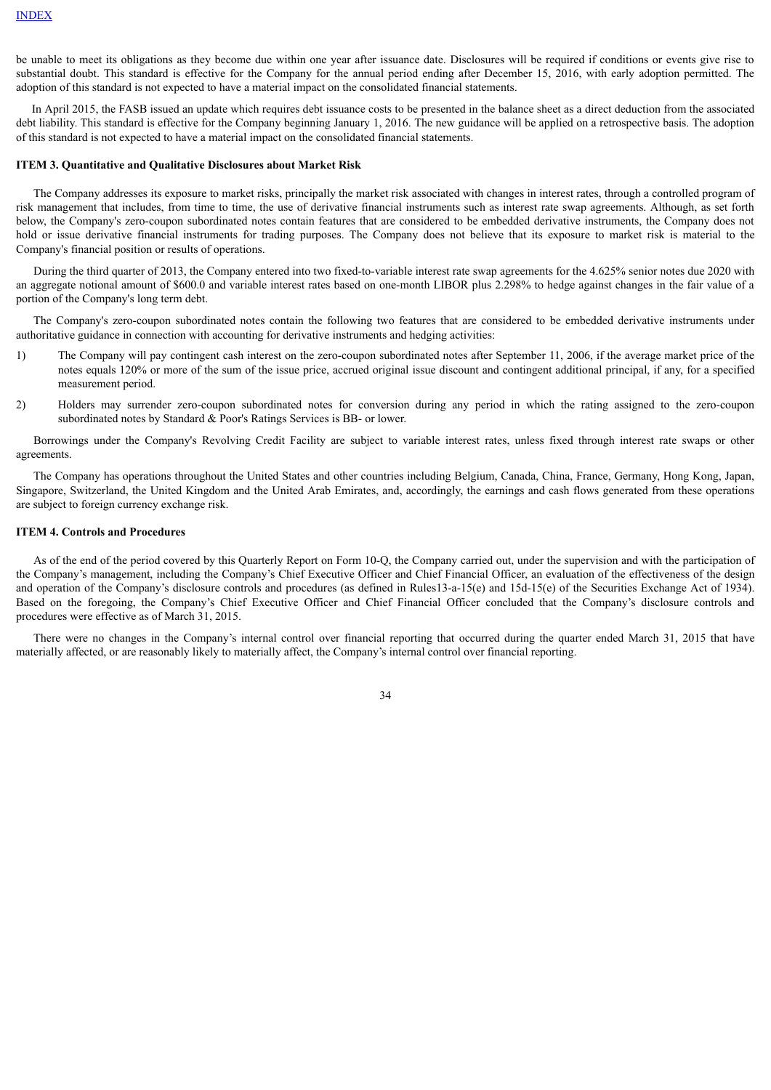be unable to meet its obligations as they become due within one year after issuance date. Disclosures will be required if conditions or events give rise to substantial doubt. This standard is effective for the Company for the annual period ending after December 15, 2016, with early adoption permitted. The adoption of this standard is not expected to have a material impact on the consolidated financial statements.

In April 2015, the FASB issued an update which requires debt issuance costs to be presented in the balance sheet as a direct deduction from the associated debt liability. This standard is effective for the Company beginning January 1, 2016. The new guidance will be applied on a retrospective basis. The adoption of this standard is not expected to have a material impact on the consolidated financial statements.

#### <span id="page-34-0"></span>**ITEM 3. Quantitative and Qualitative Disclosures about Market Risk**

The Company addresses its exposure to market risks, principally the market risk associated with changes in interest rates, through a controlled program of risk management that includes, from time to time, the use of derivative financial instruments such as interest rate swap agreements. Although, as set forth below, the Company's zero-coupon subordinated notes contain features that are considered to be embedded derivative instruments, the Company does not hold or issue derivative financial instruments for trading purposes. The Company does not believe that its exposure to market risk is material to the Company's financial position or results of operations.

During the third quarter of 2013, the Company entered into two fixed-to-variable interest rate swap agreements for the 4.625% senior notes due 2020 with an aggregate notional amount of \$600.0 and variable interest rates based on one-month LIBOR plus 2.298% to hedge against changes in the fair value of a portion of the Company's long term debt.

The Company's zero-coupon subordinated notes contain the following two features that are considered to be embedded derivative instruments under authoritative guidance in connection with accounting for derivative instruments and hedging activities:

- 1) The Company will pay contingent cash interest on the zero-coupon subordinated notes after September 11, 2006, if the average market price of the notes equals 120% or more of the sum of the issue price, accrued original issue discount and contingent additional principal, if any, for a specified measurement period.
- 2) Holders may surrender zero-coupon subordinated notes for conversion during any period in which the rating assigned to the zero-coupon subordinated notes by Standard & Poor's Ratings Services is BB- or lower.

Borrowings under the Company's Revolving Credit Facility are subject to variable interest rates, unless fixed through interest rate swaps or other agreements.

The Company has operations throughout the United States and other countries including Belgium, Canada, China, France, Germany, Hong Kong, Japan, Singapore, Switzerland, the United Kingdom and the United Arab Emirates, and, accordingly, the earnings and cash flows generated from these operations are subject to foreign currency exchange risk.

#### <span id="page-34-1"></span>**ITEM 4. Controls and Procedures**

As of the end of the period covered by this Quarterly Report on Form 10-Q, the Company carried out, under the supervision and with the participation of the Company's management, including the Company's Chief Executive Officer and Chief Financial Officer, an evaluation of the effectiveness of the design and operation of the Company's disclosure controls and procedures (as defined in Rules13-a-15(e) and 15d-15(e) of the Securities Exchange Act of 1934). Based on the foregoing, the Company's Chief Executive Officer and Chief Financial Officer concluded that the Company's disclosure controls and procedures were effective as of March 31, 2015.

There were no changes in the Company's internal control over financial reporting that occurred during the quarter ended March 31, 2015 that have materially affected, or are reasonably likely to materially affect, the Company's internal control over financial reporting.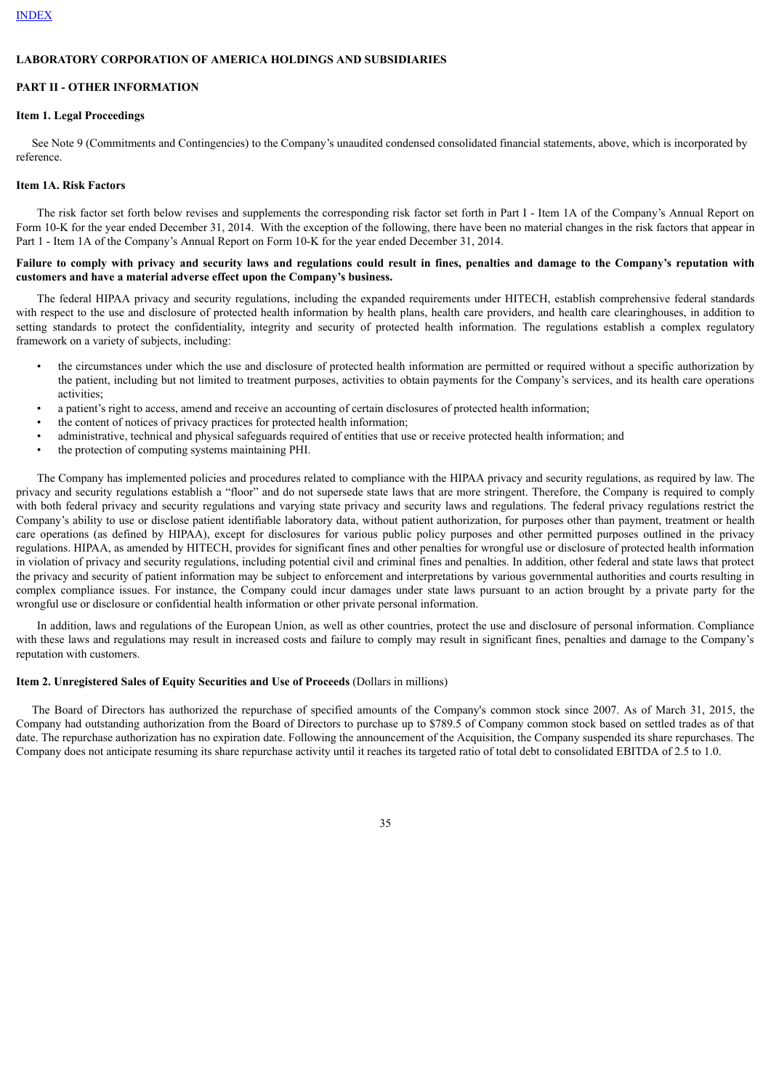#### **LABORATORY CORPORATION OF AMERICA HOLDINGS AND SUBSIDIARIES**

#### <span id="page-35-0"></span>**PART II - OTHER INFORMATION**

#### **Item 1. Legal Proceedings**

See Note 9 (Commitments and Contingencies) to the Company's unaudited condensed consolidated financial statements, above, which is incorporated by reference.

#### <span id="page-35-1"></span>**Item 1A. Risk Factors**

The risk factor set forth below revises and supplements the corresponding risk factor set forth in Part I - Item 1A of the Company's Annual Report on Form 10-K for the year ended December 31, 2014. With the exception of the following, there have been no material changes in the risk factors that appear in Part 1 - Item 1A of the Company's Annual Report on Form 10-K for the year ended December 31, 2014.

#### Failure to comply with privacy and security laws and regulations could result in fines, penalties and damage to the Company's reputation with **customers and have a material adverse effect upon the Company's business.**

The federal HIPAA privacy and security regulations, including the expanded requirements under HITECH, establish comprehensive federal standards with respect to the use and disclosure of protected health information by health plans, health care providers, and health care clearinghouses, in addition to setting standards to protect the confidentiality, integrity and security of protected health information. The regulations establish a complex regulatory framework on a variety of subjects, including:

- the circumstances under which the use and disclosure of protected health information are permitted or required without a specific authorization by the patient, including but not limited to treatment purposes, activities to obtain payments for the Company's services, and its health care operations activities;
- a patient's right to access, amend and receive an accounting of certain disclosures of protected health information;
- the content of notices of privacy practices for protected health information;
- administrative, technical and physical safeguards required of entities that use or receive protected health information; and
- the protection of computing systems maintaining PHI.

The Company has implemented policies and procedures related to compliance with the HIPAA privacy and security regulations, as required by law. The privacy and security regulations establish a "floor" and do not supersede state laws that are more stringent. Therefore, the Company is required to comply with both federal privacy and security regulations and varying state privacy and security laws and regulations. The federal privacy regulations restrict the Company's ability to use or disclose patient identifiable laboratory data, without patient authorization, for purposes other than payment, treatment or health care operations (as defined by HIPAA), except for disclosures for various public policy purposes and other permitted purposes outlined in the privacy regulations. HIPAA, as amended by HITECH, provides for significant fines and other penalties for wrongful use or disclosure of protected health information in violation of privacy and security regulations, including potential civil and criminal fines and penalties. In addition, other federal and state laws that protect the privacy and security of patient information may be subject to enforcement and interpretations by various governmental authorities and courts resulting in complex compliance issues. For instance, the Company could incur damages under state laws pursuant to an action brought by a private party for the wrongful use or disclosure or confidential health information or other private personal information.

In addition, laws and regulations of the European Union, as well as other countries, protect the use and disclosure of personal information. Compliance with these laws and regulations may result in increased costs and failure to comply may result in significant fines, penalties and damage to the Company's reputation with customers.

#### <span id="page-35-2"></span>**Item 2. Unregistered Sales of Equity Securities and Use of Proceeds** (Dollars in millions)

<span id="page-35-3"></span>The Board of Directors has authorized the repurchase of specified amounts of the Company's common stock since 2007. As of March 31, 2015, the Company had outstanding authorization from the Board of Directors to purchase up to \$789.5 of Company common stock based on settled trades as of that date. The repurchase authorization has no expiration date. Following the announcement of the Acquisition, the Company suspended its share repurchases. The Company does not anticipate resuming its share repurchase activity until it reaches its targeted ratio of total debt to consolidated EBITDA of 2.5 to 1.0.

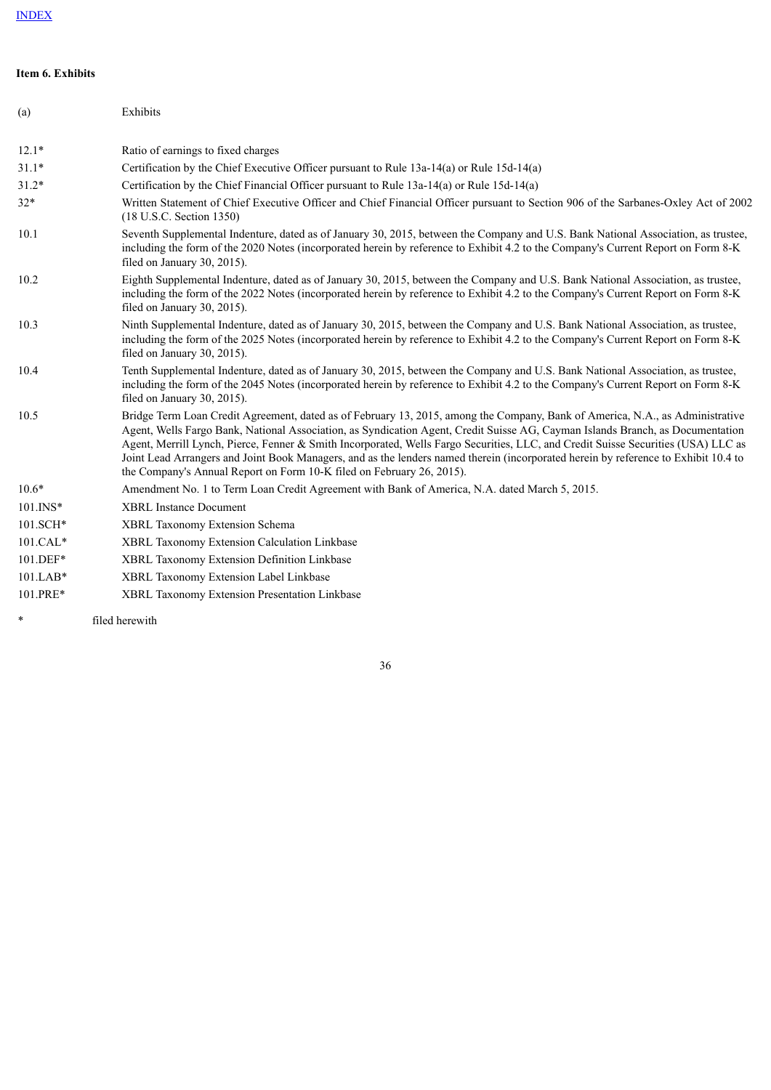# **Item 6. Exhibits**

| (a)          | Exhibits                                                                                                                                                                                                                                                                                                                                                                                                                                                                                                                                                                                                             |
|--------------|----------------------------------------------------------------------------------------------------------------------------------------------------------------------------------------------------------------------------------------------------------------------------------------------------------------------------------------------------------------------------------------------------------------------------------------------------------------------------------------------------------------------------------------------------------------------------------------------------------------------|
| $12.1*$      | Ratio of earnings to fixed charges                                                                                                                                                                                                                                                                                                                                                                                                                                                                                                                                                                                   |
| $31.1*$      | Certification by the Chief Executive Officer pursuant to Rule $13a-14(a)$ or Rule $15d-14(a)$                                                                                                                                                                                                                                                                                                                                                                                                                                                                                                                        |
| $31.2*$      | Certification by the Chief Financial Officer pursuant to Rule 13a-14(a) or Rule 15d-14(a)                                                                                                                                                                                                                                                                                                                                                                                                                                                                                                                            |
| $32*$        | Written Statement of Chief Executive Officer and Chief Financial Officer pursuant to Section 906 of the Sarbanes-Oxley Act of 2002<br>$(18 \text{ U.S.C. Section } 1350)$                                                                                                                                                                                                                                                                                                                                                                                                                                            |
| 10.1         | Seventh Supplemental Indenture, dated as of January 30, 2015, between the Company and U.S. Bank National Association, as trustee,<br>including the form of the 2020 Notes (incorporated herein by reference to Exhibit 4.2 to the Company's Current Report on Form 8-K<br>filed on January 30, 2015).                                                                                                                                                                                                                                                                                                                |
| 10.2         | Eighth Supplemental Indenture, dated as of January 30, 2015, between the Company and U.S. Bank National Association, as trustee,<br>including the form of the 2022 Notes (incorporated herein by reference to Exhibit 4.2 to the Company's Current Report on Form 8-K<br>filed on January 30, 2015).                                                                                                                                                                                                                                                                                                                 |
| 10.3         | Ninth Supplemental Indenture, dated as of January 30, 2015, between the Company and U.S. Bank National Association, as trustee,<br>including the form of the 2025 Notes (incorporated herein by reference to Exhibit 4.2 to the Company's Current Report on Form 8-K<br>filed on January 30, 2015).                                                                                                                                                                                                                                                                                                                  |
| 10.4         | Tenth Supplemental Indenture, dated as of January 30, 2015, between the Company and U.S. Bank National Association, as trustee,<br>including the form of the 2045 Notes (incorporated herein by reference to Exhibit 4.2 to the Company's Current Report on Form 8-K<br>filed on January 30, 2015).                                                                                                                                                                                                                                                                                                                  |
| 10.5         | Bridge Term Loan Credit Agreement, dated as of February 13, 2015, among the Company, Bank of America, N.A., as Administrative<br>Agent, Wells Fargo Bank, National Association, as Syndication Agent, Credit Suisse AG, Cayman Islands Branch, as Documentation<br>Agent, Merrill Lynch, Pierce, Fenner & Smith Incorporated, Wells Fargo Securities, LLC, and Credit Suisse Securities (USA) LLC as<br>Joint Lead Arrangers and Joint Book Managers, and as the lenders named therein (incorporated herein by reference to Exhibit 10.4 to<br>the Company's Annual Report on Form 10-K filed on February 26, 2015). |
| $10.6*$      | Amendment No. 1 to Term Loan Credit Agreement with Bank of America, N.A. dated March 5, 2015.                                                                                                                                                                                                                                                                                                                                                                                                                                                                                                                        |
| $101$ . INS* | <b>XBRL</b> Instance Document                                                                                                                                                                                                                                                                                                                                                                                                                                                                                                                                                                                        |
| 101.SCH*     | XBRL Taxonomy Extension Schema                                                                                                                                                                                                                                                                                                                                                                                                                                                                                                                                                                                       |
| 101.CAL*     | XBRL Taxonomy Extension Calculation Linkbase                                                                                                                                                                                                                                                                                                                                                                                                                                                                                                                                                                         |
| 101.DEF*     | XBRL Taxonomy Extension Definition Linkbase                                                                                                                                                                                                                                                                                                                                                                                                                                                                                                                                                                          |
| $101.LAB*$   | XBRL Taxonomy Extension Label Linkbase                                                                                                                                                                                                                                                                                                                                                                                                                                                                                                                                                                               |
| 101.PRE*     | XBRL Taxonomy Extension Presentation Linkbase                                                                                                                                                                                                                                                                                                                                                                                                                                                                                                                                                                        |

\* filed herewith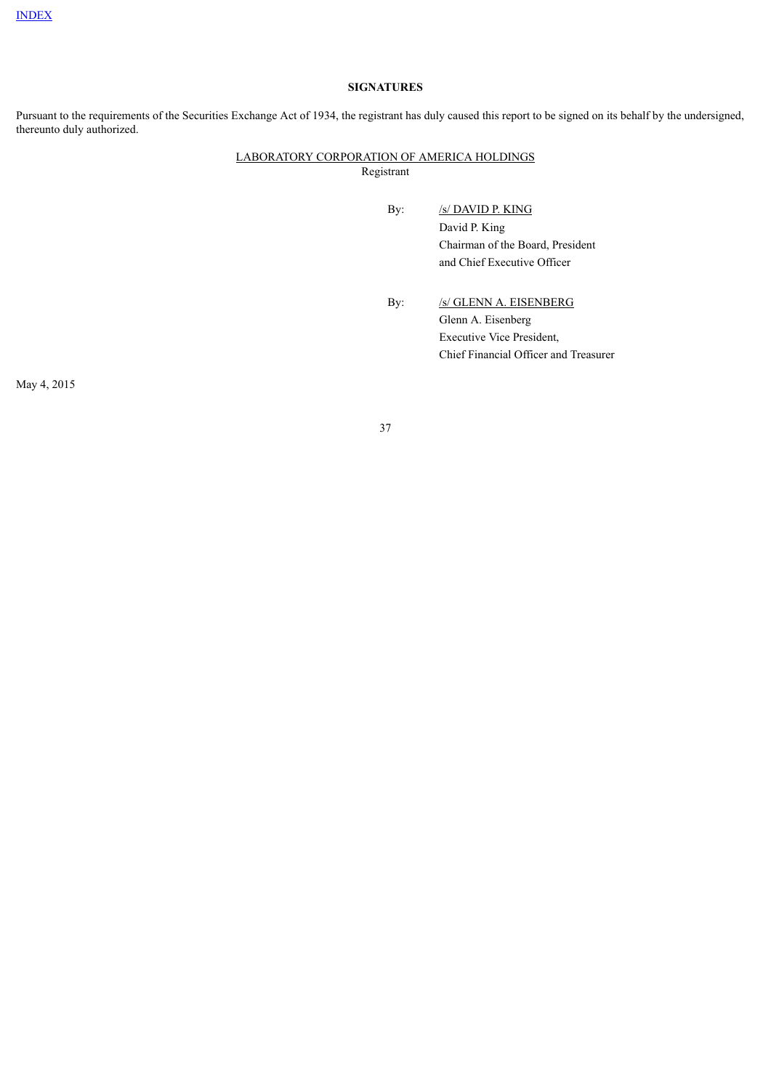#### **SIGNATURES**

Pursuant to the requirements of the Securities Exchange Act of 1934, the registrant has duly caused this report to be signed on its behalf by the undersigned, thereunto duly authorized.

## LABORATORY CORPORATION OF AMERICA HOLDINGS Registrant

- By: /s/ DAVID P. KING David P. King Chairman of the Board, President and Chief Executive Officer
- By: /s/ GLENN A. EISENBERG Glenn A. Eisenberg Executive Vice President, Chief Financial Officer and Treasurer

May 4, 2015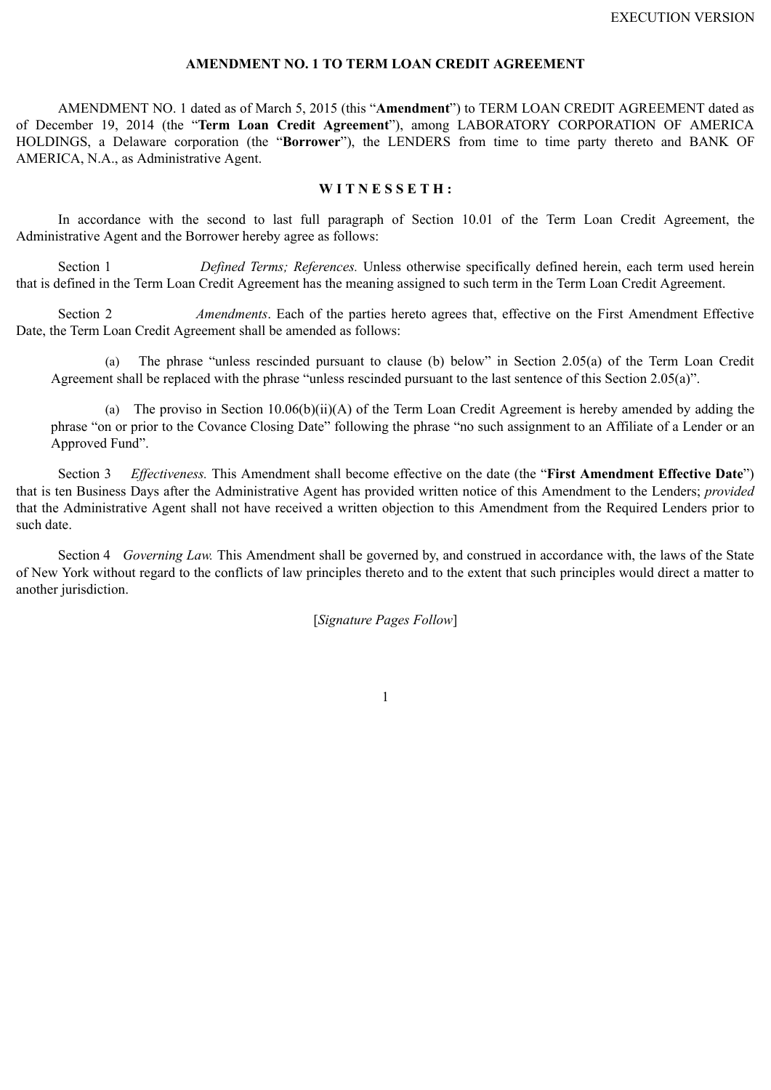# **AMENDMENT NO. 1 TO TERM LOAN CREDIT AGREEMENT**

AMENDMENT NO. 1 dated as of March 5, 2015 (this "**Amendment**") to TERM LOAN CREDIT AGREEMENT dated as of December 19, 2014 (the "**Term Loan Credit Agreement**"), among LABORATORY CORPORATION OF AMERICA HOLDINGS, a Delaware corporation (the "**Borrower**"), the LENDERS from time to time party thereto and BANK OF AMERICA, N.A., as Administrative Agent.

#### **W I T N E S S E T H :**

In accordance with the second to last full paragraph of Section 10.01 of the Term Loan Credit Agreement, the Administrative Agent and the Borrower hereby agree as follows:

Section 1 *Defined Terms; References.* Unless otherwise specifically defined herein, each term used herein that is defined in the Term Loan Credit Agreement has the meaning assigned to such term in the Term Loan Credit Agreement.

Section 2 *Amendments*. Each of the parties hereto agrees that, effective on the First Amendment Effective Date, the Term Loan Credit Agreement shall be amended as follows:

(a) The phrase "unless rescinded pursuant to clause (b) below" in Section 2.05(a) of the Term Loan Credit Agreement shall be replaced with the phrase "unless rescinded pursuant to the last sentence of this Section 2.05(a)".

(a) The proviso in Section 10.06(b)(ii)(A) of the Term Loan Credit Agreement is hereby amended by adding the phrase "on or prior to the Covance Closing Date" following the phrase "no such assignment to an Affiliate of a Lender or an Approved Fund".

Section 3 *Effectiveness.* This Amendment shall become effective on the date (the "**First Amendment Effective Date**") that is ten Business Days after the Administrative Agent has provided written notice of this Amendment to the Lenders; *provided* that the Administrative Agent shall not have received a written objection to this Amendment from the Required Lenders prior to such date.

Section 4 *Governing Law.* This Amendment shall be governed by, and construed in accordance with, the laws of the State of New York without regard to the conflicts of law principles thereto and to the extent that such principles would direct a matter to another jurisdiction.

# [*Signature Pages Follow*]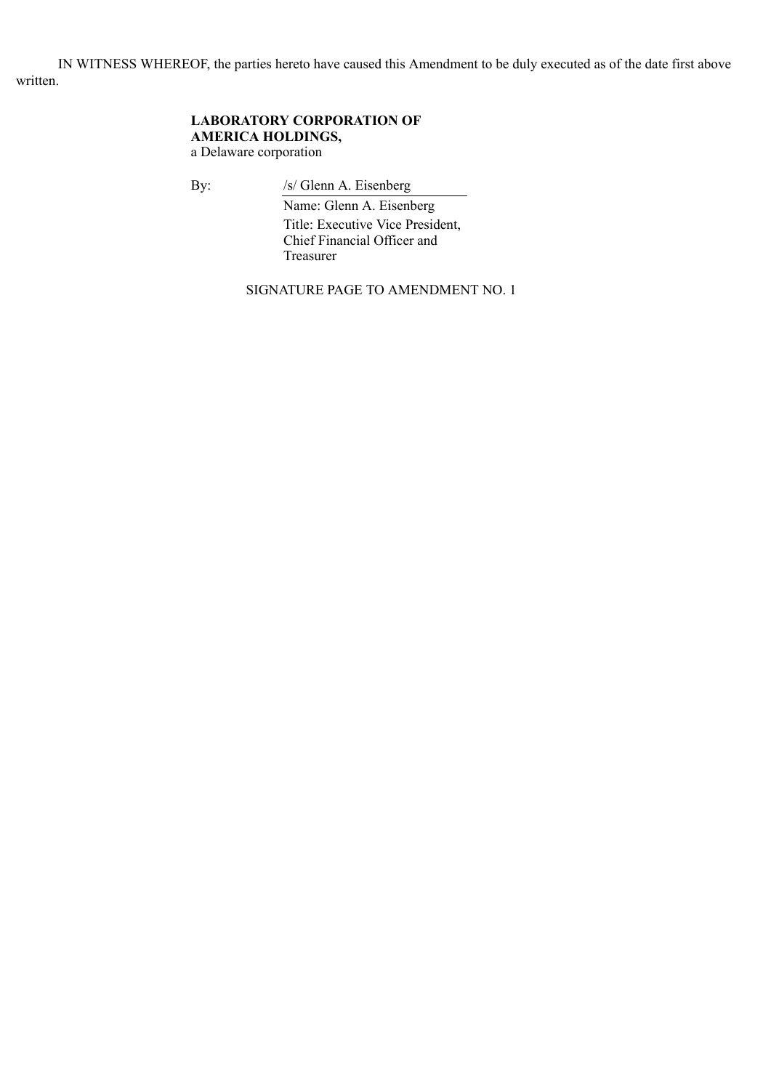IN WITNESS WHEREOF, the parties hereto have caused this Amendment to be duly executed as of the date first above written.

# **LABORATORY CORPORATION OF AMERICA HOLDINGS,**

a Delaware corporation

By: /s/ Glenn A. Eisenberg

Name: Glenn A. Eisenberg Title: Executive Vice President, Chief Financial Officer and Treasurer

SIGNATURE PAGE TO AMENDMENT NO. 1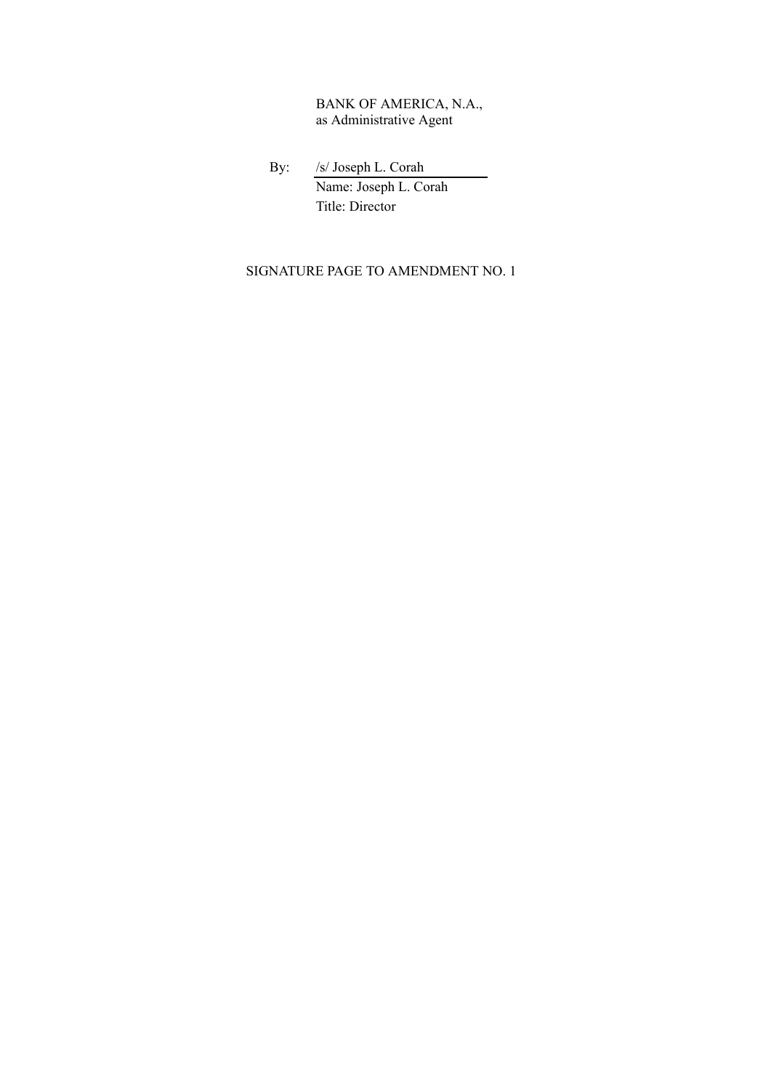BANK OF AMERICA, N.A., as Administrative Agent

By: /s/ Joseph L. Corah Name: Joseph L. Corah Title: Director

SIGNATURE PAGE TO AMENDMENT NO. 1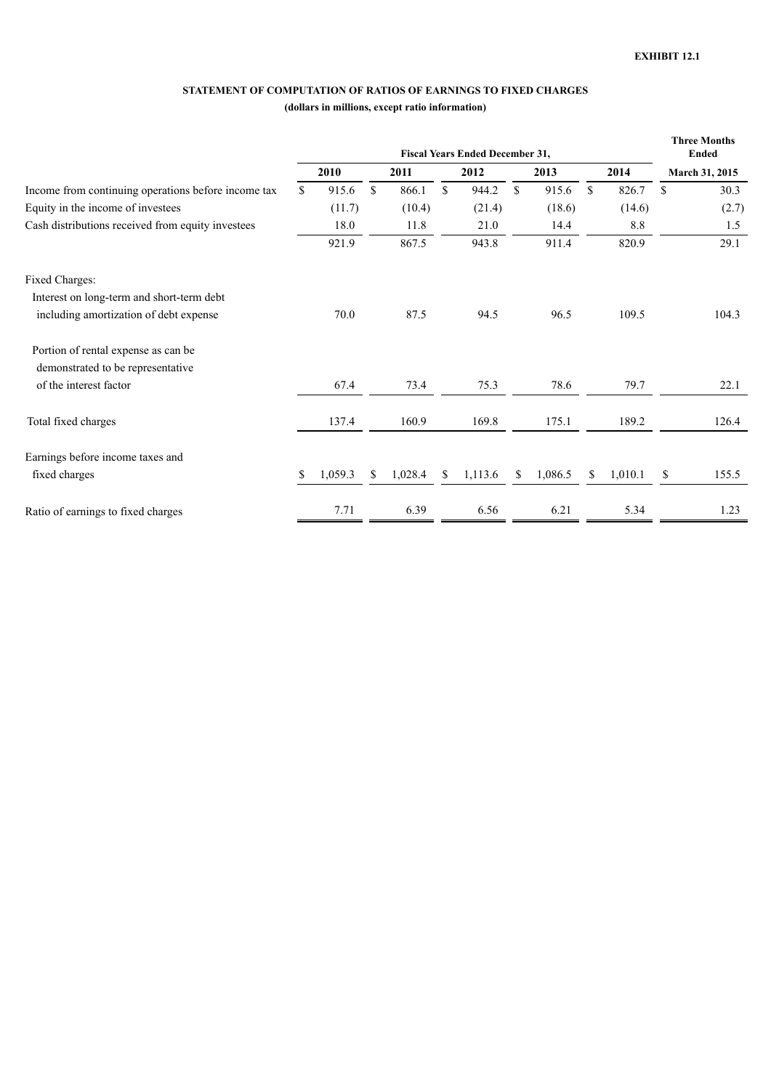# **STATEMENT OF COMPUTATION OF RATIOS OF EARNINGS TO FIXED CHARGES**

# **(dollars in millions, except ratio information)**

|                                                     | <b>Fiscal Years Ended December 31,</b> |         |               |         |               |         |               |         |               |         | <b>Three Months</b><br><b>Ended</b> |                |  |
|-----------------------------------------------------|----------------------------------------|---------|---------------|---------|---------------|---------|---------------|---------|---------------|---------|-------------------------------------|----------------|--|
|                                                     |                                        | 2010    |               | 2011    |               | 2012    |               | 2013    |               | 2014    |                                     | March 31, 2015 |  |
| Income from continuing operations before income tax | \$                                     | 915.6   | <sup>\$</sup> | 866.1   | \$            | 944.2   | \$            | 915.6   | <sup>\$</sup> | 826.7   | \$                                  | 30.3           |  |
| Equity in the income of investees                   |                                        | (11.7)  |               | (10.4)  |               | (21.4)  |               | (18.6)  |               | (14.6)  |                                     | (2.7)          |  |
| Cash distributions received from equity investees   |                                        | 18.0    |               | 11.8    |               | 21.0    |               | 14.4    |               | 8.8     |                                     | 1.5            |  |
|                                                     |                                        | 921.9   |               | 867.5   |               | 943.8   |               | 911.4   |               | 820.9   |                                     | 29.1           |  |
| Fixed Charges:                                      |                                        |         |               |         |               |         |               |         |               |         |                                     |                |  |
| Interest on long-term and short-term debt           |                                        |         |               |         |               |         |               |         |               |         |                                     |                |  |
| including amortization of debt expense              |                                        | 70.0    |               | 87.5    |               | 94.5    |               | 96.5    |               | 109.5   |                                     | 104.3          |  |
| Portion of rental expense as can be                 |                                        |         |               |         |               |         |               |         |               |         |                                     |                |  |
| demonstrated to be representative                   |                                        |         |               |         |               |         |               |         |               |         |                                     |                |  |
| of the interest factor                              |                                        | 67.4    |               | 73.4    |               | 75.3    |               | 78.6    |               | 79.7    |                                     | 22.1           |  |
| Total fixed charges                                 |                                        | 137.4   |               | 160.9   |               | 169.8   |               | 175.1   |               | 189.2   |                                     | 126.4          |  |
| Earnings before income taxes and                    |                                        |         |               |         |               |         |               |         |               |         |                                     |                |  |
| fixed charges                                       | <sup>\$</sup>                          | 1,059.3 | <sup>\$</sup> | 1,028.4 | <sup>\$</sup> | 1,113.6 | <sup>\$</sup> | 1,086.5 | S.            | 1,010.1 | \$                                  | 155.5          |  |
| Ratio of earnings to fixed charges                  |                                        | 7.71    |               | 6.39    |               | 6.56    |               | 6.21    |               | 5.34    |                                     | 1.23           |  |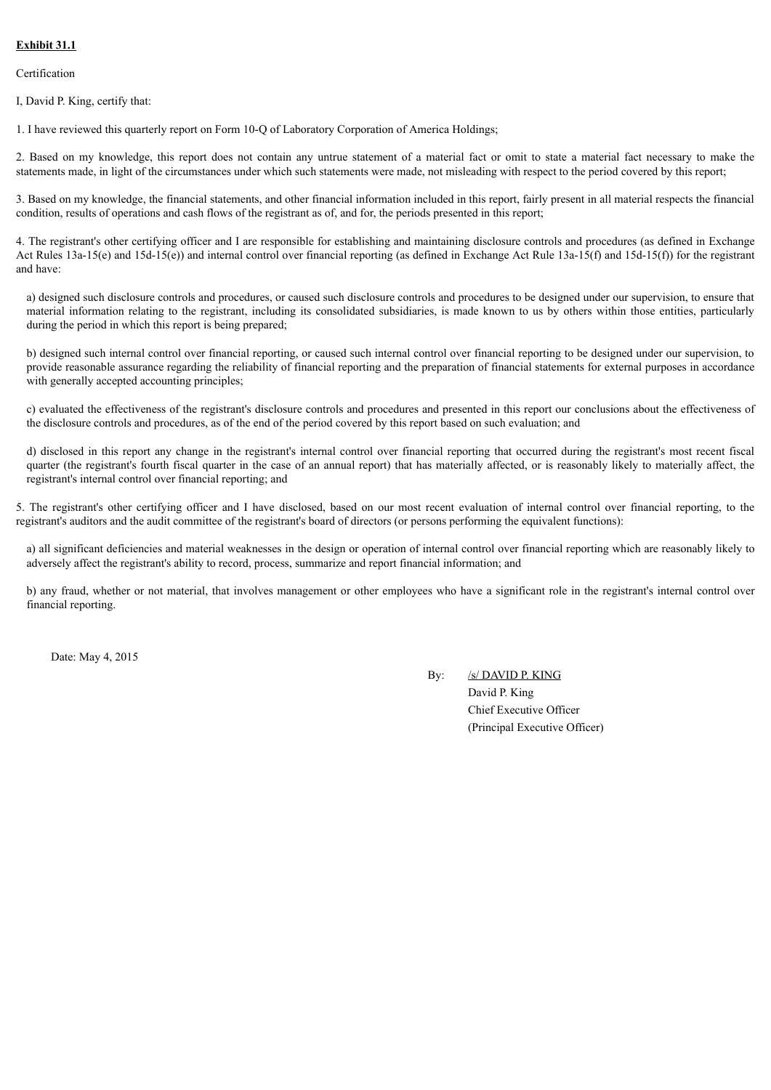# **Exhibit 31.1**

Certification

I, David P. King, certify that:

1. I have reviewed this quarterly report on Form 10-Q of Laboratory Corporation of America Holdings;

2. Based on my knowledge, this report does not contain any untrue statement of a material fact or omit to state a material fact necessary to make the statements made, in light of the circumstances under which such statements were made, not misleading with respect to the period covered by this report;

3. Based on my knowledge, the financial statements, and other financial information included in this report, fairly present in all material respects the financial condition, results of operations and cash flows of the registrant as of, and for, the periods presented in this report;

4. The registrant's other certifying officer and I are responsible for establishing and maintaining disclosure controls and procedures (as defined in Exchange Act Rules 13a-15(e) and 15d-15(e)) and internal control over financial reporting (as defined in Exchange Act Rule 13a-15(f) and 15d-15(f)) for the registrant and have:

a) designed such disclosure controls and procedures, or caused such disclosure controls and procedures to be designed under our supervision, to ensure that material information relating to the registrant, including its consolidated subsidiaries, is made known to us by others within those entities, particularly during the period in which this report is being prepared;

b) designed such internal control over financial reporting, or caused such internal control over financial reporting to be designed under our supervision, to provide reasonable assurance regarding the reliability of financial reporting and the preparation of financial statements for external purposes in accordance with generally accepted accounting principles;

c) evaluated the effectiveness of the registrant's disclosure controls and procedures and presented in this report our conclusions about the effectiveness of the disclosure controls and procedures, as of the end of the period covered by this report based on such evaluation; and

d) disclosed in this report any change in the registrant's internal control over financial reporting that occurred during the registrant's most recent fiscal quarter (the registrant's fourth fiscal quarter in the case of an annual report) that has materially affected, or is reasonably likely to materially affect, the registrant's internal control over financial reporting; and

5. The registrant's other certifying officer and I have disclosed, based on our most recent evaluation of internal control over financial reporting, to the registrant's auditors and the audit committee of the registrant's board of directors (or persons performing the equivalent functions):

a) all significant deficiencies and material weaknesses in the design or operation of internal control over financial reporting which are reasonably likely to adversely affect the registrant's ability to record, process, summarize and report financial information; and

b) any fraud, whether or not material, that involves management or other employees who have a significant role in the registrant's internal control over financial reporting.

Date: May 4, 2015

By: /s/ DAVID P. KING David P. King Chief Executive Officer (Principal Executive Officer)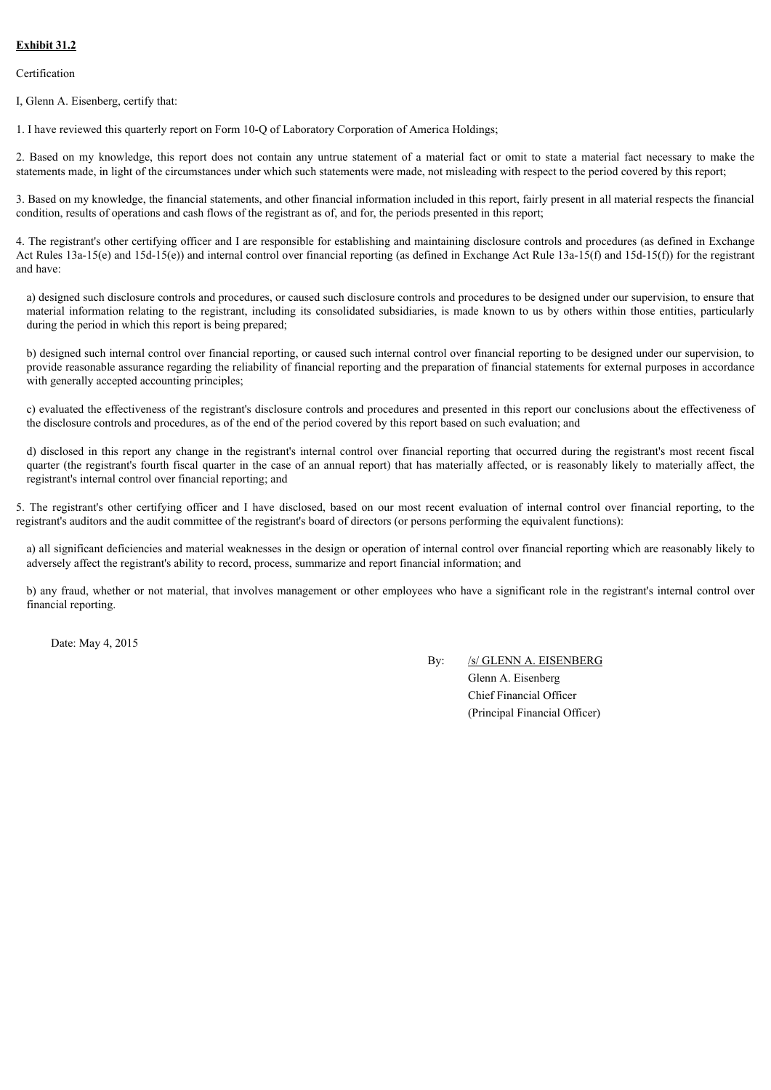# **Exhibit 31.2**

Certification

I, Glenn A. Eisenberg, certify that:

1. I have reviewed this quarterly report on Form 10-Q of Laboratory Corporation of America Holdings;

2. Based on my knowledge, this report does not contain any untrue statement of a material fact or omit to state a material fact necessary to make the statements made, in light of the circumstances under which such statements were made, not misleading with respect to the period covered by this report;

3. Based on my knowledge, the financial statements, and other financial information included in this report, fairly present in all material respects the financial condition, results of operations and cash flows of the registrant as of, and for, the periods presented in this report;

4. The registrant's other certifying officer and I are responsible for establishing and maintaining disclosure controls and procedures (as defined in Exchange Act Rules 13a-15(e) and 15d-15(e)) and internal control over financial reporting (as defined in Exchange Act Rule 13a-15(f) and 15d-15(f)) for the registrant and have:

a) designed such disclosure controls and procedures, or caused such disclosure controls and procedures to be designed under our supervision, to ensure that material information relating to the registrant, including its consolidated subsidiaries, is made known to us by others within those entities, particularly during the period in which this report is being prepared;

b) designed such internal control over financial reporting, or caused such internal control over financial reporting to be designed under our supervision, to provide reasonable assurance regarding the reliability of financial reporting and the preparation of financial statements for external purposes in accordance with generally accepted accounting principles;

c) evaluated the effectiveness of the registrant's disclosure controls and procedures and presented in this report our conclusions about the effectiveness of the disclosure controls and procedures, as of the end of the period covered by this report based on such evaluation; and

d) disclosed in this report any change in the registrant's internal control over financial reporting that occurred during the registrant's most recent fiscal quarter (the registrant's fourth fiscal quarter in the case of an annual report) that has materially affected, or is reasonably likely to materially affect, the registrant's internal control over financial reporting; and

5. The registrant's other certifying officer and I have disclosed, based on our most recent evaluation of internal control over financial reporting, to the registrant's auditors and the audit committee of the registrant's board of directors (or persons performing the equivalent functions):

a) all significant deficiencies and material weaknesses in the design or operation of internal control over financial reporting which are reasonably likely to adversely affect the registrant's ability to record, process, summarize and report financial information; and

b) any fraud, whether or not material, that involves management or other employees who have a significant role in the registrant's internal control over financial reporting.

Date: May 4, 2015

By: /s/ GLENN A. EISENBERG

Glenn A. Eisenberg Chief Financial Officer (Principal Financial Officer)